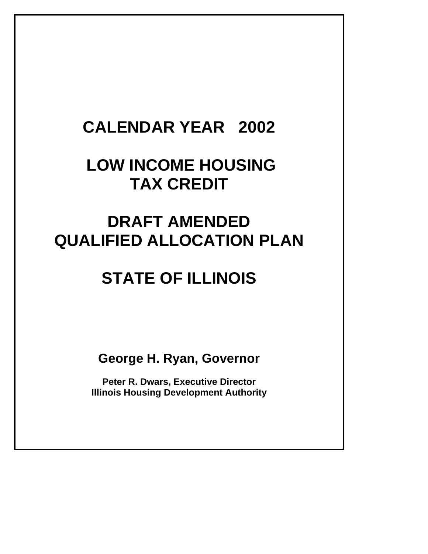## **CALENDAR YEAR 2002**

### **LOW INCOME HOUSING TAX CREDIT**

### **DRAFT AMENDED QUALIFIED ALLOCATION PLAN**

# **STATE OF ILLINOIS**

**George H. Ryan, Governor** 

**Peter R. Dwars, Executive Director Illinois Housing Development Authority**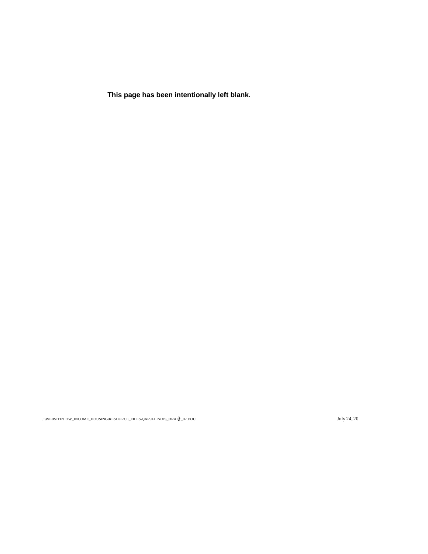**This page has been intentionally left blank.**

J:\WEBSITE\LOW\_INCOME\_HOUSING\RESOURCE\_FILES\QAP\ILLINOIS\_DRAFT\_02.DOC 3 July 24, 20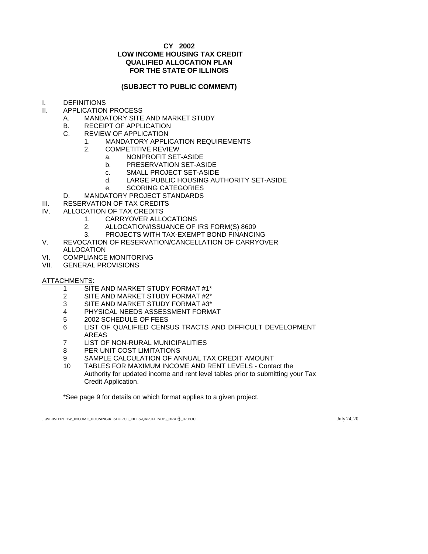### **CY 2002**

#### **LOW INCOME HOUSING TAX CREDIT QUALIFIED ALLOCATION PLAN FOR THE STATE OF ILLINOIS**

#### **(SUBJECT TO PUBLIC COMMENT)**

- I. DEFINITIONS
- II. APPLICATION PROCESS
	- A. MANDATORY SITE AND MARKET STUDY
	- B. RECEIPT OF APPLICATION
	- C. REVIEW OF APPLICATION
		- 1. MANDATORY APPLICATION REQUIREMENTS
		- 2. COMPETITIVE REVIEW
			- a. NONPROFIT SET-ASIDE
			- b. PRESERVATION SET-ASIDE
			- c. SMALL PROJECT SET-ASIDE
			- d. LARGE PUBLIC HOUSING AUTHORITY SET-ASIDE
			- e. SCORING CATEGORIES
	- D. MANDATORY PROJECT STANDARDS
- III. RESERVATION OF TAX CREDITS
- IV. ALLOCATION OF TAX CREDITS
	- 1. CARRYOVER ALLOCATIONS
	- 2. ALLOCATION/ISSUANCE OF IRS FORM(S) 8609
	- 3. PROJECTS WITH TAX-EXEMPT BOND FINANCING
- V. REVOCATION OF RESERVATION/CANCELLATION OF CARRYOVER ALLOCATION
- VI. COMPLIANCE MONITORING<br>VII. GENERAL PROVISIONS
- **GENERAL PROVISIONS**
- ATTACHMENTS:
	- 1 SITE AND MARKET STUDY FORMAT #1\*<br>2 SITE AND MARKET STUDY FORMAT #2\*
	- SITE AND MARKET STUDY FORMAT #2\*
	- 3 SITE AND MARKET STUDY FORMAT #3\*
	- 4 PHYSICAL NEEDS ASSESSMENT FORMAT
	- 5 2002 SCHEDULE OF FEES<br>6 LIST OF QUALIFIED CENS
	- LIST OF QUALIFIED CENSUS TRACTS AND DIFFICULT DEVELOPMENT AREAS
	- 7 LIST OF NON-RURAL MUNICIPALITIES
	- 8 PER UNIT COST LIMITATIONS
	- 9 SAMPLE CALCULATION OF ANNUAL TAX CREDIT AMOUNT
	- 10 TABLES FOR MAXIMUM INCOME AND RENT LEVELS Contact the Authority for updated income and rent level tables prior to submitting your Tax Credit Application.

\*See page 9 for details on which format applies to a given project.

J:\WEBSITE\LOW\_INCOME\_HOUSING\RESOURCE\_FILES\QAP\ILLINOIS\_DRAFT\_02.DOC 3 July 24, 20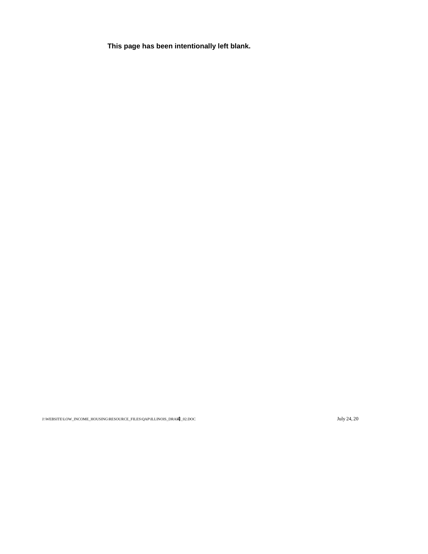**This page has been intentionally left blank.**

J:\WEBSITE\LOW\_INCOME\_HOUSING\RESOURCE\_FILES\QAP\ILLINOIS\_DRAFT\_02.DOC 4 July 24, 20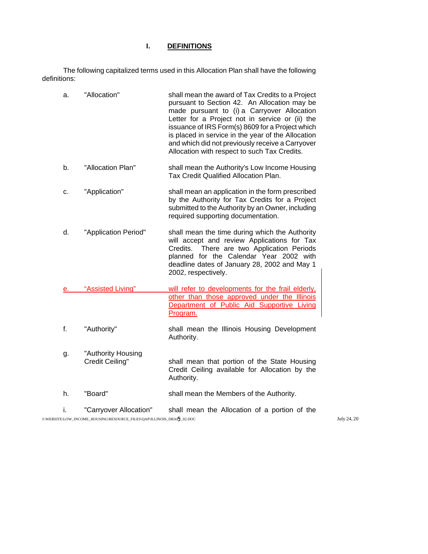### **I. DEFINITIONS**

The following capitalized terms used in this Allocation Plan shall have the following definitions:

| a. | "Allocation"                                 | shall mean the award of Tax Credits to a Project<br>pursuant to Section 42. An Allocation may be<br>made pursuant to (i) a Carryover Allocation<br>Letter for a Project not in service or (ii) the<br>issuance of IRS Form(s) 8609 for a Project which<br>is placed in service in the year of the Allocation<br>and which did not previously receive a Carryover<br>Allocation with respect to such Tax Credits. |
|----|----------------------------------------------|------------------------------------------------------------------------------------------------------------------------------------------------------------------------------------------------------------------------------------------------------------------------------------------------------------------------------------------------------------------------------------------------------------------|
| b. | "Allocation Plan"                            | shall mean the Authority's Low Income Housing<br>Tax Credit Qualified Allocation Plan.                                                                                                                                                                                                                                                                                                                           |
| с. | "Application"                                | shall mean an application in the form prescribed<br>by the Authority for Tax Credits for a Project<br>submitted to the Authority by an Owner, including<br>required supporting documentation.                                                                                                                                                                                                                    |
| d. | "Application Period"                         | shall mean the time during which the Authority<br>will accept and review Applications for Tax<br>There are two Application Periods<br>Credits.<br>planned for the Calendar Year 2002 with<br>deadline dates of January 28, 2002 and May 1<br>2002, respectively.                                                                                                                                                 |
| е. | "Assisted Living"                            | will refer to developments for the frail elderly,                                                                                                                                                                                                                                                                                                                                                                |
|    |                                              | other than those approved under the Illinois<br>Department of Public Aid Supportive Living<br>Program.                                                                                                                                                                                                                                                                                                           |
| f. | "Authority"                                  | shall mean the Illinois Housing Development<br>Authority.                                                                                                                                                                                                                                                                                                                                                        |
| g. | "Authority Housing<br><b>Credit Ceiling"</b> | shall mean that portion of the State Housing<br>Credit Ceiling available for Allocation by the<br>Authority.                                                                                                                                                                                                                                                                                                     |
| h. | "Board"                                      | shall mean the Members of the Authority.                                                                                                                                                                                                                                                                                                                                                                         |
| i. | "Carryover Allocation"                       | shall mean the Allocation of a portion of the                                                                                                                                                                                                                                                                                                                                                                    |

J:\WEBSITE\LOW\_INCOME\_HOUSING\RESOURCE\_FILES\QAP\ILLINOIS\_DRAFT\_02.DOC 5 July 24, 20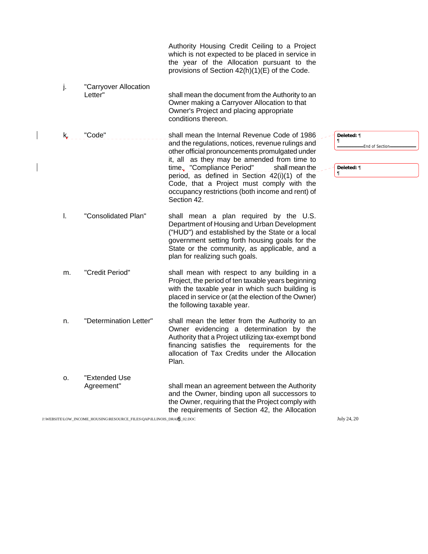|    |                                  | Authority Housing Credit Ceiling to a Project<br>which is not expected to be placed in service in<br>the year of the Allocation pursuant to the<br>provisions of Section 42(h)(1)(E) of the Code.                                                                                                                                                                                                                   |                                             |
|----|----------------------------------|---------------------------------------------------------------------------------------------------------------------------------------------------------------------------------------------------------------------------------------------------------------------------------------------------------------------------------------------------------------------------------------------------------------------|---------------------------------------------|
| j. | "Carryover Allocation<br>Letter" | shall mean the document from the Authority to an<br>Owner making a Carryover Allocation to that<br>Owner's Project and placing appropriate<br>conditions thereon.                                                                                                                                                                                                                                                   |                                             |
| k, | "Code"                           | shall mean the Internal Revenue Code of 1986<br>and the regulations, notices, revenue rulings and<br>other official pronouncements promulgated under<br>it, all as they may be amended from time to<br>time. "Compliance Period"<br>shall mean the<br>period, as defined in Section 42(i)(1) of the<br>Code, that a Project must comply with the<br>occupancy restrictions (both income and rent) of<br>Section 42. | Deleted: ¶<br>End of Section=<br>Deleted: ¶ |
| I. | "Consolidated Plan"              | shall mean a plan required by the U.S.<br>Department of Housing and Urban Development<br>("HUD") and established by the State or a local<br>government setting forth housing goals for the<br>State or the community, as applicable, and a<br>plan for realizing such goals.                                                                                                                                        |                                             |
| m. | "Credit Period"                  | shall mean with respect to any building in a<br>Project, the period of ten taxable years beginning<br>with the taxable year in which such building is<br>placed in service or (at the election of the Owner)<br>the following taxable year.                                                                                                                                                                         |                                             |
| n. | "Determination Letter"           | shall mean the letter from the Authority to an<br>Owner evidencing a determination by the<br>Authority that a Project utilizing tax-exempt bond<br>financing satisfies the requirements for the<br>allocation of Tax Credits under the Allocation<br>Plan.                                                                                                                                                          |                                             |
| о. | "Extended Use<br>Agreement"      | shall mean an agreement between the Authority<br>and the Owner, binding upon all successors to<br>the Owner, requiring that the Project comply with<br>the requirements of Section 42, the Allocation                                                                                                                                                                                                               |                                             |

J:\WEBSITE\LOW\_INCOME\_HOUSING\RESOURCE\_FILES\QAP\ILLINOIS\_DRAFT\_02.DOC **5** July 24, 20

 $\mathbf I$ 

 $\overline{\phantom{a}}$ 

ᆖ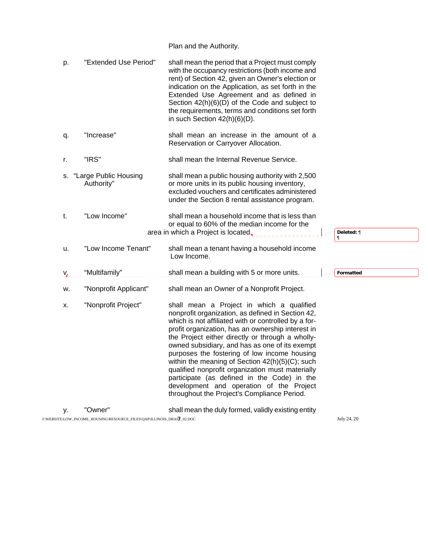Plan and the Authority.

| p. | "Extended Use Period"               | shall mean the period that a Project must comply<br>with the occupancy restrictions (both income and<br>rent) of Section 42, given an Owner's election or<br>indication on the Application, as set forth in the<br>Extended Use Agreement and as defined in<br>Section $42(h)(6)(D)$ of the Code and subject to<br>the requirements, terms and conditions set forth<br>in such Section $42(h)(6)(D)$ .                                                                                                                                                                                                             |                  |
|----|-------------------------------------|--------------------------------------------------------------------------------------------------------------------------------------------------------------------------------------------------------------------------------------------------------------------------------------------------------------------------------------------------------------------------------------------------------------------------------------------------------------------------------------------------------------------------------------------------------------------------------------------------------------------|------------------|
| q. | "Increase"                          | shall mean an increase in the amount of a<br>Reservation or Carryover Allocation.                                                                                                                                                                                                                                                                                                                                                                                                                                                                                                                                  |                  |
| r. | "IRS"                               | shall mean the Internal Revenue Service.                                                                                                                                                                                                                                                                                                                                                                                                                                                                                                                                                                           |                  |
| s. | "Large Public Housing<br>Authority" | shall mean a public housing authority with 2,500<br>or more units in its public housing inventory,<br>excluded vouchers and certificates administered<br>under the Section 8 rental assistance program.                                                                                                                                                                                                                                                                                                                                                                                                            |                  |
| t. | "Low Income"                        | shall mean a household income that is less than<br>or equal to 60% of the median income for the<br>area in which a Project is located.                                                                                                                                                                                                                                                                                                                                                                                                                                                                             | Deleted: ¶<br>ſ  |
| u. | "Low Income Tenant"                 | shall mean a tenant having a household income<br>Low Income.                                                                                                                                                                                                                                                                                                                                                                                                                                                                                                                                                       |                  |
| V, | "Multifamily"                       | shall mean a building with 5 or more units.                                                                                                                                                                                                                                                                                                                                                                                                                                                                                                                                                                        | <b>Formatted</b> |
| w. | "Nonprofit Applicant"               | shall mean an Owner of a Nonprofit Project.                                                                                                                                                                                                                                                                                                                                                                                                                                                                                                                                                                        |                  |
| х. | "Nonprofit Project"                 | shall mean a Project in which a qualified<br>nonprofit organization, as defined in Section 42,<br>which is not affiliated with or controlled by a for-<br>profit organization, has an ownership interest in<br>the Project either directly or through a wholly-<br>owned subsidiary, and has as one of its exempt<br>purposes the fostering of low income housing<br>within the meaning of Section 42(h)(5)(C); such<br>qualified nonprofit organization must materially<br>participate (as defined in the Code) in the<br>development and operation of the Project<br>throughout the Project's Compliance Period. |                  |
| у. | "Owner"                             | shall mean the duly formed, validly existing entity                                                                                                                                                                                                                                                                                                                                                                                                                                                                                                                                                                |                  |

J:\WEBSITE\LOW\_INCOME\_HOUSING\RESOURCE\_FILES\QAP\ILLINOIS\_DRAFT\_02.DOC 7 July 24, 20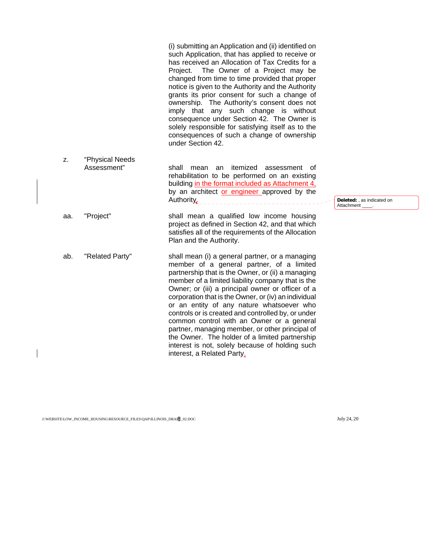(i) submitting an Application and (ii) identified on such Application, that has applied to receive or has received an Allocation of Tax Credits for a Project. The Owner of a Project may be changed from time to time provided that proper notice is given to the Authority and the Authority grants its prior consent for such a change of ownership. The Authority's consent does not imply that any such change is without consequence under Section 42. The Owner is solely responsible for satisfying itself as to the consequences of such a change of ownership under Section 42.

| Assessment" | shall mean an itemized assessment of<br>rehabilitation to be performed on an existing<br>building in the format included as Attachment 4,<br>by an architect or engineer approved by the |
|-------------|------------------------------------------------------------------------------------------------------------------------------------------------------------------------------------------|
|             | Authority.<br>_________________________________                                                                                                                                          |

- aa. "Project" shall mean a qualified low income housing project as defined in Section 42, and that which satisfies all of the requirements of the Allocation Plan and the Authority.
- ab. "Related Party" shall mean (i) a general partner, or a managing member of a general partner, of a limited partnership that is the Owner, or (ii) a managing member of a limited liability company that is the Owner; or (iii) a principal owner or officer of a corporation that is the Owner, or (iv) an individual or an entity of any nature whatsoever who controls or is created and controlled by, or under common control with an Owner or a general partner, managing member, or other principal of the Owner. The holder of a limited partnership interest is not, solely because of holding such interest, a Related Party.

J:\WEBSITE\LOW\_INCOME\_HOUSING\RESOURCE\_FILES\QAP\ILLINOIS\_DRAFT\_02.DOC **3** July 24, 20

z. "Physical Needs

**Deleted:** , as indicated on

**Attachment**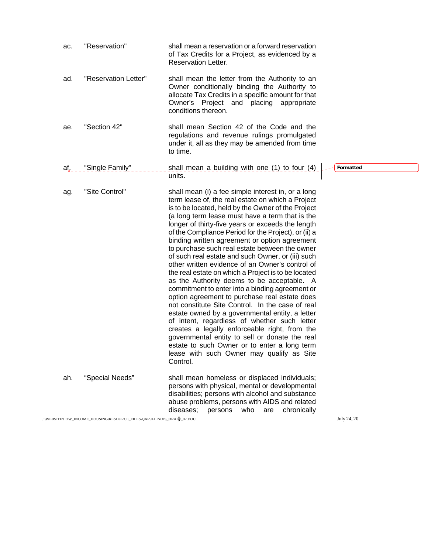| ac. | "Reservation"        | shall mean a reservation or a forward reservation<br>of Tax Credits for a Project, as evidenced by a<br>Reservation Letter.                                                                                                                                                                                                                                                                                                                                                                                                                                                                                                                                                                                                                                                                                                                                                                                                                                                                                                                                                                                          |
|-----|----------------------|----------------------------------------------------------------------------------------------------------------------------------------------------------------------------------------------------------------------------------------------------------------------------------------------------------------------------------------------------------------------------------------------------------------------------------------------------------------------------------------------------------------------------------------------------------------------------------------------------------------------------------------------------------------------------------------------------------------------------------------------------------------------------------------------------------------------------------------------------------------------------------------------------------------------------------------------------------------------------------------------------------------------------------------------------------------------------------------------------------------------|
| ad. | "Reservation Letter" | shall mean the letter from the Authority to an<br>Owner conditionally binding the Authority to<br>allocate Tax Credits in a specific amount for that<br>Owner's Project and placing<br>appropriate<br>conditions thereon.                                                                                                                                                                                                                                                                                                                                                                                                                                                                                                                                                                                                                                                                                                                                                                                                                                                                                            |
| ae. | "Section 42"         | shall mean Section 42 of the Code and the<br>regulations and revenue rulings promulgated<br>under it, all as they may be amended from time<br>to time.                                                                                                                                                                                                                                                                                                                                                                                                                                                                                                                                                                                                                                                                                                                                                                                                                                                                                                                                                               |
| af. | "Single Family"      | shall mean a building with one (1) to four (4)<br>Formatted<br>units.                                                                                                                                                                                                                                                                                                                                                                                                                                                                                                                                                                                                                                                                                                                                                                                                                                                                                                                                                                                                                                                |
| ag. | "Site Control"       | shall mean (i) a fee simple interest in, or a long<br>term lease of, the real estate on which a Project<br>is to be located, held by the Owner of the Project<br>(a long term lease must have a term that is the<br>longer of thirty-five years or exceeds the length<br>of the Compliance Period for the Project), or (ii) a<br>binding written agreement or option agreement<br>to purchase such real estate between the owner<br>of such real estate and such Owner, or (iii) such<br>other written evidence of an Owner's control of<br>the real estate on which a Project is to be located<br>as the Authority deems to be acceptable. A<br>commitment to enter into a binding agreement or<br>option agreement to purchase real estate does<br>not constitute Site Control. In the case of real<br>estate owned by a governmental entity, a letter<br>of intent, regardless of whether such letter<br>creates a legally enforceable right, from the<br>governmental entity to sell or donate the real<br>estate to such Owner or to enter a long term<br>lease with such Owner may qualify as Site<br>Control. |
| ah. | "Special Needs"      | shall mean homeless or displaced individuals;<br>persons with physical, mental or developmental<br>disabilities; persons with alcohol and substance<br>abuse problems, persons with AIDS and related<br>diseases;<br>persons<br>who<br>are<br>chronically                                                                                                                                                                                                                                                                                                                                                                                                                                                                                                                                                                                                                                                                                                                                                                                                                                                            |

J:\WEBSITE\LOW\_INCOME\_HOUSING\RESOURCE\_FILES\QAP\ILLINOIS\_DRAFT\_02.DOC July 24, 20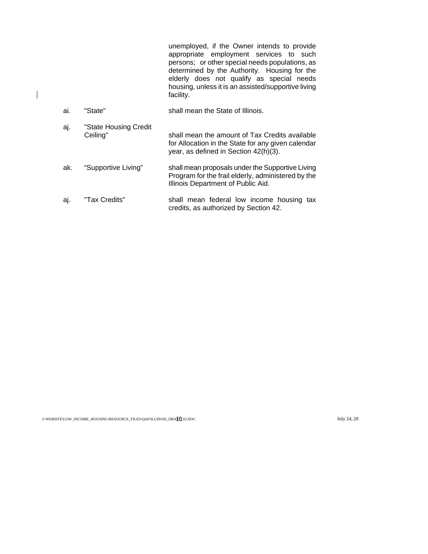unemployed, if the Owner intends to provide appropriate employment services to such persons; or other special needs populations, as determined by the Authority. Housing for the elderly does not qualify as special needs housing, unless it is an assisted/supportive living facility.

ai. "State" shall mean the State of Illinois. aj. "State Housing Credit Ceiling" shall mean the amount of Tax Credits available for Allocation in the State for any given calendar year, as defined in Section 42(h)(3). ak. "Supportive Living" shall mean proposals under the Supportive Living Program for the frail elderly, administered by the Illinois Department of Public Aid. aj. "Tax Credits" shall mean federal low income housing tax credits, as authorized by Section 42.

J:\WEBSITE\LOW\_INCOME\_HOUSING\RESOURCE\_FILES\QAP\ILLINOIS\_DRAFTQ02.DOC 10 July 24, 20 July 24, 20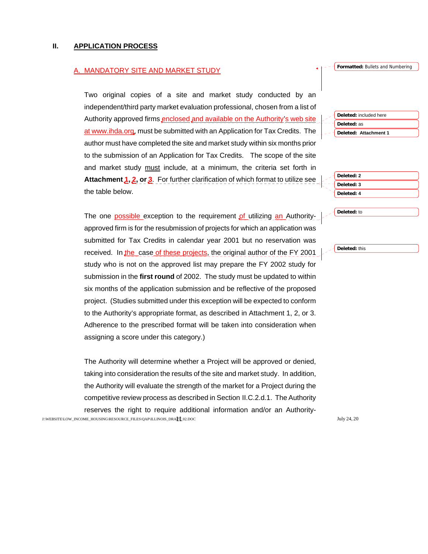#### **II. APPLICATION PROCESS**

#### A. MANDATORY SITE AND MARKET STUDY

Two original copies of a site and market study conducted by an independent/third party market evaluation professional, chosen from a list of Authority approved firms enclosed and available on the Authority's web site at www.ihda.org, must be submitted with an Application for Tax Credits. The author must have completed the site and market study within six months prior to the submission of an Application for Tax Credits. The scope of the site and market study must include, at a minimum, the criteria set forth in **Attachment 1, 2, or 3**. For further clarification of which format to utilize see the table below.

The one possible exception to the requirement  $\rho f$  utilizing an Authorityapproved firm is for the resubmission of projects for which an application was submitted for Tax Credits in calendar year 2001 but no reservation was received. In the case of these projects, the original author of the FY 2001 study who is not on the approved list may prepare the FY 2002 study for submission in the **first round** of 2002. The study must be updated to within six months of the application submission and be reflective of the proposed project. (Studies submitted under this exception will be expected to conform to the Authority's appropriate format, as described in Attachment 1, 2, or 3. Adherence to the prescribed format will be taken into consideration when assigning a score under this category.)

The Authority will determine whether a Project will be approved or denied, taking into consideration the results of the site and market study. In addition, the Authority will evaluate the strength of the market for a Project during the competitive review process as described in Section II.C.2.d.1. The Authority reserves the right to require additional information and/or an Authority-

J:\WEBSITE\LOW\_INCOME\_HOUSING\RESOURCE\_FILES\QAP\ILLINOIS\_DRA**ft1**\_02.DOC **11** July 24, 20

**Formatted:** Bullets and Numbering

**Deleted:** included here **Deleted:** as **Deleted: Attachment 1**

| Deleted: 2 |
|------------|
| Deleted: 3 |
| Deleted: 4 |

**Deleted:** to

**Deleted:** this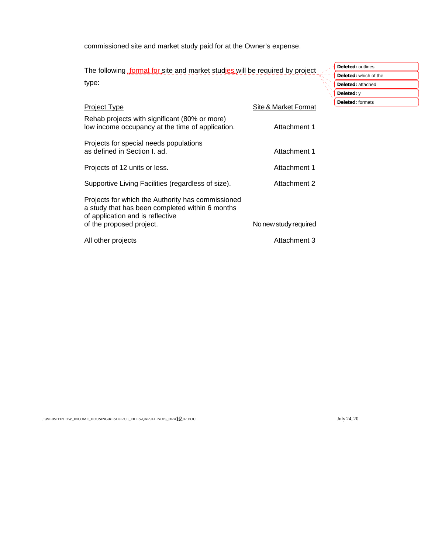commissioned site and market study paid for at the Owner's expense.

|                                                                                                                                                                      | Deleted: outlines<br>The following format for site and market studies will be required by project<br>Deleted: which of the<br>Deleted: attached |                  |
|----------------------------------------------------------------------------------------------------------------------------------------------------------------------|-------------------------------------------------------------------------------------------------------------------------------------------------|------------------|
|                                                                                                                                                                      |                                                                                                                                                 |                  |
| type:                                                                                                                                                                |                                                                                                                                                 |                  |
|                                                                                                                                                                      |                                                                                                                                                 | Deleted: y       |
| <b>Project Type</b>                                                                                                                                                  | <b>Site &amp; Market Format</b>                                                                                                                 | Deleted: formats |
| Rehab projects with significant (80% or more)<br>low income occupancy at the time of application.                                                                    | Attachment 1                                                                                                                                    |                  |
| Projects for special needs populations<br>as defined in Section I. ad.                                                                                               | Attachment 1                                                                                                                                    |                  |
| Projects of 12 units or less.                                                                                                                                        | Attachment 1                                                                                                                                    |                  |
| Supportive Living Facilities (regardless of size).                                                                                                                   | Attachment 2                                                                                                                                    |                  |
| Projects for which the Authority has commissioned<br>a study that has been completed within 6 months<br>of application and is reflective<br>of the proposed project. | No new study required                                                                                                                           |                  |
|                                                                                                                                                                      |                                                                                                                                                 |                  |
| All other projects                                                                                                                                                   | Attachment 3                                                                                                                                    |                  |

J:\WEBSITE\LOW\_INCOME\_HOUSING\RESOURCE\_FILES\QAP\ILLINOIS\_DRAFQ\_02.DOC 12 July 24, 20

 $\overline{\phantom{a}}$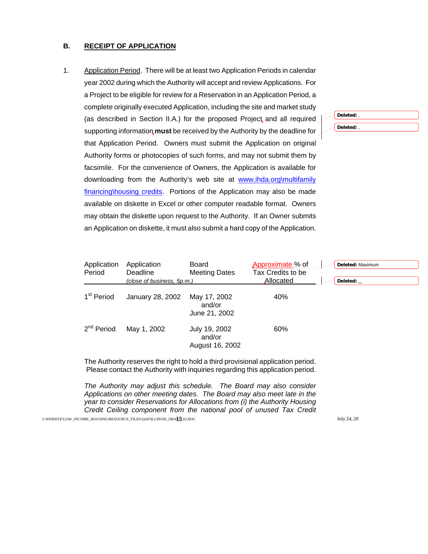#### **B. RECEIPT OF APPLICATION**

1. Application Period. There will be at least two Application Periods in calendar year 2002 during which the Authority will accept and review Applications. For a Project to be eligible for review for a Reservation in an Application Period, a complete originally executed Application, including the site and market study (as described in Section II.A.) for the proposed Project and all required supporting information **must** be received by the Authority by the deadline for that Application Period. Owners must submit the Application on original Authority forms or photocopies of such forms, and may not submit them by facsimile. For the convenience of Owners, the Application is available for downloading from the Authority's web site at www.ihda.org\multifamily financing\housing credits. Portions of the Application may also be made available on diskette in Excel or other computer readable format. Owners may obtain the diskette upon request to the Authority. If an Owner submits an Application on diskette, it must also submit a hard copy of the Application.

**Deleted:** , **Deleted:** ,

| Application<br>Period  | Application<br>Deadline<br>(close of business, 5p.m.) | <b>Board</b><br><b>Meeting Dates</b>       | Approximate % of<br>Tax Credits to be<br>Allocated | Deleted: Maximum<br>Deleted: _ |
|------------------------|-------------------------------------------------------|--------------------------------------------|----------------------------------------------------|--------------------------------|
| 1 <sup>st</sup> Period | January 28, 2002                                      | May 17, 2002<br>and/or<br>June 21, 2002    | 40%                                                |                                |
| $2nd$ Period           | May 1, 2002                                           | July 19, 2002<br>and/or<br>August 16, 2002 | 60%                                                |                                |

The Authority reserves the right to hold a third provisional application period. Please contact the Authority with inquiries regarding this application period.

*The Authority may adjust this schedule. The Board may also consider Applications on other meeting dates. The Board may also meet late in the year to consider Reservations for Allocations from (i) the Authority Housing Credit Ceiling component from the national pool of unused Tax Credit* 

J:\WEBSITE\LOW\_INCOME\_HOUSING\RESOURCE\_FILES\QAP\ILLINOIS\_DRAFT&02.DOC 13 July 24, 20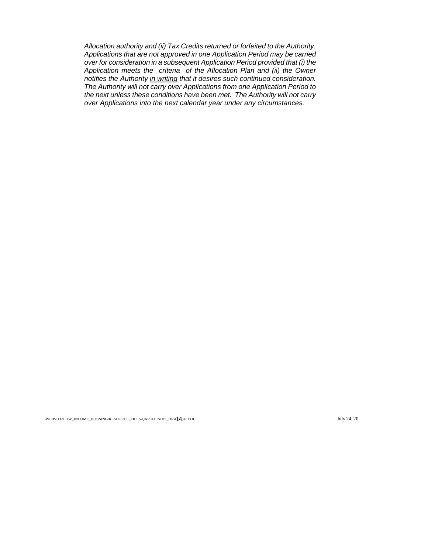*Allocation authority and (ii) Tax Credits returned or forfeited to the Authority. Applications that are not approved in one Application Period may be carried over for consideration in a subsequent Application Period provided that (i) the Application meets the criteria of the Allocation Plan and (ii) the Owner notifies the Authority in writing that it desires such continued consideration. The Authority will not carry over Applications from one Application Period to the next unless these conditions have been met. The Authority will not carry over Applications into the next calendar year under any circumstances.* 

J:\WEBSITE\LOW\_INCOME\_HOUSING\RESOURCE\_FILES\QAP\ILLINOIS\_DRA**ft1**\_02.DOC **14 July 24, 20** July 24, 20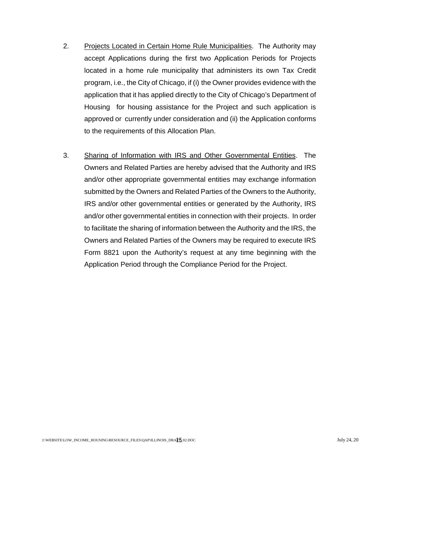- 2. Projects Located in Certain Home Rule Municipalities. The Authority may accept Applications during the first two Application Periods for Projects located in a home rule municipality that administers its own Tax Credit program, i.e., the City of Chicago, if (i) the Owner provides evidence with the application that it has applied directly to the City of Chicago's Department of Housing for housing assistance for the Project and such application is approved or currently under consideration and (ii) the Application conforms to the requirements of this Allocation Plan.
- 3. Sharing of Information with IRS and Other Governmental Entities. The Owners and Related Parties are hereby advised that the Authority and IRS and/or other appropriate governmental entities may exchange information submitted by the Owners and Related Parties of the Owners to the Authority, IRS and/or other governmental entities or generated by the Authority, IRS and/or other governmental entities in connection with their projects. In order to facilitate the sharing of information between the Authority and the IRS, the Owners and Related Parties of the Owners may be required to execute IRS Form 8821 upon the Authority's request at any time beginning with the Application Period through the Compliance Period for the Project.

J:\WEBSITE\LOW\_INCOME\_HOUSING\RESOURCE\_FILES\QAP\ILLINOIS\_DRAFT\DQ2DOC 15 July 24, 20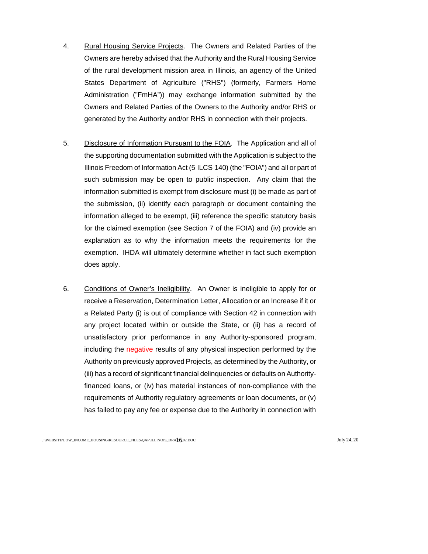- 4. Rural Housing Service Projects. The Owners and Related Parties of the Owners are hereby advised that the Authority and the Rural Housing Service of the rural development mission area in Illinois, an agency of the United States Department of Agriculture ("RHS") (formerly, Farmers Home Administration ("FmHA")) may exchange information submitted by the Owners and Related Parties of the Owners to the Authority and/or RHS or generated by the Authority and/or RHS in connection with their projects.
- 5. Disclosure of Information Pursuant to the FOIA. The Application and all of the supporting documentation submitted with the Application is subject to the Illinois Freedom of Information Act (5 ILCS 140) (the "FOIA") and all or part of such submission may be open to public inspection. Any claim that the information submitted is exempt from disclosure must (i) be made as part of the submission, (ii) identify each paragraph or document containing the information alleged to be exempt, (iii) reference the specific statutory basis for the claimed exemption (see Section 7 of the FOIA) and (iv) provide an explanation as to why the information meets the requirements for the exemption. IHDA will ultimately determine whether in fact such exemption does apply.
- 6. Conditions of Owner's Ineligibility. An Owner is ineligible to apply for or receive a Reservation, Determination Letter, Allocation or an Increase if it or a Related Party (i) is out of compliance with Section 42 in connection with any project located within or outside the State, or (ii) has a record of unsatisfactory prior performance in any Authority-sponsored program, including the negative results of any physical inspection performed by the Authority on previously approved Projects, as determined by the Authority, or (iii) has a record of significant financial delinquencies or defaults on Authorityfinanced loans, or (iv) has material instances of non-compliance with the requirements of Authority regulatory agreements or loan documents, or (v) has failed to pay any fee or expense due to the Authority in connection with

J:\WEBSITE\LOW\_INCOME\_HOUSING\RESOURCE\_FILES\QAP\ILLINOIS\_DRAFT\\$02.DOC 16 July 24, 20 July 24, 20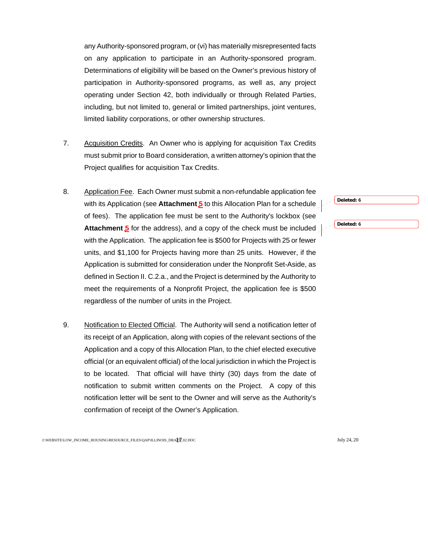any Authority-sponsored program, or (vi) has materially misrepresented facts on any application to participate in an Authority-sponsored program. Determinations of eligibility will be based on the Owner's previous history of participation in Authority-sponsored programs, as well as, any project operating under Section 42, both individually or through Related Parties, including, but not limited to, general or limited partnerships, joint ventures, limited liability corporations, or other ownership structures.

- 7. Acquisition Credits. An Owner who is applying for acquisition Tax Credits must submit prior to Board consideration, a written attorney's opinion that the Project qualifies for acquisition Tax Credits.
- 8. Application Fee. Each Owner must submit a non-refundable application fee with its Application (see **Attachment 5** to this Allocation Plan for a schedule of fees). The application fee must be sent to the Authority's lockbox (see **Attachment 5** for the address), and a copy of the check must be included with the Application. The application fee is \$500 for Projects with 25 or fewer units, and \$1,100 for Projects having more than 25 units. However, if the Application is submitted for consideration under the Nonprofit Set-Aside, as defined in Section II. C.2.a., and the Project is determined by the Authority to meet the requirements of a Nonprofit Project, the application fee is \$500 regardless of the number of units in the Project.
- 9. Notification to Elected Official. The Authority will send a notification letter of its receipt of an Application, along with copies of the relevant sections of the Application and a copy of this Allocation Plan, to the chief elected executive official (or an equivalent official) of the local jurisdiction in which the Project is to be located. That official will have thirty (30) days from the date of notification to submit written comments on the Project. A copy of this notification letter will be sent to the Owner and will serve as the Authority's confirmation of receipt of the Owner's Application.

J:\WEBSITE\LOW\_INCOME\_HOUSING\RESOURCE\_FILES\QAP\ILLINOIS\_DRAFT\_02.DOC 17 July 24, 20

# **Deleted: 6 Deleted: 6**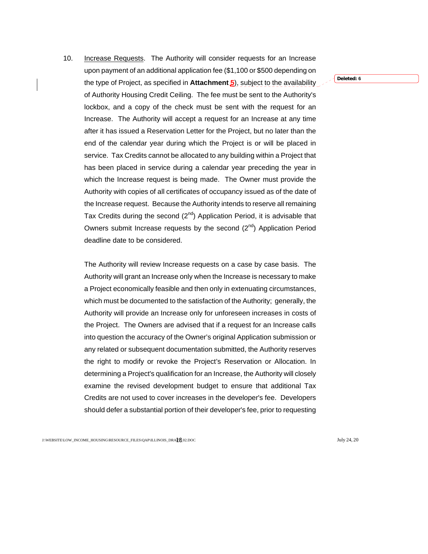10. Increase Requests. The Authority will consider requests for an Increase upon payment of an additional application fee (\$1,100 or \$500 depending on the type of Project, as specified in **Attachment 5**), subject to the availability of Authority Housing Credit Ceiling. The fee must be sent to the Authority's lockbox, and a copy of the check must be sent with the request for an Increase. The Authority will accept a request for an Increase at any time after it has issued a Reservation Letter for the Project, but no later than the end of the calendar year during which the Project is or will be placed in service. Tax Credits cannot be allocated to any building within a Project that has been placed in service during a calendar year preceding the year in which the Increase request is being made. The Owner must provide the Authority with copies of all certificates of occupancy issued as of the date of the Increase request. Because the Authority intends to reserve all remaining Tax Credits during the second  $(2^{nd})$  Application Period, it is advisable that Owners submit Increase requests by the second  $(2^{nd})$  Application Period deadline date to be considered.

The Authority will review Increase requests on a case by case basis. The Authority will grant an Increase only when the Increase is necessary to make a Project economically feasible and then only in extenuating circumstances, which must be documented to the satisfaction of the Authority; generally, the Authority will provide an Increase only for unforeseen increases in costs of the Project. The Owners are advised that if a request for an Increase calls into question the accuracy of the Owner's original Application submission or any related or subsequent documentation submitted, the Authority reserves the right to modify or revoke the Project's Reservation or Allocation. In determining a Project's qualification for an Increase, the Authority will closely examine the revised development budget to ensure that additional Tax Credits are not used to cover increases in the developer's fee. Developers should defer a substantial portion of their developer's fee, prior to requesting

J:\WEBSITE\LOW\_INCOME\_HOUSING\RESOURCE\_FILES\QAP\ILLINOIS\_DRAFTQ02.DOC 18 July 24, 20 July 24, 20

**Deleted: 6**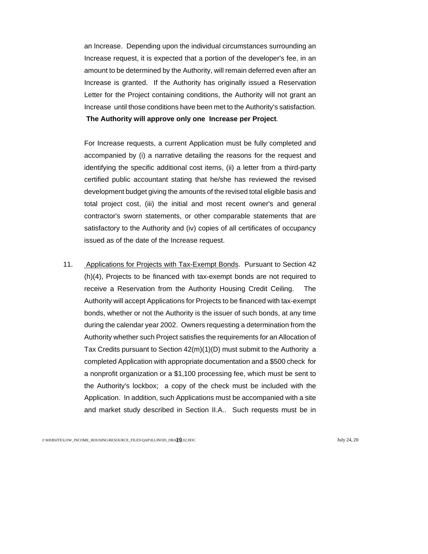an Increase. Depending upon the individual circumstances surrounding an Increase request, it is expected that a portion of the developer's fee, in an amount to be determined by the Authority, will remain deferred even after an Increase is granted. If the Authority has originally issued a Reservation Letter for the Project containing conditions, the Authority will not grant an Increase until those conditions have been met to the Authority's satisfaction.

 **The Authority will approve only one Increase per Project**.

For Increase requests, a current Application must be fully completed and accompanied by (i) a narrative detailing the reasons for the request and identifying the specific additional cost items, (ii) a letter from a third-party certified public accountant stating that he/she has reviewed the revised development budget giving the amounts of the revised total eligible basis and total project cost, (iii) the initial and most recent owner's and general contractor's sworn statements, or other comparable statements that are satisfactory to the Authority and (iv) copies of all certificates of occupancy issued as of the date of the Increase request.

11. Applications for Projects with Tax-Exempt Bonds. Pursuant to Section 42 (h)(4), Projects to be financed with tax-exempt bonds are not required to receive a Reservation from the Authority Housing Credit Ceiling. The Authority will accept Applications for Projects to be financed with tax-exempt bonds, whether or not the Authority is the issuer of such bonds, at any time during the calendar year 2002. Owners requesting a determination from the Authority whether such Project satisfies the requirements for an Allocation of Tax Credits pursuant to Section 42(m)(1)(D) must submit to the Authority a completed Application with appropriate documentation and a \$500 check for a nonprofit organization or a \$1,100 processing fee, which must be sent to the Authority's lockbox; a copy of the check must be included with the Application. In addition, such Applications must be accompanied with a site and market study described in Section II.A.. Such requests must be in

J:\WEBSITE\LOW\_INCOME\_HOUSING\RESOURCE\_FILES\QAP\ILLINOIS\_DRAFFQ02.DOC 19 July 24, 20 July 24, 20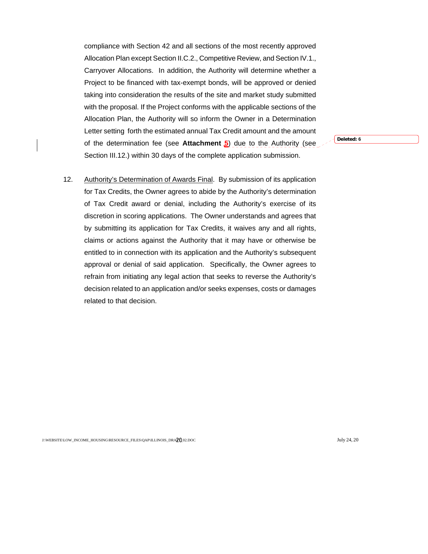compliance with Section 42 and all sections of the most recently approved Allocation Plan except Section II.C.2., Competitive Review, and Section IV.1., Carryover Allocations. In addition, the Authority will determine whether a Project to be financed with tax-exempt bonds, will be approved or denied taking into consideration the results of the site and market study submitted with the proposal. If the Project conforms with the applicable sections of the Allocation Plan, the Authority will so inform the Owner in a Determination Letter setting forth the estimated annual Tax Credit amount and the amount of the determination fee (see **Attachment 5**) due to the Authority (see Section III.12.) within 30 days of the complete application submission.

12. Authority's Determination of Awards Final. By submission of its application for Tax Credits, the Owner agrees to abide by the Authority's determination of Tax Credit award or denial, including the Authority's exercise of its discretion in scoring applications. The Owner understands and agrees that by submitting its application for Tax Credits, it waives any and all rights, claims or actions against the Authority that it may have or otherwise be entitled to in connection with its application and the Authority's subsequent approval or denial of said application. Specifically, the Owner agrees to refrain from initiating any legal action that seeks to reverse the Authority's decision related to an application and/or seeks expenses, costs or damages related to that decision.

**Deleted: 6**

J:\WEBSITE\LOW\_INCOME\_HOUSING\RESOURCE\_FILES\QAP\ILLINOIS\_DRAPTQ02.DOC 30 July 24, 20 July 24, 20 July 24, 20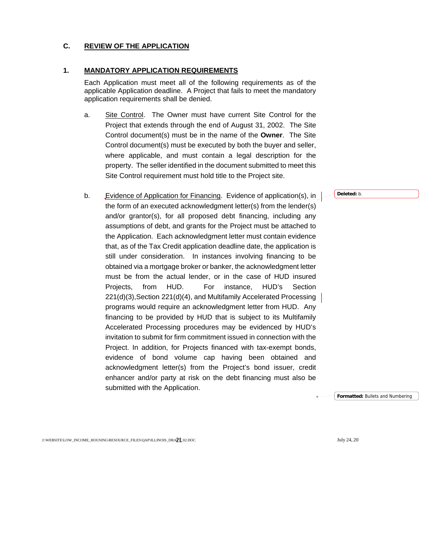#### **C. REVIEW OF THE APPLICATION**

#### **1. MANDATORY APPLICATION REQUIREMENTS**

Each Application must meet all of the following requirements as of the applicable Application deadline. A Project that fails to meet the mandatory application requirements shall be denied.

- a. Site Control. The Owner must have current Site Control for the Project that extends through the end of August 31, 2002. The Site Control document(s) must be in the name of the **Owner**. The Site Control document(s) must be executed by both the buyer and seller, where applicable, and must contain a legal description for the property. The seller identified in the document submitted to meet this Site Control requirement must hold title to the Project site.
- b. Evidence of Application for Financing. Evidence of application(s), in  $\downarrow$ the form of an executed acknowledgment letter(s) from the lender(s) and/or grantor(s), for all proposed debt financing, including any assumptions of debt, and grants for the Project must be attached to the Application. Each acknowledgment letter must contain evidence that, as of the Tax Credit application deadline date, the application is still under consideration. In instances involving financing to be obtained via a mortgage broker or banker, the acknowledgment letter must be from the actual lender, or in the case of HUD insured Projects, from HUD. For instance, HUD's Section 221(d)(3),Section 221(d)(4), and Multifamily Accelerated Processing programs would require an acknowledgment letter from HUD. Any financing to be provided by HUD that is subject to its Multifamily Accelerated Processing procedures may be evidenced by HUD's invitation to submit for firm commitment issued in connection with the Project. In addition, for Projects financed with tax-exempt bonds, evidence of bond volume cap having been obtained and acknowledgment letter(s) from the Project's bond issuer, credit enhancer and/or party at risk on the debt financing must also be submitted with the Application.

**Formatted:** Bullets and Numbering

J:\WEBSITE\LOW\_INCOME\_HOUSING\RESOURCE\_FILES\QAP\ILLINOIS\_DRAPT\_02.DOC 20 July 24, 20 July 24, 20

**Deleted:** b.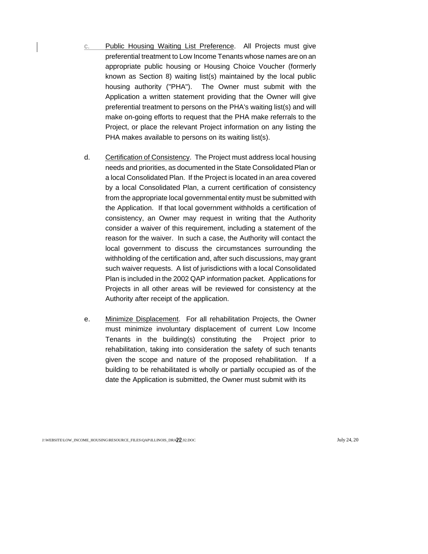- c. Public Housing Waiting List Preference. All Projects must give preferential treatment to Low Income Tenants whose names are on an appropriate public housing or Housing Choice Voucher (formerly known as Section 8) waiting list(s) maintained by the local public housing authority ("PHA"). The Owner must submit with the Application a written statement providing that the Owner will give preferential treatment to persons on the PHA's waiting list(s) and will make on-going efforts to request that the PHA make referrals to the Project, or place the relevant Project information on any listing the PHA makes available to persons on its waiting list(s).
- d. Certification of Consistency. The Project must address local housing needs and priorities, as documented in the State Consolidated Plan or a local Consolidated Plan. If the Project is located in an area covered by a local Consolidated Plan, a current certification of consistency from the appropriate local governmental entity must be submitted with the Application. If that local government withholds a certification of consistency, an Owner may request in writing that the Authority consider a waiver of this requirement, including a statement of the reason for the waiver. In such a case, the Authority will contact the local government to discuss the circumstances surrounding the withholding of the certification and, after such discussions, may grant such waiver requests. A list of jurisdictions with a local Consolidated Plan is included in the 2002 QAP information packet. Applications for Projects in all other areas will be reviewed for consistency at the Authority after receipt of the application.
- e. Minimize Displacement. For all rehabilitation Projects, the Owner must minimize involuntary displacement of current Low Income Tenants in the building(s) constituting the Project prior to rehabilitation, taking into consideration the safety of such tenants given the scope and nature of the proposed rehabilitation. If a building to be rehabilitated is wholly or partially occupied as of the date the Application is submitted, the Owner must submit with its

J:\WEBSITE\LOW\_INCOME\_HOUSING\RESOURCE\_FILES\QAP\ILLINOIS\_DRAPTQ 02.DOC 22 July 24, 20 July 24, 20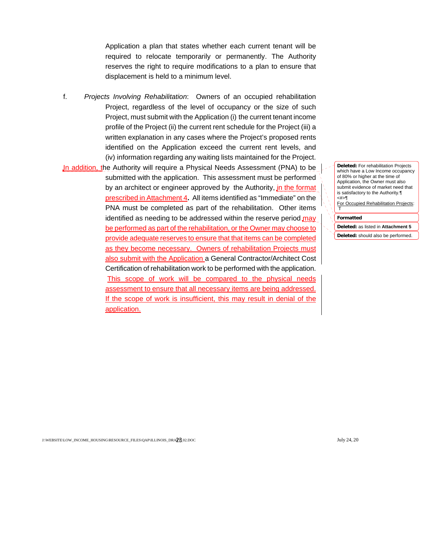Application a plan that states whether each current tenant will be required to relocate temporarily or permanently. The Authority reserves the right to require modifications to a plan to ensure that displacement is held to a minimum level.

- f. *Projects Involving Rehabilitation*: Owners of an occupied rehabilitation Project, regardless of the level of occupancy or the size of such Project, must submit with the Application (i) the current tenant income profile of the Project (ii) the current rent schedule for the Project (iii) a written explanation in any cases where the Project's proposed rents identified on the Application exceed the current rent levels, and (iv) information regarding any waiting lists maintained for the Project.
- In addition, the Authority will require a Physical Needs Assessment (PNA) to be submitted with the application. This assessment must be performed by an architect or engineer approved by the Authority, in the format prescribed in Attachment 4**.** All items identified as "Immediate" on the PNA must be completed as part of the rehabilitation. Other items identified as needing to be addressed within the reserve period may be performed as part of the rehabilitation, or the Owner may choose to provide adequate reserves to ensure that that items can be completed as they become necessary. Owners of rehabilitation Projects must also submit with the Application a General Contractor/Architect Cost Certification of rehabilitation work to be performed with the application. This scope of work will be compared to the physical needs assessment to ensure that all necessary items are being addressed. If the scope of work is insufficient, this may result in denial of the application.



**Deleted:** as listed in **Attachment 5**

**Deleted:** should also be performed.

J:\WEBSITE\LOW\_INCOME\_HOUSING\RESOURCE\_FILES\QAP\ILLINOIS\_DRAPEQ 02.DOC 23 July 24, 20 July 24, 20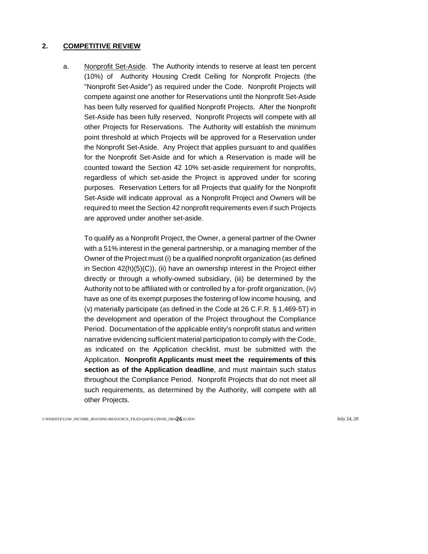#### **2. COMPETITIVE REVIEW**

a. Nonprofit Set-Aside. The Authority intends to reserve at least ten percent (10%) of Authority Housing Credit Ceiling for Nonprofit Projects (the "Nonprofit Set-Aside") as required under the Code. Nonprofit Projects will compete against one another for Reservations until the Nonprofit Set-Aside has been fully reserved for qualified Nonprofit Projects. After the Nonprofit Set-Aside has been fully reserved, Nonprofit Projects will compete with all other Projects for Reservations. The Authority will establish the minimum point threshold at which Projects will be approved for a Reservation under the Nonprofit Set-Aside. Any Project that applies pursuant to and qualifies for the Nonprofit Set-Aside and for which a Reservation is made will be counted toward the Section 42 10% set-aside requirement for nonprofits, regardless of which set-aside the Project is approved under for scoring purposes. Reservation Letters for all Projects that qualify for the Nonprofit Set-Aside will indicate approval as a Nonprofit Project and Owners will be required to meet the Section 42 nonprofit requirements even if such Projects are approved under another set-aside.

To qualify as a Nonprofit Project, the Owner, a general partner of the Owner with a 51% interest in the general partnership, or a managing member of the Owner of the Project must (i) be a qualified nonprofit organization (as defined in Section 42(h)(5)(C)), (ii) have an ownership interest in the Project either directly or through a wholly-owned subsidiary, (iii) be determined by the Authority not to be affiliated with or controlled by a for-profit organization, (iv) have as one of its exempt purposes the fostering of low income housing, and (v) materially participate (as defined in the Code at 26 C.F.R. § 1,469-5T) in the development and operation of the Project throughout the Compliance Period. Documentation of the applicable entity's nonprofit status and written narrative evidencing sufficient material participation to comply with the Code, as indicated on the Application checklist, must be submitted with the Application. **Nonprofit Applicants must meet the requirements of this section as of the Application deadline**, and must maintain such status throughout the Compliance Period. Nonprofit Projects that do not meet all such requirements, as determined by the Authority, will compete with all other Projects.

J:\WEBSITE\LOW\_INCOME\_HOUSING\RESOURCE\_FILES\QAP\ILLINOIS\_DRAPT\_02.DOC 24 July 24, 20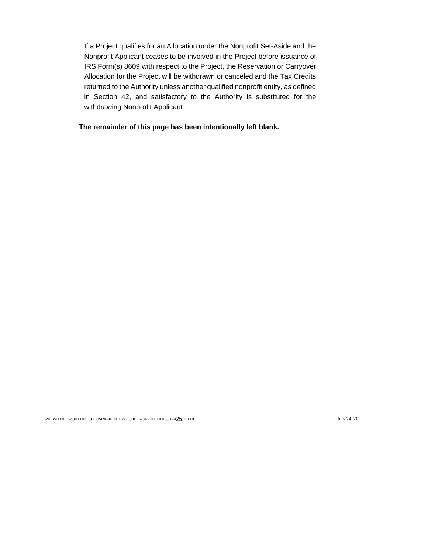If a Project qualifies for an Allocation under the Nonprofit Set-Aside and the Nonprofit Applicant ceases to be involved in the Project before issuance of IRS Form(s) 8609 with respect to the Project, the Reservation or Carryover Allocation for the Project will be withdrawn or canceled and the Tax Credits returned to the Authority unless another qualified nonprofit entity, as defined in Section 42, and satisfactory to the Authority is substituted for the withdrawing Nonprofit Applicant.

**The remainder of this page has been intentionally left blank.**

J:\WEBSITE\LOW\_INCOME\_HOUSING\RESOURCE\_FILES\QAP\ILLINOIS\_DRAPED\_02.DOC 25 July 24, 20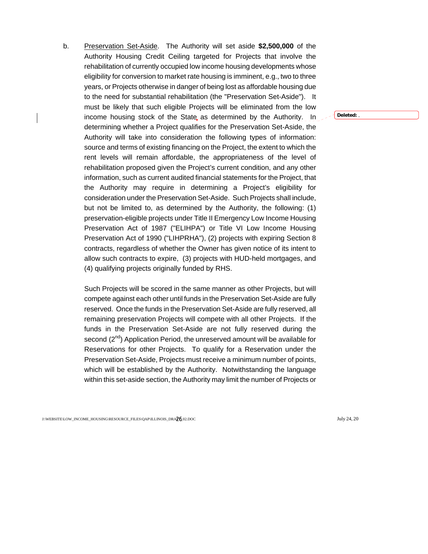b. Preservation Set-Aside. The Authority will set aside **\$2,500,000** of the Authority Housing Credit Ceiling targeted for Projects that involve the rehabilitation of currently occupied low income housing developments whose eligibility for conversion to market rate housing is imminent, e.g., two to three years, or Projects otherwise in danger of being lost as affordable housing due to the need for substantial rehabilitation (the "Preservation Set-Aside"). It must be likely that such eligible Projects will be eliminated from the low income housing stock of the State as determined by the Authority. In determining whether a Project qualifies for the Preservation Set-Aside, the Authority will take into consideration the following types of information: source and terms of existing financing on the Project, the extent to which the rent levels will remain affordable, the appropriateness of the level of rehabilitation proposed given the Project's current condition, and any other information, such as current audited financial statements for the Project, that the Authority may require in determining a Project's eligibility for consideration under the Preservation Set-Aside. Such Projects shall include, but not be limited to, as determined by the Authority, the following: (1) preservation-eligible projects under Title II Emergency Low Income Housing Preservation Act of 1987 ("ELIHPA") or Title VI Low Income Housing Preservation Act of 1990 ("LIHPRHA"), (2) projects with expiring Section 8 contracts, regardless of whether the Owner has given notice of its intent to allow such contracts to expire, (3) projects with HUD-held mortgages, and (4) qualifying projects originally funded by RHS.

Such Projects will be scored in the same manner as other Projects, but will compete against each other until funds in the Preservation Set-Aside are fully reserved. Once the funds in the Preservation Set-Aside are fully reserved, all remaining preservation Projects will compete with all other Projects. If the funds in the Preservation Set-Aside are not fully reserved during the second  $(2^{nd})$  Application Period, the unreserved amount will be available for Reservations for other Projects. To qualify for a Reservation under the Preservation Set-Aside, Projects must receive a minimum number of points, which will be established by the Authority. Notwithstanding the language within this set-aside section, the Authority may limit the number of Projects or

J:\WEBSITE\LOW\_INCOME\_HOUSING\RESOURCE\_FILES\QAP\ILLINOIS\_DRA**P6**\_02.DOC 26 July 24, 20 July 24, 20

**Deleted:** ,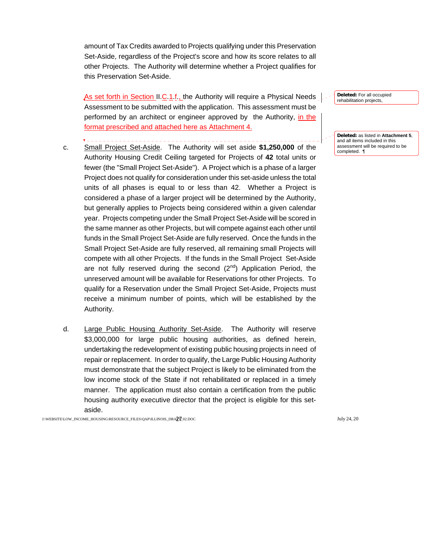amount of Tax Credits awarded to Projects qualifying under this Preservation Set-Aside, regardless of the Project's score and how its score relates to all other Projects. The Authority will determine whether a Project qualifies for this Preservation Set-Aside.

As set forth in Section II.C.1.f., the Authority will require a Physical Needs Assessment to be submitted with the application. This assessment must be performed by an architect or engineer approved by the Authority, in the format prescribed and attached here as Attachment 4.

c. Small Project Set-Aside. The Authority will set aside **\$1,250,000** of the

- Authority Housing Credit Ceiling targeted for Projects of **42** total units or fewer (the "Small Project Set-Aside"). A Project which is a phase of a larger Project does not qualify for consideration under this set-aside unless the total units of all phases is equal to or less than 42. Whether a Project is considered a phase of a larger project will be determined by the Authority, but generally applies to Projects being considered within a given calendar year. Projects competing under the Small Project Set-Aside will be scored in the same manner as other Projects, but will compete against each other until funds in the Small Project Set-Aside are fully reserved. Once the funds in the Small Project Set-Aside are fully reserved, all remaining small Projects will compete with all other Projects. If the funds in the Small Project Set-Aside are not fully reserved during the second  $(2^{nd})$  Application Period, the unreserved amount will be available for Reservations for other Projects. To qualify for a Reservation under the Small Project Set-Aside, Projects must receive a minimum number of points, which will be established by the Authority.
- d. Large Public Housing Authority Set-Aside. The Authority will reserve \$3,000,000 for large public housing authorities, as defined herein, undertaking the redevelopment of existing public housing projects in need of repair or replacement. In order to qualify, the Large Public Housing Authority must demonstrate that the subject Project is likely to be eliminated from the low income stock of the State if not rehabilitated or replaced in a timely manner. The application must also contain a certification from the public housing authority executive director that the project is eligible for this setaside.

J:\WEBSITE\LOW\_INCOME\_HOUSING\RESOURCE\_FILES\QAP\ILLINOIS\_DRAPT\_02.DOC 27 July 24, 20

**Deleted:** For all occupied rehabilitation projects,

**Deleted:** as listed in **Attachment 5**, and all items included in this assessment will be required to be completed. ¶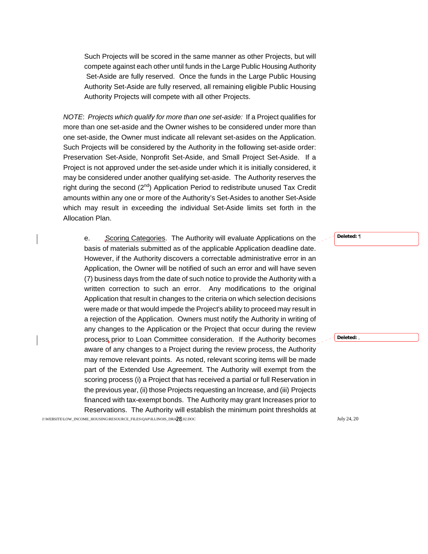Such Projects will be scored in the same manner as other Projects, but will compete against each other until funds in the Large Public Housing Authority Set-Aside are fully reserved. Once the funds in the Large Public Housing Authority Set-Aside are fully reserved, all remaining eligible Public Housing Authority Projects will compete with all other Projects.

*NOTE*: *Projects which qualify for more than one set-aside:* If a Project qualifies for more than one set-aside and the Owner wishes to be considered under more than one set-aside, the Owner must indicate all relevant set-asides on the Application. Such Projects will be considered by the Authority in the following set-aside order: Preservation Set-Aside, Nonprofit Set-Aside, and Small Project Set-Aside. If a Project is not approved under the set-aside under which it is initially considered, it may be considered under another qualifying set-aside. The Authority reserves the right during the second  $(2^{nd})$  Application Period to redistribute unused Tax Credit amounts within any one or more of the Authority's Set-Asides to another Set-Aside which may result in exceeding the individual Set-Aside limits set forth in the Allocation Plan.

e. Scoring Categories. The Authority will evaluate Applications on the basis of materials submitted as of the applicable Application deadline date. However, if the Authority discovers a correctable administrative error in an Application, the Owner will be notified of such an error and will have seven (7) business days from the date of such notice to provide the Authority with a written correction to such an error. Any modifications to the original Application that result in changes to the criteria on which selection decisions were made or that would impede the Project's ability to proceed may result in a rejection of the Application. Owners must notify the Authority in writing of any changes to the Application or the Project that occur during the review process prior to Loan Committee consideration. If the Authority becomes aware of any changes to a Project during the review process, the Authority may remove relevant points. As noted, relevant scoring items will be made part of the Extended Use Agreement. The Authority will exempt from the scoring process (i) a Project that has received a partial or full Reservation in the previous year, (ii) those Projects requesting an Increase, and (iii) Projects financed with tax-exempt bonds. The Authority may grant Increases prior to Reservations. The Authority will establish the minimum point thresholds at

**Deleted:** ¶

**Deleted:** ,

J:\WEBSITE\LOW\_INCOME\_HOUSING\RESOURCE\_FILES\QAP\ILLINOIS\_DRAPE\DOC 20.DOC 30 July 24, 20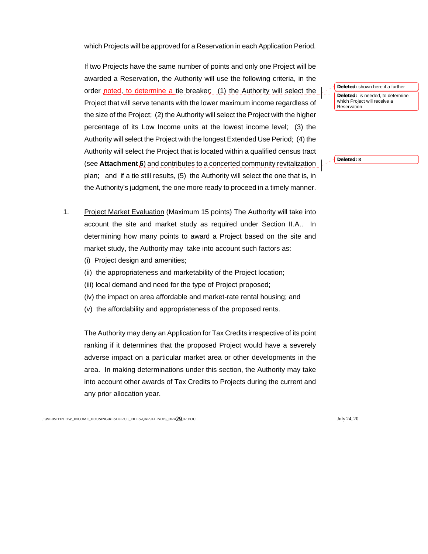which Projects will be approved for a Reservation in each Application Period.

If two Projects have the same number of points and only one Project will be awarded a Reservation, the Authority will use the following criteria, in the order noted, to determine a tie breaker; (1) the Authority will select the Project that will serve tenants with the lower maximum income regardless of the size of the Project; (2) the Authority will select the Project with the higher percentage of its Low Income units at the lowest income level; (3) the Authority will select the Project with the longest Extended Use Period; (4) the Authority will select the Project that is located within a qualified census tract (see **Attachment 6**) and contributes to a concerted community revitalization plan; and if a tie still results, (5) the Authority will select the one that is, in the Authority's judgment, the one more ready to proceed in a timely manner.

- 1. Project Market Evaluation (Maximum 15 points) The Authority will take into account the site and market study as required under Section II.A.. In determining how many points to award a Project based on the site and market study, the Authority may take into account such factors as:
	- (i) Project design and amenities;
	- (ii) the appropriateness and marketability of the Project location;
	- (iii) local demand and need for the type of Project proposed;
	- (iv) the impact on area affordable and market-rate rental housing; and
	- (v) the affordability and appropriateness of the proposed rents.

The Authority may deny an Application for Tax Credits irrespective of its point ranking if it determines that the proposed Project would have a severely adverse impact on a particular market area or other developments in the area. In making determinations under this section, the Authority may take into account other awards of Tax Credits to Projects during the current and any prior allocation year.

J:\WEBSITE\LOW\_INCOME\_HOUSING\RESOURCE\_FILES\QAP\ILLINOIS\_DRAPTQ\_02.DOC 29 July 24, 20 July 24, 20

**Deleted:** shown here if a further **Deleted:** is needed, to determine which Project will receive a Reservation

**Deleted: 8**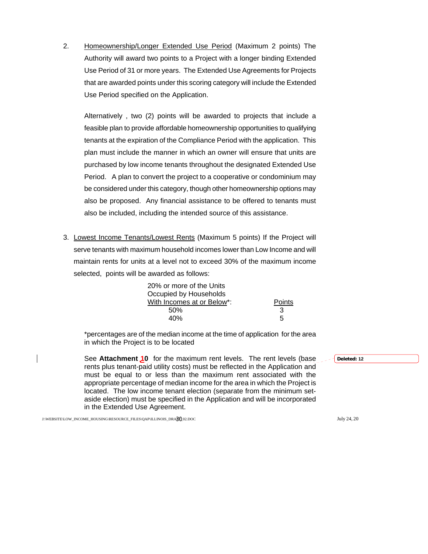2. Homeownership/Longer Extended Use Period (Maximum 2 points) The Authority will award two points to a Project with a longer binding Extended Use Period of 31 or more years. The Extended Use Agreements for Projects that are awarded points under this scoring category will include the Extended Use Period specified on the Application.

Alternatively , two (2) points will be awarded to projects that include a feasible plan to provide affordable homeownership opportunities to qualifying tenants at the expiration of the Compliance Period with the application. This plan must include the manner in which an owner will ensure that units are purchased by low income tenants throughout the designated Extended Use Period. A plan to convert the project to a cooperative or condominium may be considered under this category, though other homeownership options may also be proposed. Any financial assistance to be offered to tenants must also be included, including the intended source of this assistance.

3. Lowest Income Tenants/Lowest Rents (Maximum 5 points) If the Project will serve tenants with maximum household incomes lower than Low Income and will maintain rents for units at a level not to exceed 30% of the maximum income selected, points will be awarded as follows:

> 20% or more of the Units Occupied by Households With Incomes at or Below\*: Points 50% 3 40% 5

\*percentages are of the median income at the time of application for the area in which the Project is to be located

See **Attachment 10** for the maximum rent levels. The rent levels (base rents plus tenant-paid utility costs) must be reflected in the Application and must be equal to or less than the maximum rent associated with the appropriate percentage of median income for the area in which the Project is located. The low income tenant election (separate from the minimum setaside election) must be specified in the Application and will be incorporated in the Extended Use Agreement.

J:\WEBSITE\LOW\_INCOME\_HOUSING\RESOURCE\_FILES\QAP\ILLINOIS\_DRA**FQ**02.DOC 30 July 24, 20 July 24, 20

**Deleted: 12**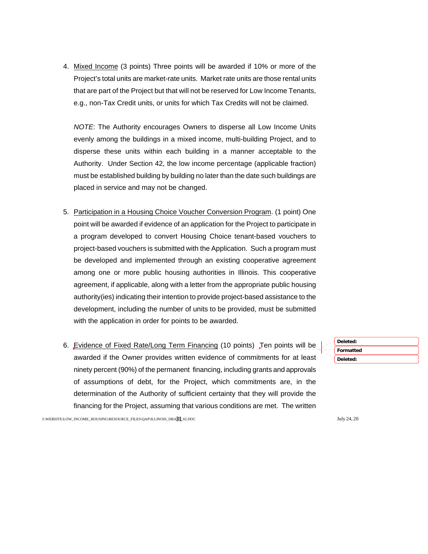4. Mixed Income (3 points) Three points will be awarded if 10% or more of the Project's total units are market-rate units. Market rate units are those rental units that are part of the Project but that will not be reserved for Low Income Tenants, e.g., non-Tax Credit units, or units for which Tax Credits will not be claimed.

*NOTE*: The Authority encourages Owners to disperse all Low Income Units evenly among the buildings in a mixed income, multi-building Project, and to disperse these units within each building in a manner acceptable to the Authority. Under Section 42, the low income percentage (applicable fraction) must be established building by building no later than the date such buildings are placed in service and may not be changed.

- 5. Participation in a Housing Choice Voucher Conversion Program. (1 point) One point will be awarded if evidence of an application for the Project to participate in a program developed to convert Housing Choice tenant-based vouchers to project-based vouchers is submitted with the Application. Such a program must be developed and implemented through an existing cooperative agreement among one or more public housing authorities in Illinois. This cooperative agreement, if applicable, along with a letter from the appropriate public housing authority(ies) indicating their intention to provide project-based assistance to the development, including the number of units to be provided, must be submitted with the application in order for points to be awarded.
- 6. Evidence of Fixed Rate/Long Term Financing (10 points) Ten points will be awarded if the Owner provides written evidence of commitments for at least ninety percent (90%) of the permanent financing, including grants and approvals of assumptions of debt, for the Project, which commitments are, in the determination of the Authority of sufficient certainty that they will provide the financing for the Project, assuming that various conditions are met. The written

**Formatted Deleted: Deleted:** 

J:\WEBSITE\LOW\_INCOME\_HOUSING\RESOURCE\_FILES\QAP\ILLINOIS\_DRA**31**\_02.DOC 31 July 24, 20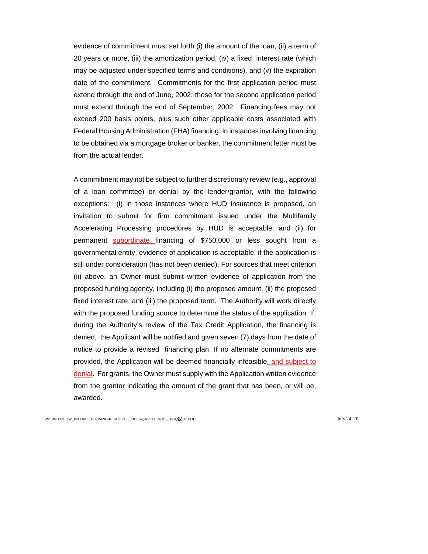evidence of commitment must set forth (i) the amount of the loan, (ii) a term of 20 years or more, (iii) the amortization period, (iv) a fixed interest rate (which may be adjusted under specified terms and conditions), and (v) the expiration date of the commitment. Commitments for the first application period must extend through the end of June, 2002; those for the second application period must extend through the end of September, 2002. Financing fees may not exceed 200 basis points, plus such other applicable costs associated with Federal Housing Administration (FHA) financing. In instances involving financing to be obtained via a mortgage broker or banker, the commitment letter must be from the actual lender.

A commitment may not be subject to further discretionary review (e.g., approval of a loan committee) or denial by the lender/grantor, with the following exceptions: (i) in those instances where HUD insurance is proposed, an invitation to submit for firm commitment issued under the Multifamily Accelerating Processing procedures by HUD is acceptable; and (ii) for permanent subordinate financing of \$750,000 or less sought from a governmental entity, evidence of application is acceptable, if the application is still under consideration (has not been denied). For sources that meet criterion (ii) above, an Owner must submit written evidence of application from the proposed funding agency, including (i) the proposed amount, (ii) the proposed fixed interest rate, and (iii) the proposed term. The Authority will work directly with the proposed funding source to determine the status of the application. If, during the Authority's review of the Tax Credit Application, the financing is denied, the Applicant will be notified and given seven (7) days from the date of notice to provide a revised financing plan. If no alternate commitments are provided, the Application will be deemed financially infeasible, and subject to denial. For grants, the Owner must supply with the Application written evidence from the grantor indicating the amount of the grant that has been, or will be, awarded.

J:\WEBSITE\LOW\_INCOME\_HOUSING\RESOURCE\_FILES\QAP\ILLINOIS\_DRA**FQ**\_02.DOC 32 July 24, 20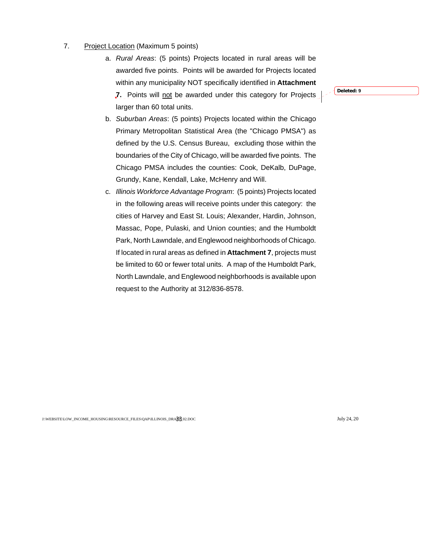#### 7. Project Location (Maximum 5 points)

- a. *Rural Areas*: (5 points) Projects located in rural areas will be awarded five points. Points will be awarded for Projects located within any municipality NOT specifically identified in **Attachment 7.** Points will not be awarded under this category for Projects larger than 60 total units.
- b. *Suburban Areas*: (5 points) Projects located within the Chicago Primary Metropolitan Statistical Area (the "Chicago PMSA") as defined by the U.S. Census Bureau, excluding those within the boundaries of the City of Chicago, will be awarded five points. The Chicago PMSA includes the counties: Cook, DeKalb, DuPage, Grundy, Kane, Kendall, Lake, McHenry and Will.
- c. *Illinois Workforce Advantage Program*: (5 points) Projects located in the following areas will receive points under this category: the cities of Harvey and East St. Louis; Alexander, Hardin, Johnson, Massac, Pope, Pulaski, and Union counties; and the Humboldt Park, North Lawndale, and Englewood neighborhoods of Chicago. If located in rural areas as defined in **Attachment 7**, projects must be limited to 60 or fewer total units. A map of the Humboldt Park, North Lawndale, and Englewood neighborhoods is available upon request to the Authority at 312/836-8578.

J:\WEBSITE\LOW\_INCOME\_HOUSING\RESOURCE\_FILES\QAP\ILLINOIS\_DRABE\BO2.DOC 33 July 24, 20

**Deleted: 9**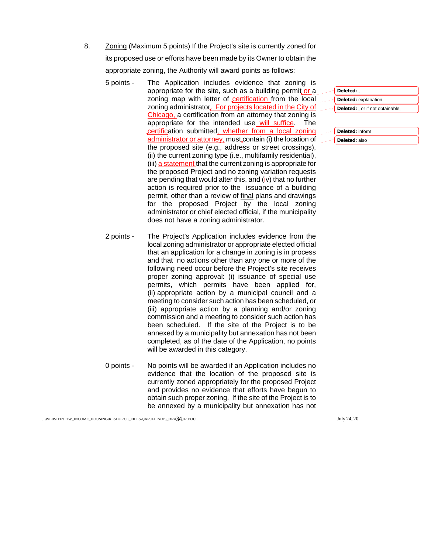- 8. Zoning (Maximum 5 points) If the Project's site is currently zoned for its proposed use or efforts have been made by its Owner to obtain the appropriate zoning, the Authority will award points as follows:
	- 5 points The Application includes evidence that zoning is appropriate for the site, such as a building permit or a zoning map with letter of **certification** from the local zoning administrator. For projects located in the City of Chicago, a certification from an attorney that zoning is appropriate for the intended use will suffice. The certification submitted, whether from a local zoning administrator or attorney, must contain (i) the location of the proposed site (e.g., address or street crossings), (ii) the current zoning type (i.e., multifamily residential), (iii) a statement that the current zoning is appropriate for the proposed Project and no zoning variation requests are pending that would alter this, and  $(iv)$  that no further action is required prior to the issuance of a building permit, other than a review of final plans and drawings for the proposed Project by the local zoning administrator or chief elected official, if the municipality does not have a zoning administrator.
	- 2 points The Project's Application includes evidence from the local zoning administrator or appropriate elected official that an application for a change in zoning is in process and that no actions other than any one or more of the following need occur before the Project's site receives proper zoning approval: (i) issuance of special use permits, which permits have been applied for, (ii) appropriate action by a municipal council and a meeting to consider such action has been scheduled, or (iii) appropriate action by a planning and/or zoning commission and a meeting to consider such action has been scheduled. If the site of the Project is to be annexed by a municipality but annexation has not been completed, as of the date of the Application, no points will be awarded in this category.
	- 0 points No points will be awarded if an Application includes no evidence that the location of the proposed site is currently zoned appropriately for the proposed Project and provides no evidence that efforts have begun to obtain such proper zoning. If the site of the Project is to be annexed by a municipality but annexation has not

J:\WEBSITE\LOW\_INCOME\_HOUSING\RESOURCE\_FILES\QAP\ILLINOIS\_DRA**31**\_02.DOC 34 July 24, 20

| Deleted: explanation<br>Deleted: , or if not obtainable, | Deleted:,       |
|----------------------------------------------------------|-----------------|
|                                                          |                 |
|                                                          |                 |
|                                                          |                 |
|                                                          |                 |
|                                                          | Deleted: inform |

**Deleted:** also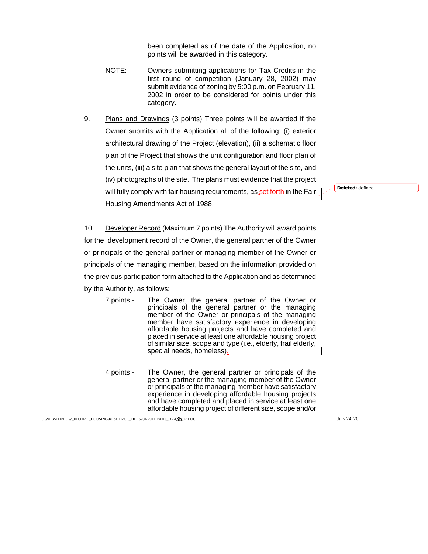been completed as of the date of the Application, no points will be awarded in this category.

- NOTE: Owners submitting applications for Tax Credits in the first round of competition (January 28, 2002) may submit evidence of zoning by 5:00 p.m. on February 11, 2002 in order to be considered for points under this category.
- 9. Plans and Drawings (3 points) Three points will be awarded if the Owner submits with the Application all of the following: (i) exterior architectural drawing of the Project (elevation), (ii) a schematic floor plan of the Project that shows the unit configuration and floor plan of the units, (iii) a site plan that shows the general layout of the site, and (iv) photographs of the site. The plans must evidence that the project will fully comply with fair housing requirements, as set forth in the Fair Housing Amendments Act of 1988.

**Deleted:** defined

10. Developer Record (Maximum 7 points) The Authority will award points for the development record of the Owner, the general partner of the Owner or principals of the general partner or managing member of the Owner or principals of the managing member, based on the information provided on the previous participation form attached to the Application and as determined by the Authority, as follows:

- 7 points The Owner, the general partner of the Owner or principals of the general partner or the managing member of the Owner or principals of the managing member have satisfactory experience in developing affordable housing projects and have completed and placed in service at least one affordable housing project of similar size, scope and type (i.e., elderly, frail elderly, special needs, homeless).
- 4 points The Owner, the general partner or principals of the general partner or the managing member of the Owner or principals of the managing member have satisfactory experience in developing affordable housing projects and have completed and placed in service at least one affordable housing project of different size, scope and/or

J:\WEBSITE\LOW\_INCOME\_HOUSING\RESOURCE\_FILES\QAP\ILLINOIS\_DRA**85**\_02.DOC 35 July 24, 20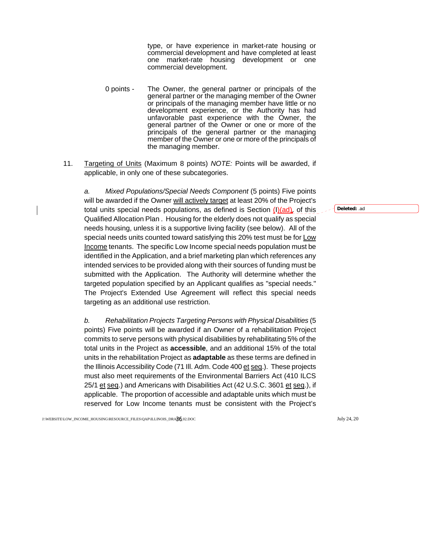type, or have experience in market-rate housing or commercial development and have completed at least one market-rate housing development or one commercial development.

- 0 points The Owner, the general partner or principals of the general partner or the managing member of the Owner or principals of the managing member have little or no development experience, or the Authority has had unfavorable past experience with the Owner, the general partner of the Owner or one or more of the principals of the general partner or the managing member of the Owner or one or more of the principals of the managing member.
- 11. Targeting of Units (Maximum 8 points) *NOTE:* Points will be awarded, if applicable, in only one of these subcategories.

*a. Mixed Populations/Special Needs Component* (5 points) Five points will be awarded if the Owner will actively target at least 20% of the Project's total units special needs populations, as defined is Section (I)(ad). of this Qualified Allocation Plan . Housing for the elderly does not qualify as special needs housing, unless it is a supportive living facility (see below). All of the special needs units counted toward satisfying this 20% test must be for Low Income tenants. The specific Low Income special needs population must be identified in the Application, and a brief marketing plan which references any intended services to be provided along with their sources of funding must be submitted with the Application. The Authority will determine whether the targeted population specified by an Applicant qualifies as "special needs." The Project's Extended Use Agreement will reflect this special needs targeting as an additional use restriction.

 *b. Rehabilitation Projects Targeting Persons with Physical Disabilities* (5 points) Five points will be awarded if an Owner of a rehabilitation Project commits to serve persons with physical disabilities by rehabilitating 5% of the total units in the Project as **accessible**, and an additional 15% of the total units in the rehabilitation Project as **adaptable** as these terms are defined in the Illinois Accessibility Code (71 III. Adm. Code 400 et seq.). These projects must also meet requirements of the Environmental Barriers Act (410 ILCS 25/1 et seq.) and Americans with Disabilities Act (42 U.S.C. 3601 et seq.), if applicable. The proportion of accessible and adaptable units which must be reserved for Low Income tenants must be consistent with the Project's

J:\WEBSITE\LOW\_INCOME\_HOUSING\RESOURCE\_FILES\QAP\ILLINOIS\_DRA**§6**\_02.DOC 36 July 24, 20 July 24, 20

**Deleted:** .ad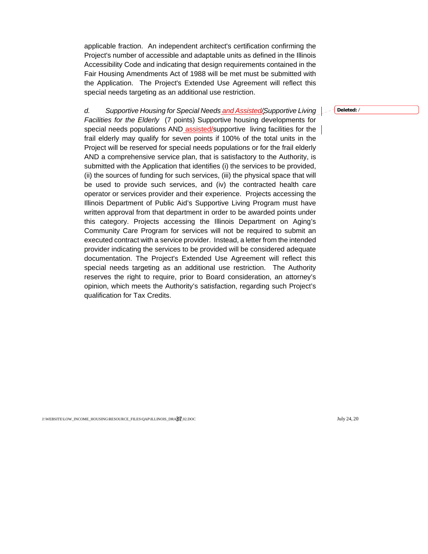applicable fraction. An independent architect's certification confirming the Project's number of accessible and adaptable units as defined in the Illinois Accessibility Code and indicating that design requirements contained in the Fair Housing Amendments Act of 1988 will be met must be submitted with the Application. The Project's Extended Use Agreement will reflect this special needs targeting as an additional use restriction.

**Deleted:** */*

*d. Supportive Housing for Special Needs and Assisted/Supportive Living Facilities for the Elderly* (7 points) Supportive housing developments for special needs populations AND assisted/supportive living facilities for the frail elderly may qualify for seven points if 100% of the total units in the Project will be reserved for special needs populations or for the frail elderly AND a comprehensive service plan, that is satisfactory to the Authority, is submitted with the Application that identifies (i) the services to be provided, (ii) the sources of funding for such services, (iii) the physical space that will be used to provide such services, and (iv) the contracted health care operator or services provider and their experience. Projects accessing the Illinois Department of Public Aid's Supportive Living Program must have written approval from that department in order to be awarded points under this category. Projects accessing the Illinois Department on Aging's Community Care Program for services will not be required to submit an executed contract with a service provider. Instead, a letter from the intended provider indicating the services to be provided will be considered adequate documentation. The Project's Extended Use Agreement will reflect this special needs targeting as an additional use restriction. The Authority reserves the right to require, prior to Board consideration, an attorney's opinion, which meets the Authority's satisfaction, regarding such Project's qualification for Tax Credits.

J:\WEBSITE\LOW\_INCOME\_HOUSING\RESOURCE\_FILES\QAP\ILLINOIS\_DRA**§7**\_02.DOC 37 July 24, 20 July 24, 20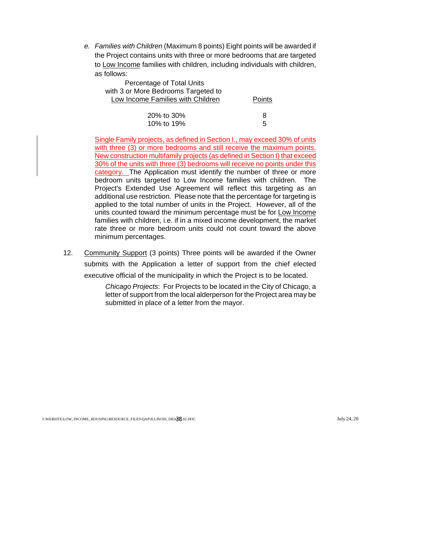*e. Families with Children* (Maximum 8 points) Eight points will be awarded if the Project contains units with three or more bedrooms that are targeted to Low Income families with children, including individuals with children, as follows:

| Percentage of Total Units<br>with 3 or More Bedrooms Targeted to |        |
|------------------------------------------------------------------|--------|
| Low Income Families with Children                                | Points |
| 20% to 30%                                                       | 8      |
| 10% to 19%                                                       | 5      |

Single Family projects, as defined in Section I., may exceed 30% of units with three (3) or more bedrooms and still receive the maximum points. New construction multifamily projects (as defined in Section I) that exceed 30% of the units with three (3) bedrooms will receive no points under this category. The Application must identify the number of three or more bedroom units targeted to Low Income families with children. The Project's Extended Use Agreement will reflect this targeting as an additional use restriction. Please note that the percentage for targeting is applied to the total number of units in the Project. However, all of the units counted toward the minimum percentage must be for Low Income families with children, i.e. if in a mixed income development, the market rate three or more bedroom units could not count toward the above minimum percentages.

12. Community Support (3 points) Three points will be awarded if the Owner submits with the Application a letter of support from the chief elected executive official of the municipality in which the Project is to be located.

> *Chicago Projects*: For Projects to be located in the City of Chicago, a letter of support from the local alderperson for the Project area may be submitted in place of a letter from the mayor.

J:\WEBSITE\LOW\_INCOME\_HOUSING\RESOURCE\_FILES\QAP\ILLINOIS\_DRA**FQ**\_02.DOC 38 July 24, 20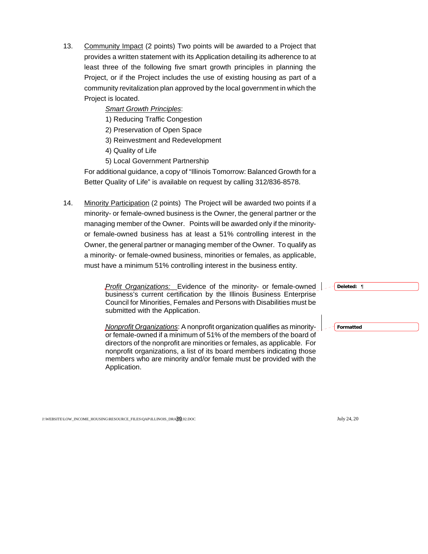13. Community Impact (2 points) Two points will be awarded to a Project that provides a written statement with its Application detailing its adherence to at least three of the following five smart growth principles in planning the Project, or if the Project includes the use of existing housing as part of a community revitalization plan approved by the local government in which the Project is located.

*Smart Growth Principles*:

1) Reducing Traffic Congestion

- 2) Preservation of Open Space
- 3) Reinvestment and Redevelopment
- 4) Quality of Life
- 5) Local Government Partnership

For additional guidance, a copy of "Illinois Tomorrow: Balanced Growth for a Better Quality of Life" is available on request by calling 312/836-8578.

14. Minority Participation (2 points) The Project will be awarded two points if a minority- or female-owned business is the Owner, the general partner or the managing member of the Owner. Points will be awarded only if the minorityor female-owned business has at least a 51% controlling interest in the Owner, the general partner or managing member of the Owner. To qualify as a minority- or female-owned business, minorities or females, as applicable, must have a minimum 51% controlling interest in the business entity.

> *Profit Organizations:* Evidence of the minority- or female-owned business's current certification by the Illinois Business Enterprise Council for Minorities, Females and Persons with Disabilities must be submitted with the Application.

*Nonprofit Organizations*: A nonprofit organization qualifies as minorityor female-owned if a minimum of 51% of the members of the board of directors of the nonprofit are minorities or females, as applicable. For nonprofit organizations, a list of its board members indicating those members who are minority and/or female must be provided with the Application.

**Formatted Deleted:** ¶

J:\WEBSITE\LOW\_INCOME\_HOUSING\RESOURCE\_FILES\QAP\ILLINOIS\_DRA**89**\_02.DOC 39 July 24, 20 July 24, 20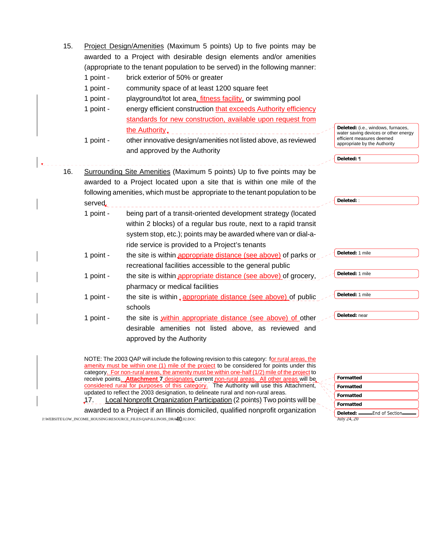| 15. |           | Project Design/Amenities (Maximum 5 points) Up to five points may be          |                                                                            |
|-----|-----------|-------------------------------------------------------------------------------|----------------------------------------------------------------------------|
|     |           | awarded to a Project with desirable design elements and/or amenities          |                                                                            |
|     |           | (appropriate to the tenant population to be served) in the following manner:  |                                                                            |
|     | 1 point - | brick exterior of 50% or greater                                              |                                                                            |
|     | 1 point - | community space of at least 1200 square feet                                  |                                                                            |
|     | 1 point - | playground/tot lot area, fitness facility, or swimming pool                   |                                                                            |
|     | 1 point - | energy efficient construction that exceeds Authority efficiency               |                                                                            |
|     |           | standards for new construction, available upon request from                   |                                                                            |
|     |           | the Authority,                                                                | Deleted: (i.e., windows, furnaces,<br>water saving devices or other energy |
|     | 1 point - | other innovative design/amenities not listed above, as reviewed               | efficient measures deemed<br>appropriate by the Authority                  |
|     |           | and approved by the Authority                                                 | Deleted: ¶                                                                 |
| 16. |           | Surrounding Site Amenities (Maximum 5 points) Up to five points may be        |                                                                            |
|     |           | awarded to a Project located upon a site that is within one mile of the       |                                                                            |
|     |           | following amenities, which must be appropriate to the tenant population to be |                                                                            |
|     | served.   |                                                                               | Deleted: :                                                                 |
|     | 1 point - | being part of a transit-oriented development strategy (located                |                                                                            |
|     |           | within 2 blocks) of a regular bus route, next to a rapid transit              |                                                                            |
|     |           | system stop, etc.); points may be awarded where van or dial-a-                |                                                                            |
|     |           | ride service is provided to a Project's tenants                               |                                                                            |
|     | 1 point - | the site is within appropriate distance (see above) of parks or               | Deleted: 1 mile                                                            |
|     |           | recreational facilities accessible to the general public                      |                                                                            |
|     | 1 point - | the site is within appropriate distance (see above) of grocery                | Deleted: 1 mile                                                            |
|     |           | pharmacy or medical facilities                                                |                                                                            |
|     | 1 point - | the site is within, appropriate distance (see above) of public                | Deleted: 1 mile                                                            |
|     |           | schools                                                                       |                                                                            |
|     | 1 point - | the site is <i>within appropriate distance</i> (see above) of other           | Deleted: near                                                              |
|     |           |                                                                               |                                                                            |
|     |           | desirable amenities not listed above, as reviewed and                         |                                                                            |

category. For non-rural areas, the amenity must be within one-half (1/2) mile of the project to receive points. **Attachment 7** designates current non-rural areas. All other areas will be considered rural for purposes of this category. The Authority will use this Attachment, updated to reflect the 2003 designation, to delineate rural and non-rural areas. 17. Local Nonprofit Organization Participation (2 points) Two points will be awarded to a Project if an Illinois domiciled, qualified nonprofit organization



awarded to a Project if an Illinois domiclied, qualified nonprofit organization a beliefed: -<br>Duly 24, 20 July 24, 20 July 24, 20 July 24, 20 July 24, 20 July 24, 20 July 24, 20 July 24, 20 July 24, 20 July 24, 20 July 24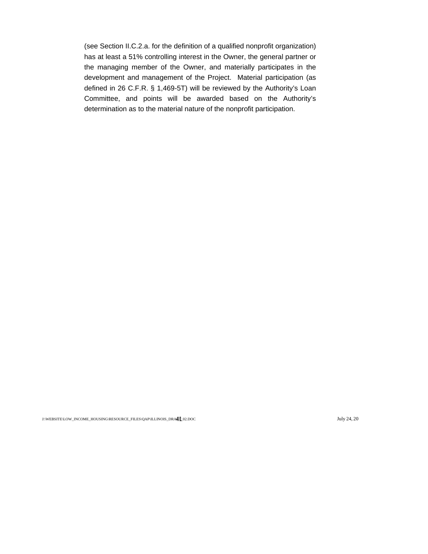(see Section II.C.2.a. for the definition of a qualified nonprofit organization) has at least a 51% controlling interest in the Owner, the general partner or the managing member of the Owner, and materially participates in the development and management of the Project. Material participation (as defined in 26 C.F.R. § 1,469-5T) will be reviewed by the Authority's Loan Committee, and points will be awarded based on the Authority's determination as to the material nature of the nonprofit participation.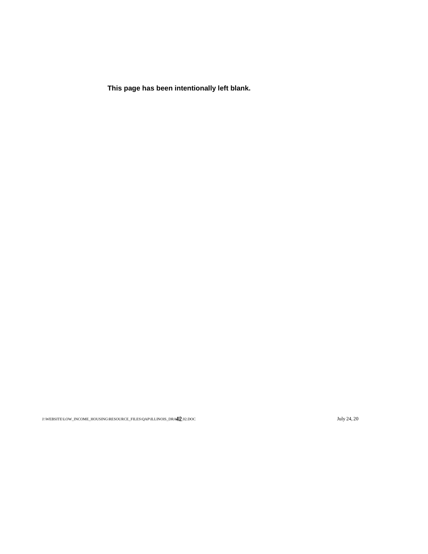**This page has been intentionally left blank.**

J:\WEBSITE\LOW\_INCOME\_HOUSING\RESOURCE\_FILES\QAP\ILLINOIS\_DRAFTQ\_02.DOC 42 July 24, 20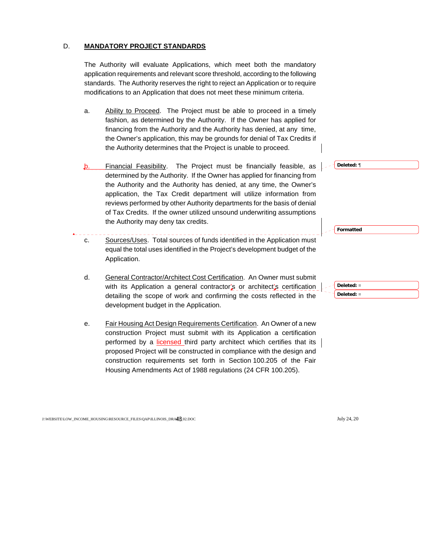## D. **MANDATORY PROJECT STANDARDS**

The Authority will evaluate Applications, which meet both the mandatory application requirements and relevant score threshold, according to the following standards. The Authority reserves the right to reject an Application or to require modifications to an Application that does not meet these minimum criteria.

- a. Ability to Proceed. The Project must be able to proceed in a timely fashion, as determined by the Authority. If the Owner has applied for financing from the Authority and the Authority has denied, at any time, the Owner's application, this may be grounds for denial of Tax Credits if the Authority determines that the Project is unable to proceed.
- Financial Feasibility. The Project must be financially feasible, as  $\downarrow$ determined by the Authority. If the Owner has applied for financing from the Authority and the Authority has denied, at any time, the Owner's application, the Tax Credit department will utilize information from reviews performed by other Authority departments for the basis of denial of Tax Credits. If the owner utilized unsound underwriting assumptions the Authority may deny tax credits.
- c. Sources/Uses. Total sources of funds identified in the Application must equal the total uses identified in the Project's development budget of the Application.
	- d. General Contractor/Architect Cost Certification. An Owner must submit with its Application a general contractor's or architect's certification  $\downarrow$ detailing the scope of work and confirming the costs reflected in the development budget in the Application.
	- e. Fair Housing Act Design Requirements Certification. An Owner of a new construction Project must submit with its Application a certification performed by a licensed third party architect which certifies that its proposed Project will be constructed in compliance with the design and construction requirements set forth in Section 100.205 of the Fair Housing Amendments Act of 1988 regulations (24 CFR 100.205).

**Formatted Deleted:** ¶

| eleted: = |
|-----------|
| eleted: = |

J:\WEBSITE\LOW\_INCOME\_HOUSING\RESOURCE\_FILES\QAP\ILLINOIS\_DRA**4f{**Q.02.DOC 43 July 24, 20 July 24, 20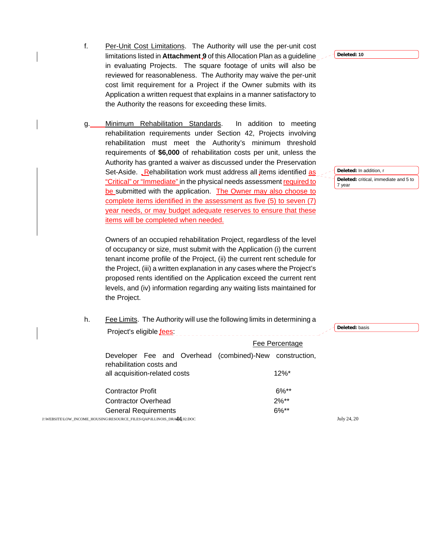- f. Per-Unit Cost Limitations. The Authority will use the per-unit cost limitations listed in **Attachment 9** of this Allocation Plan as a guideline in evaluating Projects. The square footage of units will also be reviewed for reasonableness. The Authority may waive the per-unit cost limit requirement for a Project if the Owner submits with its Application a written request that explains in a manner satisfactory to the Authority the reasons for exceeding these limits.
- g. Minimum Rehabilitation Standards. In addition to meeting rehabilitation requirements under Section 42, Projects involving rehabilitation must meet the Authority's minimum threshold requirements of **\$6,000** of rehabilitation costs per unit, unless the Authority has granted a waiver as discussed under the Preservation Set-Aside. Rehabilitation work must address all jtems identified as "Critical" or "Immediate" in the physical needs assessment required to be submitted with the application. The Owner may also choose to complete items identified in the assessment as five (5) to seven (7) year needs, or may budget adequate reserves to ensure that these items will be completed when needed.

Owners of an occupied rehabilitation Project, regardless of the level of occupancy or size, must submit with the Application (i) the current tenant income profile of the Project, (ii) the current rent schedule for the Project, (iii) a written explanation in any cases where the Project's proposed rents identified on the Application exceed the current rent levels, and (iv) information regarding any waiting lists maintained for the Project.

J:\WEBSITE\LOW\_INCOME\_HOUSING\RESOURCE\_FILES\QAP\ILLINOIS\_DRA**41**\_02.DOC 44 July 24, 20 h. Fee Limits. The Authority will use the following limits in determining a Project's eligible fees: Fee Percentage Developer Fee and Overhead (combined)-New construction, rehabilitation costs and all acquisition-related costs 12%\* Contractor Profit 6%\*\* Contractor Overhead 2%\*\* General Requirements 6%\*\* **Deleted:** basis

**Deleted:** In addition, r **Deleted:** critical, immediate and 5 to

7 year

**Deleted: 10**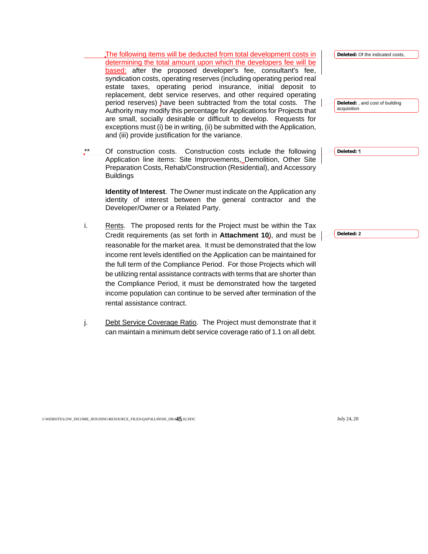The following items will be deducted from total development costs in determining the total amount upon which the developers fee will be based: after the proposed developer's fee, consultant's fee, syndication costs, operating reserves (including operating period real estate taxes, operating period insurance, initial deposit to replacement, debt service reserves, and other required operating period reserves) have been subtracted from the total costs. The Authority may modify this percentage for Applications for Projects that are small, socially desirable or difficult to develop. Requests for exceptions must (i) be in writing, (ii) be submitted with the Application, and (iii) provide justification for the variance.

Of construction costs. Construction costs include the following Application line items: Site Improvements, Demolition, Other Site Preparation Costs, Rehab/Construction (Residential), and Accessory **Buildings** 

**Identity of Interest**. The Owner must indicate on the Application any identity of interest between the general contractor and the Developer/Owner or a Related Party.

- i. Rents. The proposed rents for the Project must be within the Tax Credit requirements (as set forth in **Attachment 10**), and must be reasonable for the market area. It must be demonstrated that the low income rent levels identified on the Application can be maintained for the full term of the Compliance Period. For those Projects which will be utilizing rental assistance contracts with terms that are shorter than the Compliance Period, it must be demonstrated how the targeted income population can continue to be served after termination of the rental assistance contract.
- j. Debt Service Coverage Ratio. The Project must demonstrate that it can maintain a minimum debt service coverage ratio of 1.1 on all debt.

**Deleted: 2**

Deleted: Of the indicated costs,

**Deleted:** , and cost of building

acquisition

**Deleted:** ¶

J:\WEBSITE\LOW\_INCOME\_HOUSING\RESOURCE\_FILES\QAP\ILLINOIS\_DRA**4f\_**02.DOC 45 July 24, 20 July 24, 20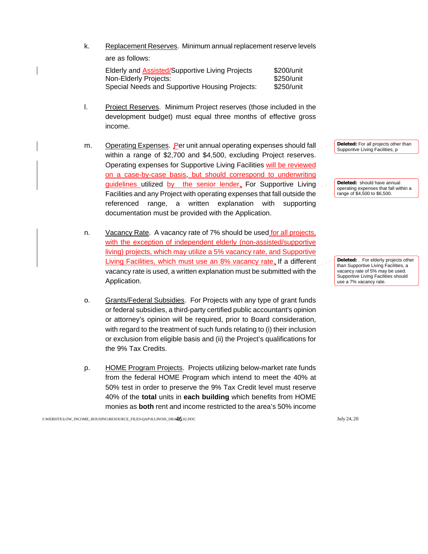k. Replacement Reserves. Minimum annual replacement reserve levels are as follows:

| Elderly and <b>Assisted/Supportive Living Projects</b> | \$200/unit |
|--------------------------------------------------------|------------|
| Non-Elderly Projects:                                  | \$250/unit |
| Special Needs and Supportive Housing Projects:         | \$250/unit |

- l. Project Reserves. Minimum Project reserves (those included in the development budget) must equal three months of effective gross income.
- m. Operating Expenses. Per unit annual operating expenses should fall within a range of \$2,700 and \$4,500, excluding Project reserves. Operating expenses for Supportive Living Facilities will be reviewed on a case-by-case basis, but should correspond to underwriting guidelines utilized by the senior lender. For Supportive Living Facilities and any Project with operating expenses that fall outside the referenced range, a written explanation with supporting documentation must be provided with the Application.
- n. Vacancy Rate. A vacancy rate of 7% should be used for all projects, with the exception of independent elderly (non-assisted/supportive living) projects, which may utilize a 5% vacancy rate, and Supportive Living Facilities, which must use an 8% vacancy rate. If a different vacancy rate is used, a written explanation must be submitted with the Application.
- o. Grants/Federal Subsidies. For Projects with any type of grant funds or federal subsidies, a third-party certified public accountant's opinion or attorney's opinion will be required, prior to Board consideration, with regard to the treatment of such funds relating to (i) their inclusion or exclusion from eligible basis and (ii) the Project's qualifications for the 9% Tax Credits.
- p. HOME Program Projects. Projects utilizing below-market rate funds from the federal HOME Program which intend to meet the 40% at 50% test in order to preserve the 9% Tax Credit level must reserve 40% of the **total** units in **each building** which benefits from HOME monies as **both** rent and income restricted to the area's 50% income

J:\WEBSITE\LOW\_INCOME\_HOUSING\RESOURCE\_FILES\QAP\ILLINOIS\_DRA**46**\_02.DOC **46 July 24, 20** July 24, 20

**Deleted:** For all projects other than Supporitve Living Facilities, p

**Deleted:** should have annual operating expenses that fall within a range of \$4,500 to \$6,500.

**Deleted:** . For elderly projects other than Supportive Living Facilities, a vacancy rate of 5% may be used. Supportive Living Facilities should use a 7% vacancy rate.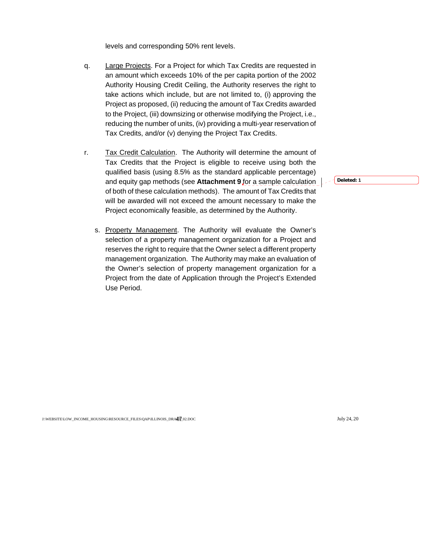levels and corresponding 50% rent levels.

- q. Large Projects. For a Project for which Tax Credits are requested in an amount which exceeds 10% of the per capita portion of the 2002 Authority Housing Credit Ceiling, the Authority reserves the right to take actions which include, but are not limited to, (i) approving the Project as proposed, (ii) reducing the amount of Tax Credits awarded to the Project, (iii) downsizing or otherwise modifying the Project, i.e., reducing the number of units, (iv) providing a multi-year reservation of Tax Credits, and/or (v) denying the Project Tax Credits.
- r. Tax Credit Calculation. The Authority will determine the amount of Tax Credits that the Project is eligible to receive using both the qualified basis (using 8.5% as the standard applicable percentage) and equity gap methods (see Attachment 9 for a sample calculation  $\downarrow$ of both of these calculation methods). The amount of Tax Credits that will be awarded will not exceed the amount necessary to make the Project economically feasible, as determined by the Authority.
	- s. Property Management. The Authority will evaluate the Owner's selection of a property management organization for a Project and reserves the right to require that the Owner select a different property management organization. The Authority may make an evaluation of the Owner's selection of property management organization for a Project from the date of Application through the Project's Extended Use Period.

**Deleted: 1**

J:\WEBSITE\LOW\_INCOME\_HOUSING\RESOURCE\_FILES\QAP\ILLINOIS\_DRAFT\_02.DOC 47 July 24, 20 July 24, 20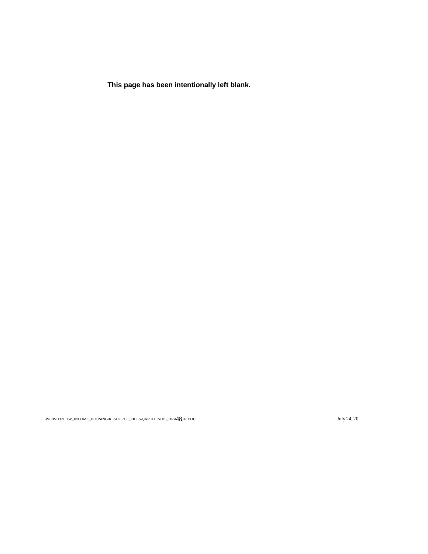**This page has been intentionally left blank.**

J:\WEBSITE\LOW\_INCOME\_HOUSING\RESOURCE\_FILES\QAP\ILLINOIS\_DRA**4**{{\$\at\anglesource}}\resource\_files\} and y 24, 20 July 24, 20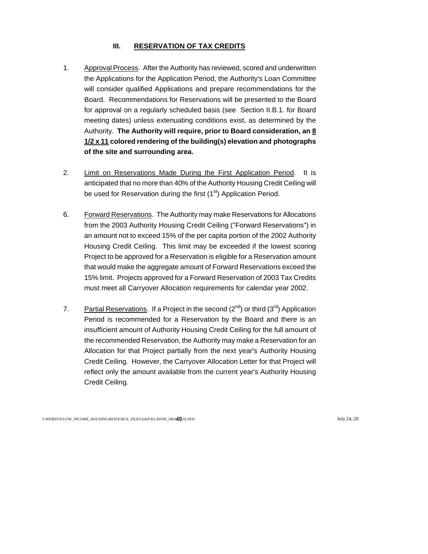# **III. RESERVATION OF TAX CREDITS**

- 1. Approval Process. After the Authority has reviewed, scored and underwritten the Applications for the Application Period, the Authority's Loan Committee will consider qualified Applications and prepare recommendations for the Board. Recommendations for Reservations will be presented to the Board for approval on a regularly scheduled basis (see Section II.B.1. for Board meeting dates) unless extenuating conditions exist, as determined by the Authority. **The Authority will require, prior to Board consideration, an 8 1/2 x 11 colored rendering of the building(s) elevation and photographs of the site and surrounding area.**
- 2. Limit on Reservations Made During the First Application Period. It is anticipated that no more than 40% of the Authority Housing Credit Ceiling will be used for Reservation during the first (1<sup>st</sup>) Application Period.
- 6. Forward Reservations. The Authority may make Reservations for Allocations from the 2003 Authority Housing Credit Ceiling ("Forward Reservations") in an amount not to exceed 15% of the per capita portion of the 2002 Authority Housing Credit Ceiling. This limit may be exceeded if the lowest scoring Project to be approved for a Reservation is eligible for a Reservation amount that would make the aggregate amount of Forward Reservations exceed the 15% limit. Projects approved for a Forward Reservation of 2003 Tax Credits must meet all Carryover Allocation requirements for calendar year 2002.
- 7. Partial Reservations. If a Project in the second  $(2^{nd})$  or third  $(3^{rd})$  Application Period is recommended for a Reservation by the Board and there is an insufficient amount of Authority Housing Credit Ceiling for the full amount of the recommended Reservation, the Authority may make a Reservation for an Allocation for that Project partially from the next year's Authority Housing Credit Ceiling. However, the Carryover Allocation Letter for that Project will reflect only the amount available from the current year's Authority Housing Credit Ceiling.

J:\WEBSITE\LOW\_INCOME\_HOUSING\RESOURCE\_FILES\QAP\ILLINOIS\_DRA**4Q**\_02.DOC **49 July 24, 20** July 24, 20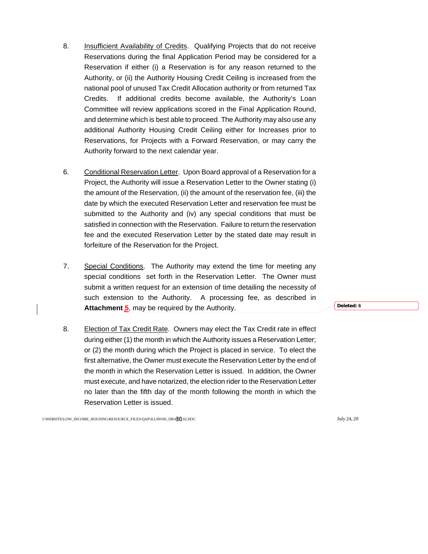- 8. Insufficient Availability of Credits. Qualifying Projects that do not receive Reservations during the final Application Period may be considered for a Reservation if either (i) a Reservation is for any reason returned to the Authority, or (ii) the Authority Housing Credit Ceiling is increased from the national pool of unused Tax Credit Allocation authority or from returned Tax Credits. If additional credits become available, the Authority's Loan Committee will review applications scored in the Final Application Round, and determine which is best able to proceed. The Authority may also use any additional Authority Housing Credit Ceiling either for Increases prior to Reservations, for Projects with a Forward Reservation, or may carry the Authority forward to the next calendar year.
- 6. Conditional Reservation Letter. Upon Board approval of a Reservation for a Project, the Authority will issue a Reservation Letter to the Owner stating (i) the amount of the Reservation, (ii) the amount of the reservation fee, (iii) the date by which the executed Reservation Letter and reservation fee must be submitted to the Authority and (iv) any special conditions that must be satisfied in connection with the Reservation. Failure to return the reservation fee and the executed Reservation Letter by the stated date may result in forfeiture of the Reservation for the Project.
- 7. Special Conditions. The Authority may extend the time for meeting any special conditions set forth in the Reservation Letter. The Owner must submit a written request for an extension of time detailing the necessity of such extension to the Authority. A processing fee, as described in Attachment 5, may be required by the Authority.
- 8. Election of Tax Credit Rate. Owners may elect the Tax Credit rate in effect during either (1) the month in which the Authority issues a Reservation Letter; or (2) the month during which the Project is placed in service. To elect the first alternative, the Owner must execute the Reservation Letter by the end of the month in which the Reservation Letter is issued. In addition, the Owner must execute, and have notarized, the election rider to the Reservation Letter no later than the fifth day of the month following the month in which the Reservation Letter is issued.

J:\WEBSITE\LOW\_INCOME\_HOUSING\RESOURCE\_FILES\QAP\ILLINOIS\_DRA $50$ .02.DOC 50 July 24, 20 July 24, 20

**Deleted: 6**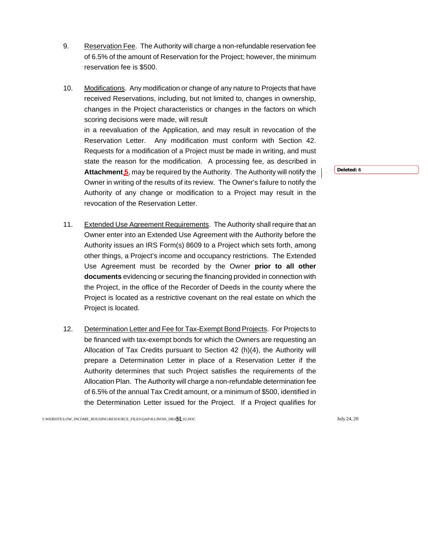- 9. Reservation Fee. The Authority will charge a non-refundable reservation fee of 6.5% of the amount of Reservation for the Project; however, the minimum reservation fee is \$500.
- 10. Modifications. Any modification or change of any nature to Projects that have received Reservations, including, but not limited to, changes in ownership, changes in the Project characteristics or changes in the factors on which scoring decisions were made, will result in a reevaluation of the Application, and may result in revocation of the Reservation Letter. Any modification must conform with Section 42. Requests for a modification of a Project must be made in writing, and must state the reason for the modification. A processing fee, as described in **Attachment 5**, may be required by the Authority. The Authority will notify the  $\downarrow$ Owner in writing of the results of its review. The Owner's failure to notify the Authority of any change or modification to a Project may result in the revocation of the Reservation Letter.
- 11. Extended Use Agreement Requirements. The Authority shall require that an Owner enter into an Extended Use Agreement with the Authority before the Authority issues an IRS Form(s) 8609 to a Project which sets forth, among other things, a Project's income and occupancy restrictions. The Extended Use Agreement must be recorded by the Owner **prior to all other documents** evidencing or securing the financing provided in connection with the Project, in the office of the Recorder of Deeds in the county where the Project is located as a restrictive covenant on the real estate on which the Project is located.
- 12. Determination Letter and Fee for Tax-Exempt Bond Projects. For Projects to be financed with tax-exempt bonds for which the Owners are requesting an Allocation of Tax Credits pursuant to Section 42 (h)(4), the Authority will prepare a Determination Letter in place of a Reservation Letter if the Authority determines that such Project satisfies the requirements of the Allocation Plan. The Authority will charge a non-refundable determination fee of 6.5% of the annual Tax Credit amount, or a minimum of \$500, identified in the Determination Letter issued for the Project. If a Project qualifies for

J:\WEBSITE\LOW\_INCOME\_HOUSING\RESOURCE\_FILES\QAP\ILLINOIS\_DRA $\overline{\mathbf{51}}$ \_02.DOC 51 July 24, 20

**Deleted: 6**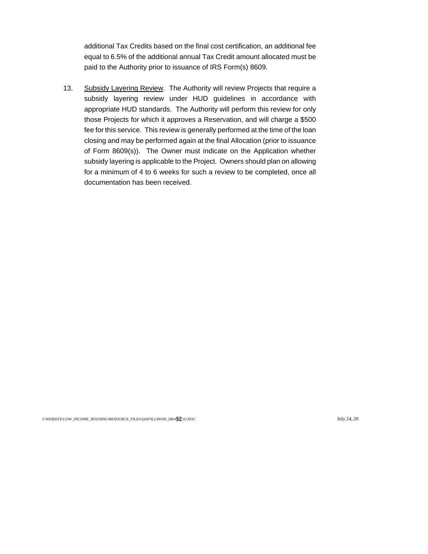additional Tax Credits based on the final cost certification, an additional fee equal to 6.5% of the additional annual Tax Credit amount allocated must be paid to the Authority prior to issuance of IRS Form(s) 8609.

13. Subsidy Layering Review. The Authority will review Projects that require a subsidy layering review under HUD guidelines in accordance with appropriate HUD standards. The Authority will perform this review for only those Projects for which it approves a Reservation, and will charge a \$500 fee for this service. This review is generally performed at the time of the loan closing and may be performed again at the final Allocation (prior to issuance of Form 8609(s)). The Owner must indicate on the Application whether subsidy layering is applicable to the Project. Owners should plan on allowing for a minimum of 4 to 6 weeks for such a review to be completed, once all documentation has been received.

J:\WEBSITE\LOW\_INCOME\_HOUSING\RESOURCE\_FILES\QAP\ILLINOIS\_DRA**52** 02.DOC 52 July 24, 20 July 24, 20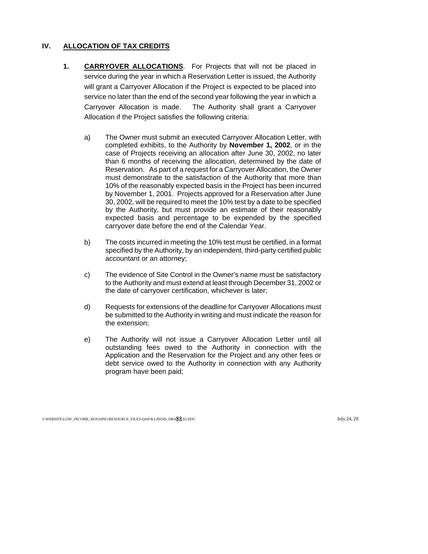# **IV. ALLOCATION OF TAX CREDITS**

- **1. CARRYOVER ALLOCATIONS**. For Projects that will not be placed in service during the year in which a Reservation Letter is issued, the Authority will grant a Carryover Allocation if the Project is expected to be placed into service no later than the end of the second year following the year in which a Carryover Allocation is made. The Authority shall grant a Carryover Allocation if the Project satisfies the following criteria:
	- a) The Owner must submit an executed Carryover Allocation Letter, with completed exhibits, to the Authority by **November 1, 2002**, or in the case of Projects receiving an allocation after June 30, 2002, no later than 6 months of receiving the allocation, determined by the date of Reservation. As part of a request for a Carryover Allocation, the Owner must demonstrate to the satisfaction of the Authority that more than 10% of the reasonably expected basis in the Project has been incurred by November 1, 2001. Projects approved for a Reservation after June 30, 2002, will be required to meet the 10% test by a date to be specified by the Authority, but must provide an estimate of their reasonably expected basis and percentage to be expended by the specified carryover date before the end of the Calendar Year.
	- b) The costs incurred in meeting the 10% test must be certified, in a format specified by the Authority, by an independent, third-party certified public accountant or an attorney;
	- c) The evidence of Site Control in the Owner's name must be satisfactory to the Authority and must extend at least through December 31, 2002 or the date of carryover certification, whichever is later;
	- d) Requests for extensions of the deadline for Carryover Allocations must be submitted to the Authority in writing and must indicate the reason for the extension;
	- e) The Authority will not issue a Carryover Allocation Letter until all outstanding fees owed to the Authority in connection with the Application and the Reservation for the Project and any other fees or debt service owed to the Authority in connection with any Authority program have been paid;

J:\WEBSITE\LOW\_INCOME\_HOUSING\RESOURCE\_FILES\QAP\ILLINOIS\_DRA**58**\_02.DOC 53 July 24, 20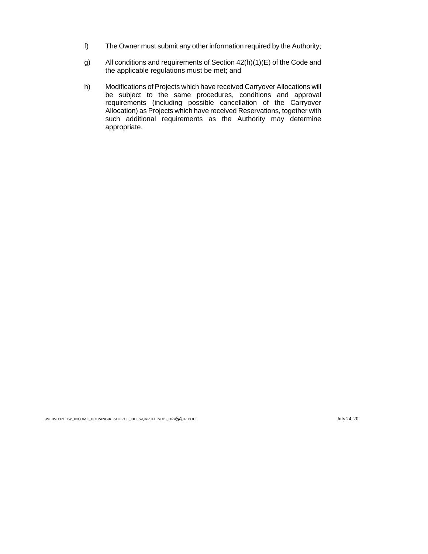- f) The Owner must submit any other information required by the Authority;
- g) All conditions and requirements of Section 42(h)(1)(E) of the Code and the applicable regulations must be met; and
- h) Modifications of Projects which have received Carryover Allocations will be subject to the same procedures, conditions and approval requirements (including possible cancellation of the Carryover Allocation) as Projects which have received Reservations, together with such additional requirements as the Authority may determine appropriate.

J:\WEBSITE\LOW\_INCOME\_HOUSING\RESOURCE\_FILES\QAP\ILLINOIS\_DRA**51**\_02.DOC 54 July 24, 20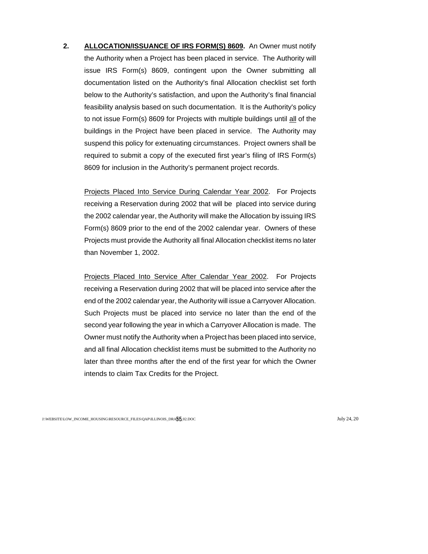**2. ALLOCATION/ISSUANCE OF IRS FORM(S) 8609.** An Owner must notify the Authority when a Project has been placed in service. The Authority will issue IRS Form(s) 8609, contingent upon the Owner submitting all documentation listed on the Authority's final Allocation checklist set forth below to the Authority's satisfaction, and upon the Authority's final financial feasibility analysis based on such documentation. It is the Authority's policy to not issue Form(s) 8609 for Projects with multiple buildings until all of the buildings in the Project have been placed in service. The Authority may suspend this policy for extenuating circumstances. Project owners shall be required to submit a copy of the executed first year's filing of IRS Form(s) 8609 for inclusion in the Authority's permanent project records.

Projects Placed Into Service During Calendar Year 2002. For Projects receiving a Reservation during 2002 that will be placed into service during the 2002 calendar year, the Authority will make the Allocation by issuing IRS Form(s) 8609 prior to the end of the 2002 calendar year. Owners of these Projects must provide the Authority all final Allocation checklist items no later than November 1, 2002.

Projects Placed Into Service After Calendar Year 2002. For Projects receiving a Reservation during 2002 that will be placed into service after the end of the 2002 calendar year, the Authority will issue a Carryover Allocation. Such Projects must be placed into service no later than the end of the second year following the year in which a Carryover Allocation is made. The Owner must notify the Authority when a Project has been placed into service, and all final Allocation checklist items must be submitted to the Authority no later than three months after the end of the first year for which the Owner intends to claim Tax Credits for the Project.

J:\WEBSITE\LOW\_INCOME\_HOUSING\RESOURCE\_FILES\QAP\ILLINOIS\_DRA**55**\_02.DOC 55 July 24, 20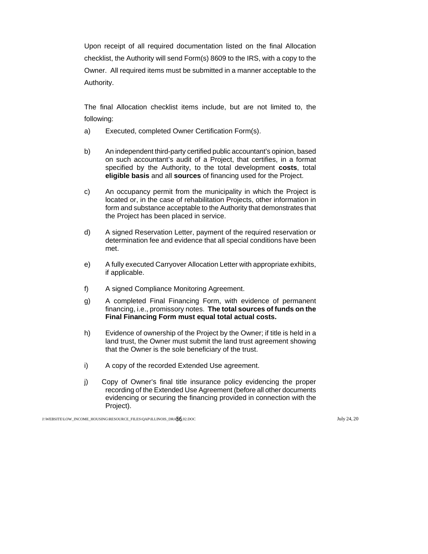Upon receipt of all required documentation listed on the final Allocation checklist, the Authority will send Form(s) 8609 to the IRS, with a copy to the Owner. All required items must be submitted in a manner acceptable to the Authority.

The final Allocation checklist items include, but are not limited to, the following:

- a) Executed, completed Owner Certification Form(s).
- b) An independent third-party certified public accountant's opinion, based on such accountant's audit of a Project, that certifies, in a format specified by the Authority, to the total development **costs**, total **eligible basis** and all **sources** of financing used for the Project.
- c) An occupancy permit from the municipality in which the Project is located or, in the case of rehabilitation Projects, other information in form and substance acceptable to the Authority that demonstrates that the Project has been placed in service.
- d) A signed Reservation Letter, payment of the required reservation or determination fee and evidence that all special conditions have been met.
- e) A fully executed Carryover Allocation Letter with appropriate exhibits, if applicable.
- f) A signed Compliance Monitoring Agreement.
- g) A completed Final Financing Form, with evidence of permanent financing, i.e., promissory notes. **The total sources of funds on the Final Financing Form must equal total actual costs.**
- h) Evidence of ownership of the Project by the Owner; if title is held in a land trust, the Owner must submit the land trust agreement showing that the Owner is the sole beneficiary of the trust.
- i) A copy of the recorded Extended Use agreement.
- j) Copy of Owner's final title insurance policy evidencing the proper recording of the Extended Use Agreement (before all other documents evidencing or securing the financing provided in connection with the Project).

J:\WEBSITE\LOW\_INCOME\_HOUSING\RESOURCE\_FILES\QAP\ILLINOIS\_DRA**56** 02.DOC 56 July 24, 20 July 24, 20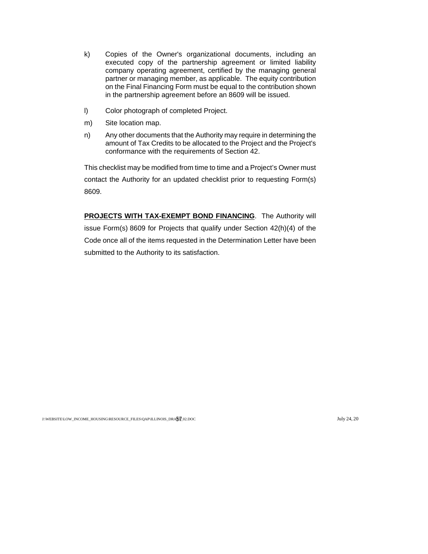- k) Copies of the Owner's organizational documents, including an executed copy of the partnership agreement or limited liability company operating agreement, certified by the managing general partner or managing member, as applicable. The equity contribution on the Final Financing Form must be equal to the contribution shown in the partnership agreement before an 8609 will be issued.
- l) Color photograph of completed Project.
- m) Site location map.
- n) Any other documents that the Authority may require in determining the amount of Tax Credits to be allocated to the Project and the Project's conformance with the requirements of Section 42.

This checklist may be modified from time to time and a Project's Owner must contact the Authority for an updated checklist prior to requesting Form(s) 8609.

**PROJECTS WITH TAX-EXEMPT BOND FINANCING**. The Authority will issue Form(s) 8609 for Projects that qualify under Section 42(h)(4) of the Code once all of the items requested in the Determination Letter have been submitted to the Authority to its satisfaction.

J:\WEBSITE\LOW\_INCOME\_HOUSING\RESOURCE\_FILES\QAP\ILLINOIS\_DRA $\overline{\mathbf{57}}$ \_02.DOC 57 July 24, 20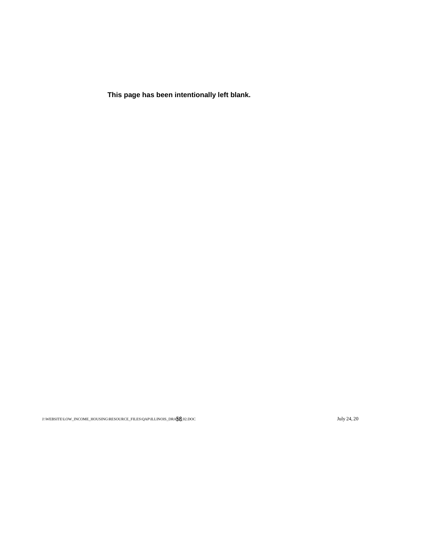**This page has been intentionally left blank.**

J:\WEBSITE\LOW\_INCOME\_HOUSING\RESOURCE\_FILES\QAP\ILLINOIS\_DRA $\overline{58}$ .02.DOC 58 July 24, 20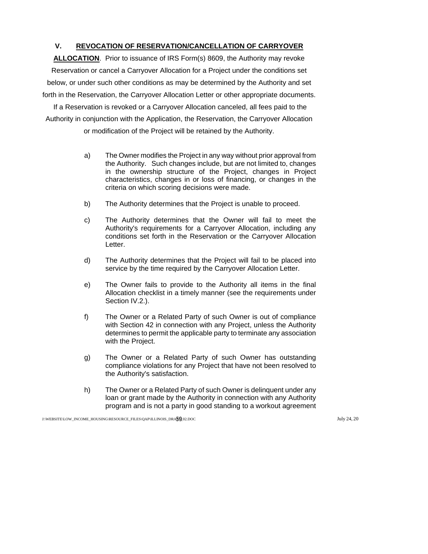# **V. REVOCATION OF RESERVATION/CANCELLATION OF CARRYOVER**

**ALLOCATION**. Prior to issuance of IRS Form(s) 8609, the Authority may revoke Reservation or cancel a Carryover Allocation for a Project under the conditions set below, or under such other conditions as may be determined by the Authority and set forth in the Reservation, the Carryover Allocation Letter or other appropriate documents.

 If a Reservation is revoked or a Carryover Allocation canceled, all fees paid to the Authority in conjunction with the Application, the Reservation, the Carryover Allocation or modification of the Project will be retained by the Authority.

- a) The Owner modifies the Project in any way without prior approval from the Authority. Such changes include, but are not limited to, changes in the ownership structure of the Project, changes in Project characteristics, changes in or loss of financing, or changes in the criteria on which scoring decisions were made.
- b) The Authority determines that the Project is unable to proceed.
- c) The Authority determines that the Owner will fail to meet the Authority's requirements for a Carryover Allocation, including any conditions set forth in the Reservation or the Carryover Allocation Letter.
- d) The Authority determines that the Project will fail to be placed into service by the time required by the Carryover Allocation Letter.
- e) The Owner fails to provide to the Authority all items in the final Allocation checklist in a timely manner (see the requirements under Section IV.2.).
- f) The Owner or a Related Party of such Owner is out of compliance with Section 42 in connection with any Project, unless the Authority determines to permit the applicable party to terminate any association with the Project.
- g) The Owner or a Related Party of such Owner has outstanding compliance violations for any Project that have not been resolved to the Authority's satisfaction.
- h) The Owner or a Related Party of such Owner is delinquent under any loan or grant made by the Authority in connection with any Authority program and is not a party in good standing to a workout agreement

J:\WEBSITE\LOW\_INCOME\_HOUSING\RESOURCE\_FILES\QAP\ILLINOIS\_DRA**59** 02.DOC 59 July 24, 20 July 24, 20 July 24, 20 July 24, 20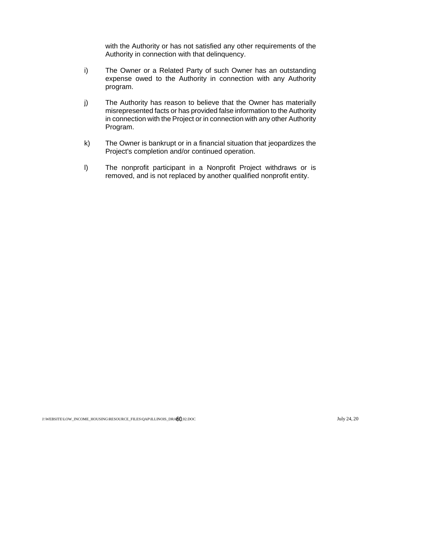with the Authority or has not satisfied any other requirements of the Authority in connection with that delinquency.

- i) The Owner or a Related Party of such Owner has an outstanding expense owed to the Authority in connection with any Authority program.
- j) The Authority has reason to believe that the Owner has materially misrepresented facts or has provided false information to the Authority in connection with the Project or in connection with any other Authority Program.
- k) The Owner is bankrupt or in a financial situation that jeopardizes the Project's completion and/or continued operation.
- l) The nonprofit participant in a Nonprofit Project withdraws or is removed, and is not replaced by another qualified nonprofit entity.

J:\WEBSITE\LOW\_INCOME\_HOUSING\RESOURCE\_FILES\QAP\ILLINOIS\_DRA**60**\_02.DOC **50 July 24, 20** July 24, 20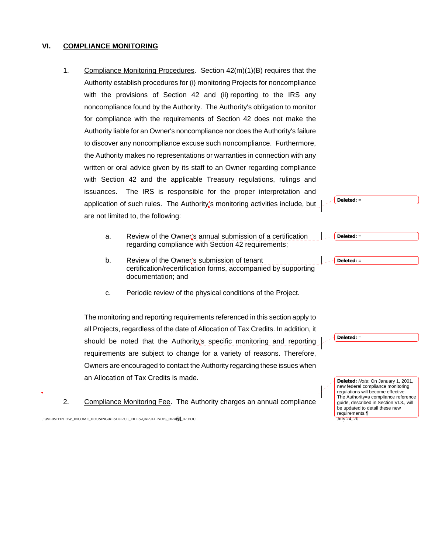## **VI. COMPLIANCE MONITORING**

- 1. Compliance Monitoring Procedures. Section 42(m)(1)(B) requires that the Authority establish procedures for (i) monitoring Projects for noncompliance with the provisions of Section 42 and (ii) reporting to the IRS any noncompliance found by the Authority. The Authority's obligation to monitor for compliance with the requirements of Section 42 does not make the Authority liable for an Owner's noncompliance nor does the Authority's failure to discover any noncompliance excuse such noncompliance. Furthermore, the Authority makes no representations or warranties in connection with any written or oral advice given by its staff to an Owner regarding compliance with Section 42 and the applicable Treasury regulations, rulings and issuances. The IRS is responsible for the proper interpretation and application of such rules. The Authority's monitoring activities include, but are not limited to, the following:
	- a. Review of the Owner's annual submission of a certification regarding compliance with Section 42 requirements;
	- b. Review of the Owner's submission of tenant certification/recertification forms, accompanied by supporting documentation; and
	- c. Periodic review of the physical conditions of the Project.

The monitoring and reporting requirements referenced in this section apply to all Projects, regardless of the date of Allocation of Tax Credits. In addition, it should be noted that the Authority's specific monitoring and reporting requirements are subject to change for a variety of reasons. Therefore, Owners are encouraged to contact the Authority regarding these issues when an Allocation of Tax Credits is made.

2. Compliance Monitoring Fee. The Authority charges an annual compliance

**Deleted:** *Note*: On January 1, 2001, new federal compliance monitoring regulations will become effective. The Authority=s compliance reference guide, described in Section VI.3., will be updated to detail these new requirements.¶

J:\WEBSITE\LOW\_INCOME\_HOUSING\RESOURCE\_FILES\QAP\ILLINOIS\_DRA**61**\_02.DOC **61 July 24, 20** July 24, 20

**Deleted:** =

**Deleted:** =

**Deleted:** =

**Deleted:** =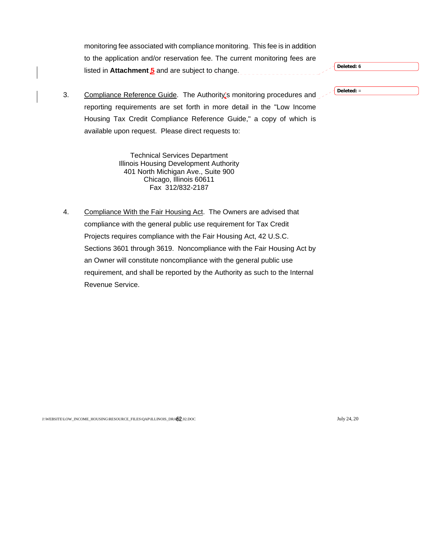monitoring fee associated with compliance monitoring. This fee is in addition to the application and/or reservation fee. The current monitoring fees are listed in **Attachment 5** and are subject to change.

**Deleted: 6**

3. Compliance Reference Guide. The Authority's monitoring procedures and reporting requirements are set forth in more detail in the "Low Income Housing Tax Credit Compliance Reference Guide," a copy of which is available upon request. Please direct requests to:

> Technical Services Department Illinois Housing Development Authority 401 North Michigan Ave., Suite 900 Chicago, Illinois 60611 Fax 312/832-2187

4. Compliance With the Fair Housing Act. The Owners are advised that compliance with the general public use requirement for Tax Credit Projects requires compliance with the Fair Housing Act, 42 U.S.C. Sections 3601 through 3619. Noncompliance with the Fair Housing Act by an Owner will constitute noncompliance with the general public use requirement, and shall be reported by the Authority as such to the Internal Revenue Service.

J:\WEBSITE\LOW\_INCOME\_HOUSING\RESOURCE\_FILES\QAP\ILLINOIS\_DRA**62**\_02.DOC **62 July 24, 20** July 24, 20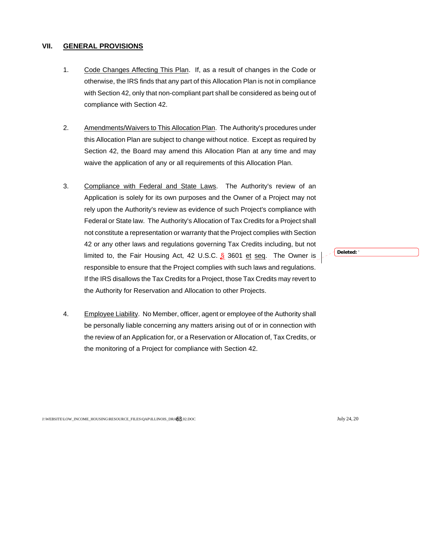# **VII. GENERAL PROVISIONS**

- 1. Code Changes Affecting This Plan. If, as a result of changes in the Code or otherwise, the IRS finds that any part of this Allocation Plan is not in compliance with Section 42, only that non-compliant part shall be considered as being out of compliance with Section 42.
- 2. Amendments/Waivers to This Allocation Plan. The Authority's procedures under this Allocation Plan are subject to change without notice. Except as required by Section 42, the Board may amend this Allocation Plan at any time and may waive the application of any or all requirements of this Allocation Plan.
- 3. Compliance with Federal and State Laws. The Authority's review of an Application is solely for its own purposes and the Owner of a Project may not rely upon the Authority's review as evidence of such Project's compliance with Federal or State law. The Authority's Allocation of Tax Credits for a Project shall not constitute a representation or warranty that the Project complies with Section 42 or any other laws and regulations governing Tax Credits including, but not limited to, the Fair Housing Act, 42 U.S.C. § 3601 et seq. The Owner is responsible to ensure that the Project complies with such laws and regulations. If the IRS disallows the Tax Credits for a Project, those Tax Credits may revert to the Authority for Reservation and Allocation to other Projects.
- 4. Employee Liability. No Member, officer, agent or employee of the Authority shall be personally liable concerning any matters arising out of or in connection with the review of an Application for, or a Reservation or Allocation of, Tax Credits, or the monitoring of a Project for compliance with Section 42.

J:\WEBSITE\LOW\_INCOME\_HOUSING\RESOURCE\_FILES\QAP\ILLINOIS\_DRA**6 B**. 02.DOC **53 July 24, 20** July 24, 20 July 24, 20

**Deleted:** '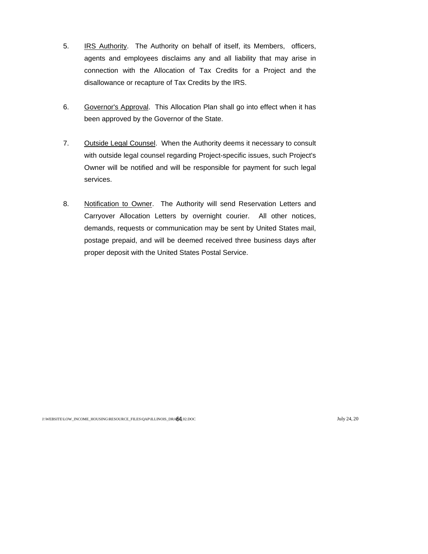- 5. IRS Authority. The Authority on behalf of itself, its Members, officers, agents and employees disclaims any and all liability that may arise in connection with the Allocation of Tax Credits for a Project and the disallowance or recapture of Tax Credits by the IRS.
- 6. Governor's Approval. This Allocation Plan shall go into effect when it has been approved by the Governor of the State.
- 7. Outside Legal Counsel. When the Authority deems it necessary to consult with outside legal counsel regarding Project-specific issues, such Project's Owner will be notified and will be responsible for payment for such legal services.
- 8. Notification to Owner. The Authority will send Reservation Letters and Carryover Allocation Letters by overnight courier. All other notices, demands, requests or communication may be sent by United States mail, postage prepaid, and will be deemed received three business days after proper deposit with the United States Postal Service.

J:\WEBSITE\LOW\_INCOME\_HOUSING\RESOURCE\_FILES\QAP\ILLINOIS\_DRA**671**\_02.DOC **64 July 24, 20** July 24, 20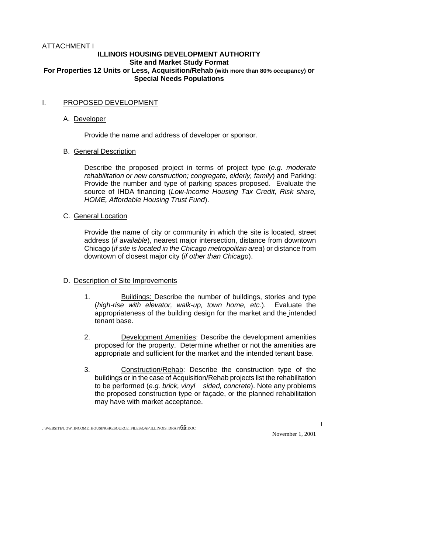## ATTACHMENT I

## **ILLINOIS HOUSING DEVELOPMENT AUTHORITY Site and Market Study Format For Properties 12 Units or Less, Acquisition/Rehab (with more than 80% occupancy) or Special Needs Populations**

## I. PROPOSED DEVELOPMENT

## A. Developer

Provide the name and address of developer or sponsor.

## B. General Description

Describe the proposed project in terms of project type (*e.g. moderate rehabilitation or new construction; congregate, elderly, family*) and Parking: Provide the number and type of parking spaces proposed. Evaluate the source of IHDA financing (*Low-Income Housing Tax Credit, Risk share, HOME, Affordable Housing Trust Fund*).

## C. General Location

Provide the name of city or community in which the site is located, street address (*if available*), nearest major intersection, distance from downtown Chicago (*if site is located in the Chicago metropolitan area*) or distance from downtown of closest major city (*if other than Chicago*).

## D. Description of Site Improvements

- 1. Buildings: Describe the number of buildings, stories and type (*high-rise with elevator, walk-up, town home, etc.*). Evaluate the appropriateness of the building design for the market and the intended tenant base.
- 2. Development Amenities: Describe the development amenities proposed for the property. Determine whether or not the amenities are appropriate and sufficient for the market and the intended tenant base.
- 3. Construction/Rehab: Describe the construction type of the buildings or in the case of Acquisition/Rehab projects list the rehabilitation to be performed (*e.g. brick, vinyl sided, concrete*). Note any problems the proposed construction type or façade, or the planned rehabilitation may have with market acceptance.

J:\WEBSITE\LOW\_INCOME\_HOUSING\RESOURCE\_FILES\QAP\ILLINOIS\_DRAFT\_02.DOC 65

November 1, 2001

 $\mathbf{I}$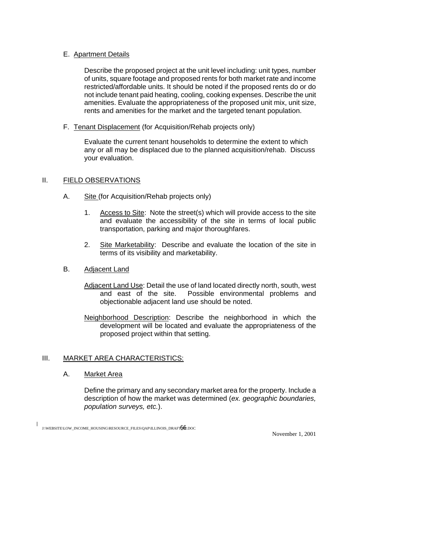## E. Apartment Details

Describe the proposed project at the unit level including: unit types, number of units, square footage and proposed rents for both market rate and income restricted/affordable units. It should be noted if the proposed rents do or do not include tenant paid heating, cooling, cooking expenses. Describe the unit amenities. Evaluate the appropriateness of the proposed unit mix, unit size, rents and amenities for the market and the targeted tenant population.

F. Tenant Displacement (for Acquisition/Rehab projects only)

Evaluate the current tenant households to determine the extent to which any or all may be displaced due to the planned acquisition/rehab. Discuss your evaluation.

## II. FIELD OBSERVATIONS

- A. Site (for Acquisition/Rehab projects only)
	- 1. Access to Site: Note the street(s) which will provide access to the site and evaluate the accessibility of the site in terms of local public transportation, parking and major thoroughfares.
	- 2. Site Marketability: Describe and evaluate the location of the site in terms of its visibility and marketability.
- B. Adjacent Land
	- Adjacent Land Use: Detail the use of land located directly north, south, west and east of the site. Possible environmental problems and objectionable adjacent land use should be noted.
	- Neighborhood Description: Describe the neighborhood in which the development will be located and evaluate the appropriateness of the proposed project within that setting.

## III. MARKET AREA CHARACTERISTICS:

A. Market Area

Define the primary and any secondary market area for the property. Include a description of how the market was determined (*ex. geographic boundaries, population surveys, etc.*).

J:\WEBSITE\LOW\_INCOME\_HOUSING\RESOURCE\_FILES\QAP\ILLINOIS\_DRAFT\_02.DOC 66

November 1, 2001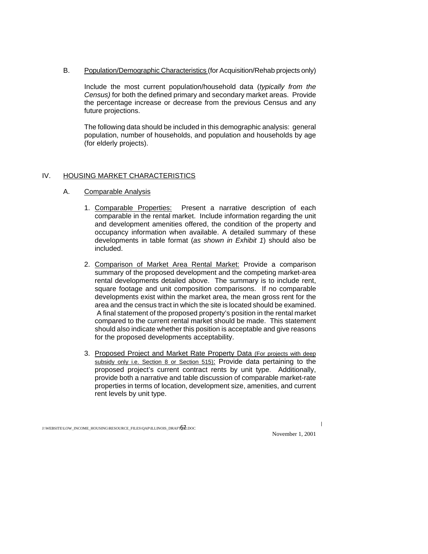B. Population/Demographic Characteristics (for Acquisition/Rehab projects only)

Include the most current population/household data (*typically from the Census)* for both the defined primary and secondary market areas. Provide the percentage increase or decrease from the previous Census and any future projections.

The following data should be included in this demographic analysis: general population, number of households, and population and households by age (for elderly projects).

# IV. HOUSING MARKET CHARACTERISTICS

- A. Comparable Analysis
	- 1. Comparable Properties: Present a narrative description of each comparable in the rental market. Include information regarding the unit and development amenities offered, the condition of the property and occupancy information when available. A detailed summary of these developments in table format (*as shown in Exhibit 1*) should also be included.
	- 2. Comparison of Market Area Rental Market: Provide a comparison summary of the proposed development and the competing market-area rental developments detailed above. The summary is to include rent, square footage and unit composition comparisons. If no comparable developments exist within the market area, the mean gross rent for the area and the census tract in which the site is located should be examined. A final statement of the proposed property's position in the rental market compared to the current rental market should be made. This statement should also indicate whether this position is acceptable and give reasons for the proposed developments acceptability.
	- 3. Proposed Project and Market Rate Property Data (For projects with deep subsidy only i.e. Section 8 or Section 515): Provide data pertaining to the proposed project's current contract rents by unit type. Additionally, provide both a narrative and table discussion of comparable market-rate properties in terms of location, development size, amenities, and current rent levels by unit type.

J:\WEBSITE\LOW\_INCOME\_HOUSING\RESOURCE\_FILES\QAP\ILLINOIS\_DRAFT\_02.DOC 67

November 1, 2001

 $\mathbf{I}$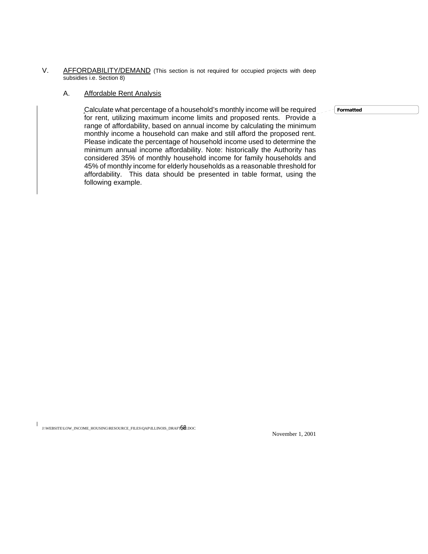V. AFFORDABILITY/DEMAND (This section is not required for occupied projects with deep subsidies i.e. Section 8)

## A. Affordable Rent Analysis

Calculate what percentage of a household's monthly income will be required for rent, utilizing maximum income limits and proposed rents. Provide a range of affordability, based on annual income by calculating the minimum monthly income a household can make and still afford the proposed rent. Please indicate the percentage of household income used to determine the minimum annual income affordability. Note: historically the Authority has considered 35% of monthly household income for family households and 45% of monthly income for elderly households as a reasonable threshold for affordability. This data should be presented in table format, using the following example.

**Formatted**

J:\WEBSITE\LOW\_INCOME\_HOUSING\RESOURCE\_FILES\QAP\ILLINOIS\_DRAFT\_02.DOC 68

 $\begin{array}{c} \hline \end{array}$ 

November 1, 2001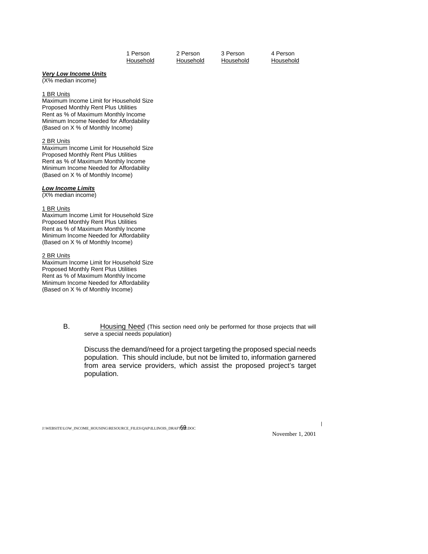| 1 Person  | 2 Person  | 3 Person  | 4 Person  |
|-----------|-----------|-----------|-----------|
| Household | Household | Household | Household |

#### *Very Low Income Units*

(X% median income)

#### 1 BR Units

Maximum Income Limit for Household Size Proposed Monthly Rent Plus Utilities Rent as % of Maximum Monthly Income Minimum Income Needed for Affordability (Based on X % of Monthly Income)

#### 2 BR Units

Maximum Income Limit for Household Size Proposed Monthly Rent Plus Utilities Rent as % of Maximum Monthly Income Minimum Income Needed for Affordability (Based on X % of Monthly Income)

#### *Low Income Limits*

(X% median income)

#### 1 BR Units

Maximum Income Limit for Household Size Proposed Monthly Rent Plus Utilities Rent as % of Maximum Monthly Income Minimum Income Needed for Affordability (Based on X % of Monthly Income)

## 2 BR Units

Maximum Income Limit for Household Size Proposed Monthly Rent Plus Utilities Rent as % of Maximum Monthly Income Minimum Income Needed for Affordability (Based on X % of Monthly Income)

> B. Housing Need (This section need only be performed for those projects that will serve a special needs population)

Discuss the demand/need for a project targeting the proposed special needs population. This should include, but not be limited to, information garnered from area service providers, which assist the proposed project's target population.

J:\WEBSITE\LOW\_INCOME\_HOUSING\RESOURCE\_FILES\QAP\ILLINOIS\_DRAFT\_02.DOC 69

November 1, 2001

 $\begin{array}{c} \hline \end{array}$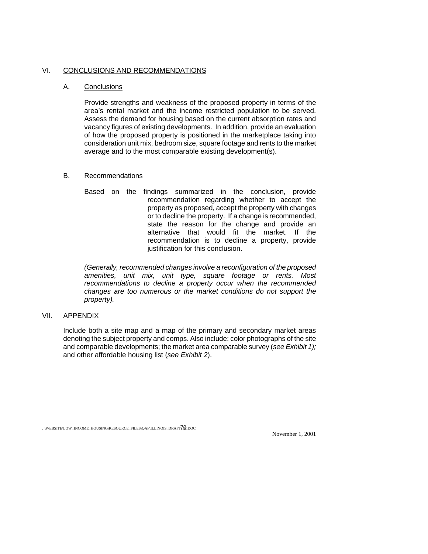## VI. CONCLUSIONS AND RECOMMENDATIONS

## A. Conclusions

Provide strengths and weakness of the proposed property in terms of the area's rental market and the income restricted population to be served. Assess the demand for housing based on the current absorption rates and vacancy figures of existing developments. In addition, provide an evaluation of how the proposed property is positioned in the marketplace taking into consideration unit mix, bedroom size, square footage and rents to the market average and to the most comparable existing development(s).

## B. Recommendations

 Based on the findings summarized in the conclusion, provide recommendation regarding whether to accept the property as proposed, accept the property with changes or to decline the property. If a change is recommended, state the reason for the change and provide an alternative that would fit the market. If the recommendation is to decline a property, provide justification for this conclusion.

*(Generally, recommended changes involve a reconfiguration of the proposed amenities, unit mix, unit type, square footage or rents. Most recommendations to decline a property occur when the recommended changes are too numerous or the market conditions do not support the property).*

## VII. APPENDIX

Include both a site map and a map of the primary and secondary market areas denoting the subject property and comps. Also include: color photographs of the site and comparable developments; the market area comparable survey (*see Exhibit 1);* and other affordable housing list (*see Exhibit 2*).

J:\WEBSITE\LOW\_INCOME\_HOUSING\RESOURCE\_FILES\QAP\ILLINOIS\_DRAFT\_02.DOC 70

November 1, 2001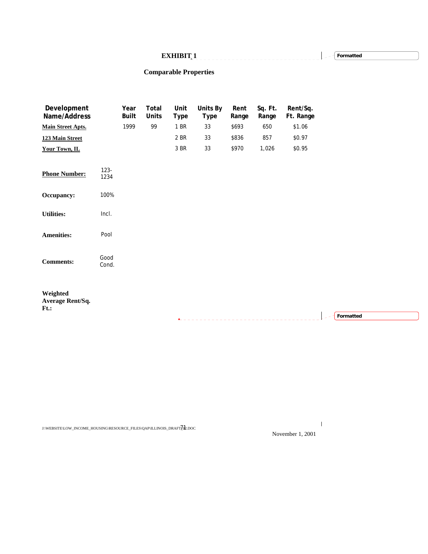## **EXHIBIT** 1

# **Comparable Properties**

| Development<br>Name/Address          |                 | Year<br><b>Built</b> | Total<br>Units | Unit<br><b>Type</b> | <b>Units By</b><br><b>Type</b> | Rent<br>Range | Sq. Ft.<br>Range | Rent/Sq.<br>Ft. Range |           |  |
|--------------------------------------|-----------------|----------------------|----------------|---------------------|--------------------------------|---------------|------------------|-----------------------|-----------|--|
| <b>Main Street Apts.</b>             |                 | 1999                 | 99             | 1 BR                | 33                             | \$693         | 650              | \$1.06                |           |  |
| 123 Main Street                      |                 |                      |                | $2$ BR              | 33                             | \$836         | 857              | \$0.97                |           |  |
| Your Town, IL                        |                 |                      |                | 3 BR                | 33                             | \$970         | 1,026            | \$0.95                |           |  |
| <b>Phone Number:</b>                 | $123 -$<br>1234 |                      |                |                     |                                |               |                  |                       |           |  |
| Occupancy:                           | 100%            |                      |                |                     |                                |               |                  |                       |           |  |
| <b>Utilities:</b>                    | Incl.           |                      |                |                     |                                |               |                  |                       |           |  |
| <b>Amenities:</b>                    | Pool            |                      |                |                     |                                |               |                  |                       |           |  |
| <b>Comments:</b>                     | Good<br>Cond.   |                      |                |                     |                                |               |                  |                       |           |  |
| Weighted<br>Average Rent/Sq.<br>Ft.: |                 |                      |                |                     |                                |               |                  |                       |           |  |
|                                      |                 |                      |                |                     |                                |               |                  |                       | Formatted |  |

J:\WEBSITE\LOW\_INCOME\_HOUSING\RESOURCE\_FILES\QAP\ILLINOIS\_DRAFT\_02.DOC 71

November 1, 2001

 $\bar{1}$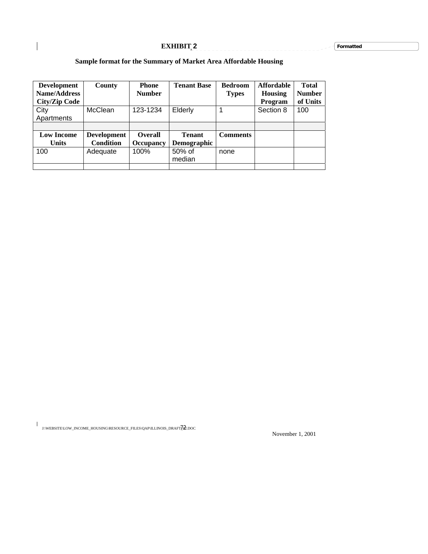# **EXHIBIT 2**

 $\overline{\phantom{a}}$ 

 $\mathbf{l}$ 

## **Formatted**

# **Sample format for the Summary of Market Area Affordable Housing**

| <b>Development</b><br><b>Name/Address</b><br><b>City/Zip Code</b> | County             | <b>Phone</b><br><b>Number</b> | <b>Tenant Base</b> | <b>Bedroom</b><br><b>Types</b> | <b>Affordable</b><br><b>Housing</b><br>Program | <b>Total</b><br><b>Number</b><br>of Units |
|-------------------------------------------------------------------|--------------------|-------------------------------|--------------------|--------------------------------|------------------------------------------------|-------------------------------------------|
| City<br>Apartments                                                | McClean            | 123-1234                      | Elderly            |                                | Section 8                                      | 100                                       |
|                                                                   |                    |                               |                    |                                |                                                |                                           |
| <b>Low Income</b>                                                 | <b>Development</b> | <b>Overall</b>                | <b>Tenant</b>      | <b>Comments</b>                |                                                |                                           |
| <b>Units</b>                                                      | <b>Condition</b>   | <b>Occupancy</b>              | <b>Demographic</b> |                                |                                                |                                           |
| 100                                                               | Adequate           | 100%                          | 50% of<br>median   | none                           |                                                |                                           |
|                                                                   |                    |                               |                    |                                |                                                |                                           |

J:\WEBSITE\LOW\_INCOME\_HOUSING\RESOURCE\_FILES\QAP\ILLINOIS\_DRAFT\_02.DOC 72

November 1, 2001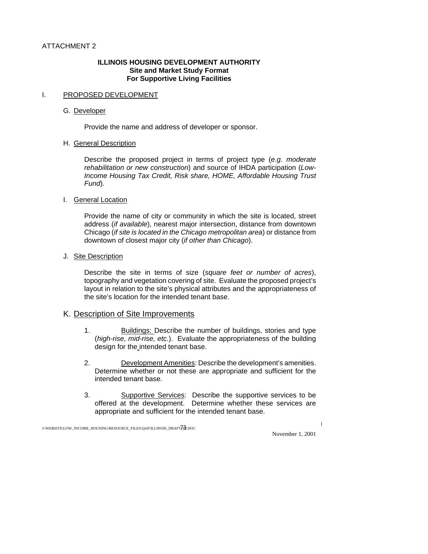## **ILLINOIS HOUSING DEVELOPMENT AUTHORITY Site and Market Study Format For Supportive Living Facilities**

## I. PROPOSED DEVELOPMENT

## G. Developer

Provide the name and address of developer or sponsor.

## H. General Description

Describe the proposed project in terms of project type (*e.g. moderate rehabilitation or new construction*) and source of IHDA participation (*Low-Income Housing Tax Credit, Risk share, HOME, Affordable Housing Trust Fund*).

## I. General Location

Provide the name of city or community in which the site is located, street address (*if available*), nearest major intersection, distance from downtown Chicago (*if site is located in the Chicago metropolitan area*) or distance from downtown of closest major city (*if other than Chicago*).

## J. Site Description

Describe the site in terms of size (*square feet or number of acres*), topography and vegetation covering of site. Evaluate the proposed project's layout in relation to the site's physical attributes and the appropriateness of the site's location for the intended tenant base.

## K. Description of Site Improvements

- 1. Buildings: Describe the number of buildings, stories and type (*high-rise, mid-rise, etc.*). Evaluate the appropriateness of the building design for the intended tenant base.
- 2. Development Amenities: Describe the development's amenities. Determine whether or not these are appropriate and sufficient for the intended tenant base.
- 3. Supportive Services: Describe the supportive services to be offered at the development. Determine whether these services are appropriate and sufficient for the intended tenant base.

J:\WEBSITE\LOW\_INCOME\_HOUSING\RESOURCE\_FILES\QAP\ILLINOIS\_DRAFT\_02.DOC 73

November 1, 2001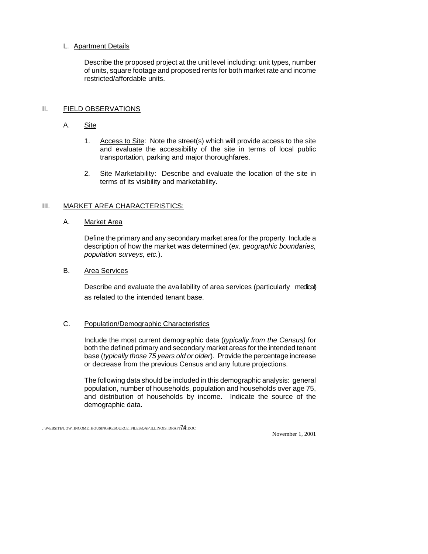## L. Apartment Details

Describe the proposed project at the unit level including: unit types, number of units, square footage and proposed rents for both market rate and income restricted/affordable units.

## II. FIELD OBSERVATIONS

- A. Site
	- 1. Access to Site: Note the street(s) which will provide access to the site and evaluate the accessibility of the site in terms of local public transportation, parking and major thoroughfares.
	- 2. Site Marketability: Describe and evaluate the location of the site in terms of its visibility and marketability.

## III. MARKET AREA CHARACTERISTICS:

## A. Market Area

Define the primary and any secondary market area for the property. Include a description of how the market was determined (*ex. geographic boundaries, population surveys, etc.*).

## B. Area Services

Describe and evaluate the availability of area services (particularly medical) as related to the intended tenant base.

## C. Population/Demographic Characteristics

Include the most current demographic data (*typically from the Census)* for both the defined primary and secondary market areas for the intended tenant base (*typically those 75 years old or older*). Provide the percentage increase or decrease from the previous Census and any future projections.

The following data should be included in this demographic analysis: general population, number of households, population and households over age 75, and distribution of households by income. Indicate the source of the demographic data.

J:\WEBSITE\LOW\_INCOME\_HOUSING\RESOURCE\_FILES\QAP\ILLINOIS\_DRAFT\_02.DOC 74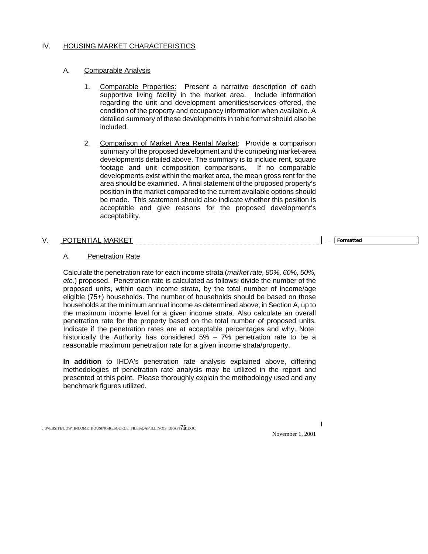## IV. HOUSING MARKET CHARACTERISTICS

## A. Comparable Analysis

- 1. Comparable Properties: Present a narrative description of each supportive living facility in the market area. Include information regarding the unit and development amenities/services offered, the condition of the property and occupancy information when available. A detailed summary of these developments in table format should also be included.
- 2. Comparison of Market Area Rental Market: Provide a comparison summary of the proposed development and the competing market-area developments detailed above. The summary is to include rent, square footage and unit composition comparisons. If no comparable developments exist within the market area, the mean gross rent for the area should be examined. A final statement of the proposed property's position in the market compared to the current available options should be made. This statement should also indicate whether this position is acceptable and give reasons for the proposed development's acceptability.

## V. POTENTIAL MARKET

**Formatted**

## A. Penetration Rate

Calculate the penetration rate for each income strata (*market rate, 80%, 60%, 50%, etc.*) proposed. Penetration rate is calculated as follows: divide the number of the proposed units, within each income strata, by the total number of income/age eligible (75+) households. The number of households should be based on those households at the minimum annual income as determined above, in Section A, up to the maximum income level for a given income strata. Also calculate an overall penetration rate for the property based on the total number of proposed units. Indicate if the penetration rates are at acceptable percentages and why. Note: historically the Authority has considered 5% – 7% penetration rate to be a reasonable maximum penetration rate for a given income strata/property.

**In addition** to IHDA's penetration rate analysis explained above, differing methodologies of penetration rate analysis may be utilized in the report and presented at this point. Please thoroughly explain the methodology used and any benchmark figures utilized.

J:\WEBSITE\LOW\_INCOME\_HOUSING\RESOURCE\_FILES\QAP\ILLINOIS\_DRAFT\_02.DOC 75

November 1, 2001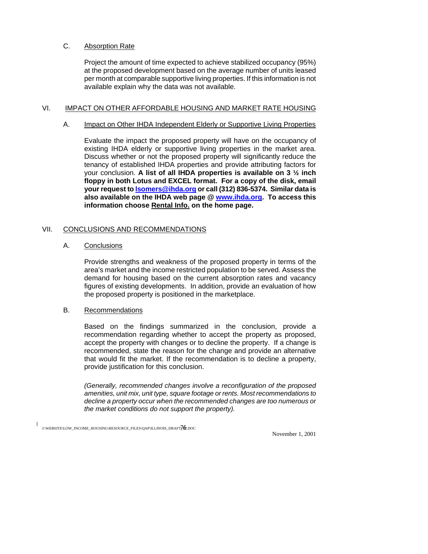## C. Absorption Rate

Project the amount of time expected to achieve stabilized occupancy (95%) at the proposed development based on the average number of units leased per month at comparable supportive living properties. If this information is not available explain why the data was not available.

## VI. IMPACT ON OTHER AFFORDABLE HOUSING AND MARKET RATE HOUSING

## A. Impact on Other IHDA Independent Elderly or Supportive Living Properties

Evaluate the impact the proposed property will have on the occupancy of existing IHDA elderly or supportive living properties in the market area. Discuss whether or not the proposed property will significantly reduce the tenancy of established IHDA properties and provide attributing factors for your conclusion. **A list of all IHDA properties is available on 3 ½ inch floppy in both Lotus and EXCEL format. For a copy of the disk, email your request to lsomers@ihda.org or call (312) 836-5374. Similar data is also available on the IHDA web page @ www.ihda.org. To access this information choose Rental Info. on the home page.** 

## VII. CONCLUSIONS AND RECOMMENDATIONS

## A. Conclusions

Provide strengths and weakness of the proposed property in terms of the area's market and the income restricted population to be served. Assess the demand for housing based on the current absorption rates and vacancy figures of existing developments. In addition, provide an evaluation of how the proposed property is positioned in the marketplace.

## B. Recommendations

Based on the findings summarized in the conclusion, provide a recommendation regarding whether to accept the property as proposed, accept the property with changes or to decline the property. If a change is recommended, state the reason for the change and provide an alternative that would fit the market. If the recommendation is to decline a property, provide justification for this conclusion.

*(Generally, recommended changes involve a reconfiguration of the proposed amenities, unit mix, unit type, square footage or rents. Most recommendations to decline a property occur when the recommended changes are too numerous or the market conditions do not support the property).*

J:\WEBSITE\LOW\_INCOME\_HOUSING\RESOURCE\_FILES\QAP\ILLINOIS\_DRAFT\_02.DOC 76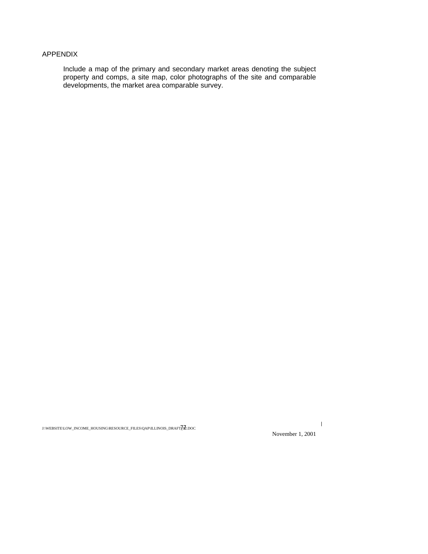## APPENDIX

Include a map of the primary and secondary market areas denoting the subject property and comps, a site map, color photographs of the site and comparable developments, the market area comparable survey.

J:\WEBSITE\LOW\_INCOME\_HOUSING\RESOURCE\_FILES\QAP\ILLINOIS\_DRAFT\_02.DOC 77

November 1, 2001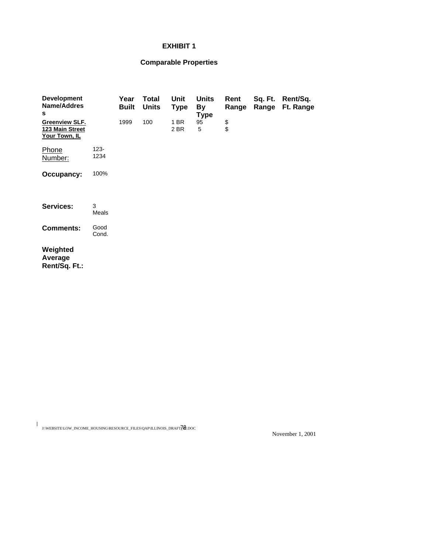## **EXHIBIT 1**

## **Comparable Properties**

| <b>Development</b><br><b>Name/Addres</b><br>s             |                 | Year<br><b>Built</b> | <b>Total</b><br><b>Units</b> | Unit<br><b>Type</b> | <b>Units</b><br>By<br><b>Type</b> | Rent<br>Range | Sq. Ft.<br>Range | Rent/Sq.<br>Ft. Range |
|-----------------------------------------------------------|-----------------|----------------------|------------------------------|---------------------|-----------------------------------|---------------|------------------|-----------------------|
| <b>Greenview SLF.</b><br>123 Main Street<br>Your Town, IL |                 | 1999                 | 100                          | 1 BR<br>2 BR        | 95<br>5                           | \$            |                  |                       |
| Phone<br>Number:                                          | $123 -$<br>1234 |                      |                              |                     |                                   |               |                  |                       |
| Occupancy:                                                | 100%            |                      |                              |                     |                                   |               |                  |                       |
| <b>Services:</b>                                          | 3<br>Meals      |                      |                              |                     |                                   |               |                  |                       |
| <b>Comments:</b>                                          | Good<br>Cond.   |                      |                              |                     |                                   |               |                  |                       |
| Weighted<br>Average<br>Rent/Sq. Ft.:                      |                 |                      |                              |                     |                                   |               |                  |                       |

J:\WEBSITE\LOW\_INCOME\_HOUSING\RESOURCE\_FILES\QAP\ILLINOIS\_DRAFT\_02.DOC 78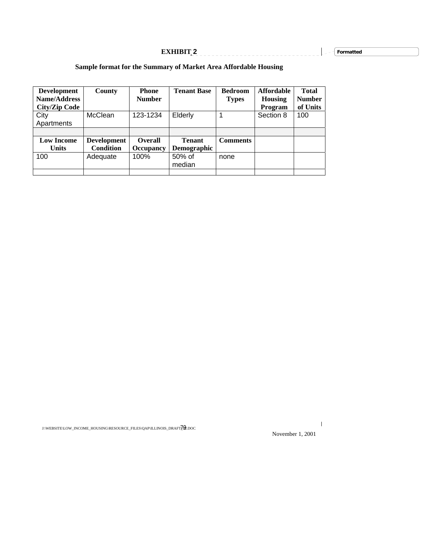## **EXHIBIT**<sub>2</sub>

\_\_\_\_\_\_\_\_\_\_\_\_\_\_\_\_\_\_\_\_\_\_\_\_

**Formatted**

## **Sample format for the Summary of Market Area Affordable Housing**

| <b>Development</b><br>Name/Address<br><b>City/Zip Code</b> | County             | <b>Phone</b><br><b>Number</b> | <b>Tenant Base</b> | <b>Bedroom</b><br><b>Types</b> | <b>Affordable</b><br><b>Housing</b><br>Program | <b>Total</b><br><b>Number</b><br>of Units |
|------------------------------------------------------------|--------------------|-------------------------------|--------------------|--------------------------------|------------------------------------------------|-------------------------------------------|
| City<br>Apartments                                         | McClean            | 123-1234                      | Elderly            |                                | Section 8                                      | 100                                       |
|                                                            |                    |                               |                    |                                |                                                |                                           |
| <b>Low Income</b>                                          | <b>Development</b> | <b>Overall</b>                | <b>Tenant</b>      | <b>Comments</b>                |                                                |                                           |
| <b>Units</b>                                               | <b>Condition</b>   | <b>Occupancy</b>              | Demographic        |                                |                                                |                                           |
| 100                                                        | Adequate           | 100%                          | 50% of<br>median   | none                           |                                                |                                           |
|                                                            |                    |                               |                    |                                |                                                |                                           |

J:\WEBSITE\LOW\_INCOME\_HOUSING\RESOURCE\_FILES\QAP\ILLINOIS\_DRAFT\_02.DOC 79

November 1, 2001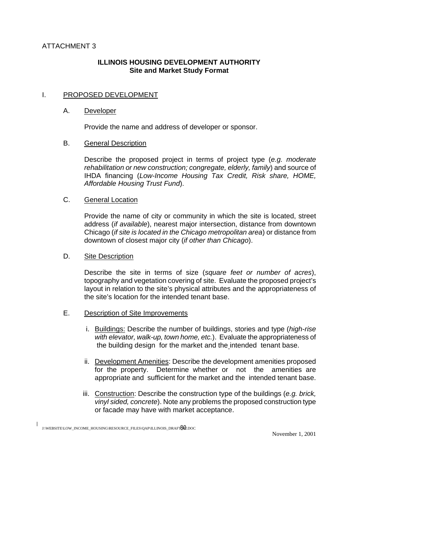## **ILLINOIS HOUSING DEVELOPMENT AUTHORITY Site and Market Study Format**

## I. PROPOSED DEVELOPMENT

## A. Developer

Provide the name and address of developer or sponsor.

## B. General Description

Describe the proposed project in terms of project type (*e.g. moderate rehabilitation or new construction; congregate, elderly, family*) and source of IHDA financing (*Low-Income Housing Tax Credit, Risk share, HOME, Affordable Housing Trust Fund*).

## C. General Location

Provide the name of city or community in which the site is located, street address (*if available*), nearest major intersection, distance from downtown Chicago (*if site is located in the Chicago metropolitan area*) or distance from downtown of closest major city (*if other than Chicago*).

## D. Site Description

Describe the site in terms of size (*square feet or number of acres*), topography and vegetation covering of site. Evaluate the proposed project's layout in relation to the site's physical attributes and the appropriateness of the site's location for the intended tenant base.

## E. Description of Site Improvements

- i. Buildings: Describe the number of buildings, stories and type (*high-rise with elevator, walk-up, town home, etc.*). Evaluate the appropriateness of the building design for the market and the intended tenant base.
- ii. Development Amenities: Describe the development amenities proposed for the property. Determine whether or not the amenities are appropriate and sufficient for the market and the intended tenant base.
- iii. Construction: Describe the construction type of the buildings (*e.g. brick, vinyl sided, concrete*). Note any problems the proposed construction type or facade may have with market acceptance.

J:\WEBSITE\LOW\_INCOME\_HOUSING\RESOURCE\_FILES\QAP\ILLINOIS\_DRAFT\_02.DOC 80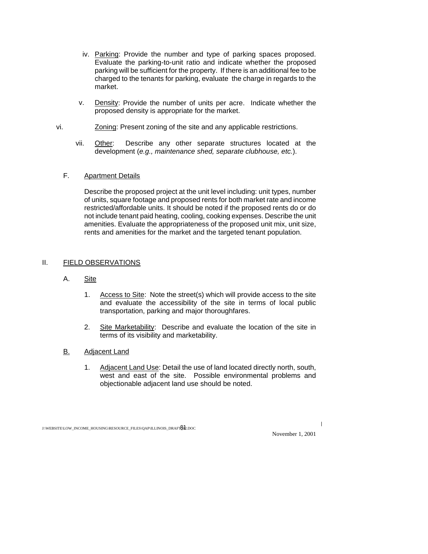- iv. Parking: Provide the number and type of parking spaces proposed. Evaluate the parking-to-unit ratio and indicate whether the proposed parking will be sufficient for the property. If there is an additional fee to be charged to the tenants for parking, evaluate the charge in regards to the market.
- v. Density: Provide the number of units per acre. Indicate whether the proposed density is appropriate for the market.
- vi. **Zoning:** Present zoning of the site and any applicable restrictions.
	- vii. Other: Describe any other separate structures located at the development (*e.g., maintenance shed, separate clubhouse, etc.*).
	- F. Apartment Details

Describe the proposed project at the unit level including: unit types, number of units, square footage and proposed rents for both market rate and income restricted/affordable units. It should be noted if the proposed rents do or do not include tenant paid heating, cooling, cooking expenses. Describe the unit amenities. Evaluate the appropriateness of the proposed unit mix, unit size, rents and amenities for the market and the targeted tenant population.

## II. FIELD OBSERVATIONS

- A. Site
	- 1. Access to Site: Note the street(s) which will provide access to the site and evaluate the accessibility of the site in terms of local public transportation, parking and major thoroughfares.
	- 2. Site Marketability: Describe and evaluate the location of the site in terms of its visibility and marketability.
- B. Adjacent Land
	- 1. Adjacent Land Use: Detail the use of land located directly north, south, west and east of the site. Possible environmental problems and objectionable adjacent land use should be noted.

J:\WEBSITE\LOW\_INCOME\_HOUSING\RESOURCE\_FILES\QAP\ILLINOIS\_DRAFT\_02.DOC 81

November 1, 2001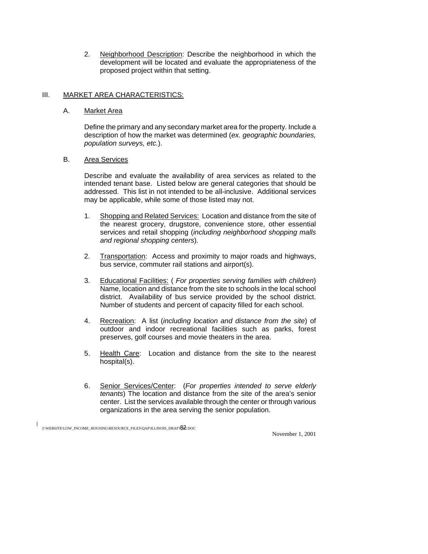2. Neighborhood Description: Describe the neighborhood in which the development will be located and evaluate the appropriateness of the proposed project within that setting.

## III. MARKET AREA CHARACTERISTICS:

## A. Market Area

Define the primary and any secondary market area for the property. Include a description of how the market was determined (*ex. geographic boundaries, population surveys, etc.*).

## B. Area Services

Describe and evaluate the availability of area services as related to the intended tenant base. Listed below are general categories that should be addressed. This list in not intended to be all-inclusive. Additional services may be applicable, while some of those listed may not.

- 1. Shopping and Related Services: Location and distance from the site of the nearest grocery, drugstore, convenience store, other essential services and retail shopping (*including neighborhood shopping malls and regional shopping centers*).
- 2. Transportation: Access and proximity to major roads and highways, bus service, commuter rail stations and airport(s).
- 3. Educational Facilities: ( *For properties serving families with children*) Name, location and distance from the site to schools in the local school district. Availability of bus service provided by the school district. Number of students and percent of capacity filled for each school.
- 4. Recreation: A list (*including location and distance from the site*) of outdoor and indoor recreational facilities such as parks, forest preserves, golf courses and movie theaters in the area.
- 5. Health Care: Location and distance from the site to the nearest hospital(s).
- 6. Senior Services/Center: (*For properties intended to serve elderly tenants*) The location and distance from the site of the area's senior center. List the services available through the center or through various organizations in the area serving the senior population.

J:\WEBSITE\LOW\_INCOME\_HOUSING\RESOURCE\_FILES\QAP\ILLINOIS\_DRAFT\_02.DOC 82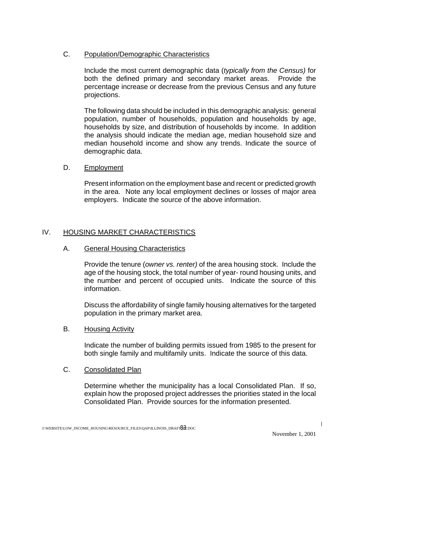## C. Population/Demographic Characteristics

Include the most current demographic data (*typically from the Census)* for both the defined primary and secondary market areas. Provide the percentage increase or decrease from the previous Census and any future projections.

The following data should be included in this demographic analysis: general population, number of households, population and households by age, households by size, and distribution of households by income. In addition the analysis should indicate the median age, median household size and median household income and show any trends. Indicate the source of demographic data.

## D. Employment

Present information on the employment base and recent or predicted growth in the area. Note any local employment declines or losses of major area employers. Indicate the source of the above information.

## IV. HOUSING MARKET CHARACTERISTICS

## A. General Housing Characteristics

Provide the tenure (*owner vs. renter)* of the area housing stock. Include the age of the housing stock, the total number of year- round housing units, and the number and percent of occupied units. Indicate the source of this information.

Discuss the affordability of single family housing alternatives for the targeted population in the primary market area.

## B. Housing Activity

Indicate the number of building permits issued from 1985 to the present for both single family and multifamily units. Indicate the source of this data.

## C. Consolidated Plan

Determine whether the municipality has a local Consolidated Plan. If so, explain how the proposed project addresses the priorities stated in the local Consolidated Plan. Provide sources for the information presented.

J:\WEBSITE\LOW\_INCOME\_HOUSING\RESOURCE\_FILES\QAP\ILLINOIS\_DRAFT\_02.DOC 83

November 1, 2001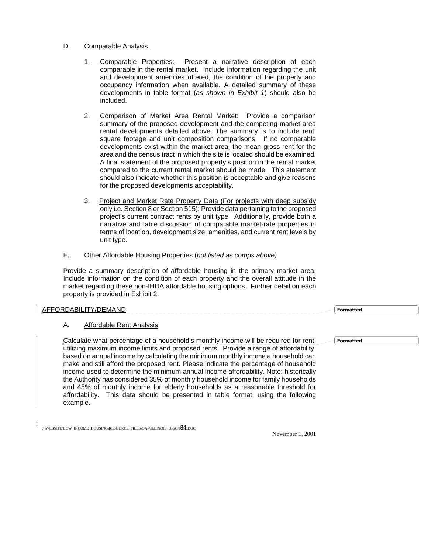## D. Comparable Analysis

- 1. Comparable Properties: Present a narrative description of each comparable in the rental market. Include information regarding the unit and development amenities offered, the condition of the property and occupancy information when available. A detailed summary of these developments in table format (*as shown in Exhibit 1*) should also be included.
- 2. Comparison of Market Area Rental Market: Provide a comparison summary of the proposed development and the competing market-area rental developments detailed above. The summary is to include rent, square footage and unit composition comparisons. If no comparable developments exist within the market area, the mean gross rent for the area and the census tract in which the site is located should be examined. A final statement of the proposed property's position in the rental market compared to the current rental market should be made. This statement should also indicate whether this position is acceptable and give reasons for the proposed developments acceptability.
- 3. Project and Market Rate Property Data (For projects with deep subsidy only i.e. Section 8 or Section 515): Provide data pertaining to the proposed project's current contract rents by unit type. Additionally, provide both a narrative and table discussion of comparable market-rate properties in terms of location, development size, amenities, and current rent levels by unit type.

## E. Other Affordable Housing Properties (*not listed as comps above)*

Provide a summary description of affordable housing in the primary market area. Include information on the condition of each property and the overall attitude in the market regarding these non-IHDA affordable housing options. Further detail on each property is provided in Exhibit 2.

## AFFORDABILITY/DEMAND

## A. Affordable Rent Analysis

Calculate what percentage of a household's monthly income will be required for rent, utilizing maximum income limits and proposed rents. Provide a range of affordability, based on annual income by calculating the minimum monthly income a household can make and still afford the proposed rent. Please indicate the percentage of household income used to determine the minimum annual income affordability. Note: historically the Authority has considered 35% of monthly household income for family households and 45% of monthly income for elderly households as a reasonable threshold for affordability. This data should be presented in table format, using the following example.

J:\WEBSITE\LOW\_INCOME\_HOUSING\RESOURCE\_FILES\QAP\ILLINOIS\_DRAFT\_02.DOC 84

**Formatted**

**Formatted**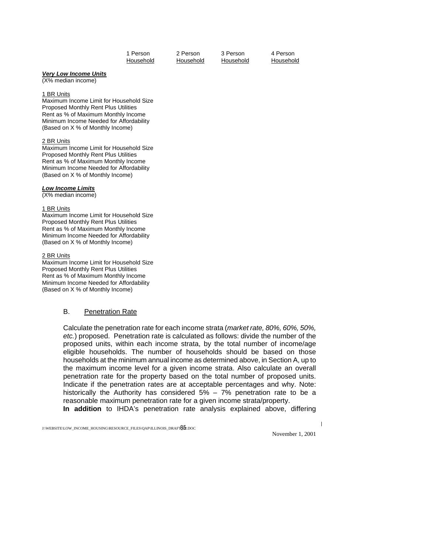| 1 Person  | 2 Person  | 3 Person  | 4 Person  |
|-----------|-----------|-----------|-----------|
| Household | Household | Household | Household |

#### *Very Low Income Units*

(X% median income)

#### 1 BR Units

Maximum Income Limit for Household Size Proposed Monthly Rent Plus Utilities Rent as % of Maximum Monthly Income Minimum Income Needed for Affordability (Based on X % of Monthly Income)

#### 2 BR Units

Maximum Income Limit for Household Size Proposed Monthly Rent Plus Utilities Rent as % of Maximum Monthly Income Minimum Income Needed for Affordability (Based on X % of Monthly Income)

#### *Low Income Limits*

(X% median income)

#### 1 BR Units

Maximum Income Limit for Household Size Proposed Monthly Rent Plus Utilities Rent as % of Maximum Monthly Income Minimum Income Needed for Affordability (Based on X % of Monthly Income)

#### 2 BR Units

Maximum Income Limit for Household Size Proposed Monthly Rent Plus Utilities Rent as % of Maximum Monthly Income Minimum Income Needed for Affordability (Based on X % of Monthly Income)

### B. Penetration Rate

Calculate the penetration rate for each income strata (*market rate, 80%, 60%, 50%, etc.*) proposed. Penetration rate is calculated as follows: divide the number of the proposed units, within each income strata, by the total number of income/age eligible households. The number of households should be based on those households at the minimum annual income as determined above, in Section A, up to the maximum income level for a given income strata. Also calculate an overall penetration rate for the property based on the total number of proposed units. Indicate if the penetration rates are at acceptable percentages and why. Note: historically the Authority has considered 5% – 7% penetration rate to be a reasonable maximum penetration rate for a given income strata/property. **In addition** to IHDA's penetration rate analysis explained above, differing

J:\WEBSITE\LOW\_INCOME\_HOUSING\RESOURCE\_FILES\QAP\ILLINOIS\_DRAFT\_02.DOC 85

November 1, 2001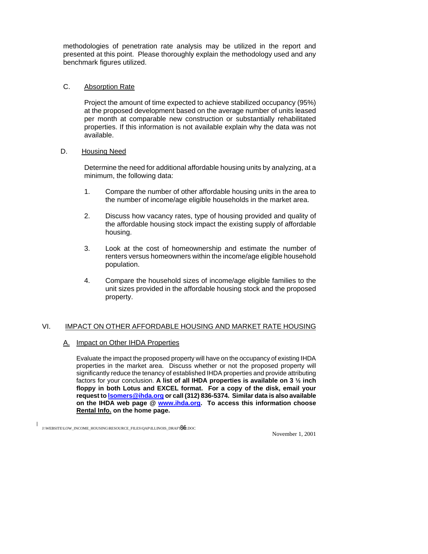methodologies of penetration rate analysis may be utilized in the report and presented at this point. Please thoroughly explain the methodology used and any benchmark figures utilized.

## C. Absorption Rate

Project the amount of time expected to achieve stabilized occupancy (95%) at the proposed development based on the average number of units leased per month at comparable new construction or substantially rehabilitated properties. If this information is not available explain why the data was not available.

## D. Housing Need

Determine the need for additional affordable housing units by analyzing, at a minimum, the following data:

- 1. Compare the number of other affordable housing units in the area to the number of income/age eligible households in the market area.
- 2. Discuss how vacancy rates, type of housing provided and quality of the affordable housing stock impact the existing supply of affordable housing.
- 3. Look at the cost of homeownership and estimate the number of renters versus homeowners within the income/age eligible household population.
- 4. Compare the household sizes of income/age eligible families to the unit sizes provided in the affordable housing stock and the proposed property.

## VI. IMPACT ON OTHER AFFORDABLE HOUSING AND MARKET RATE HOUSING

## A. Impact on Other IHDA Properties

Evaluate the impact the proposed property will have on the occupancy of existing IHDA properties in the market area. Discuss whether or not the proposed property will significantly reduce the tenancy of established IHDA properties and provide attributing factors for your conclusion. **A list of all IHDA properties is available on 3 ½ inch floppy in both Lotus and EXCEL format. For a copy of the disk, email your request to lsomers@ihda.org or call (312) 836-5374. Similar data is also available on the IHDA web page @ www.ihda.org. To access this information choose Rental Info. on the home page.** 

J:\WEBSITE\LOW\_INCOME\_HOUSING\RESOURCE\_FILES\QAP\ILLINOIS\_DRAFT\_02.DOC 86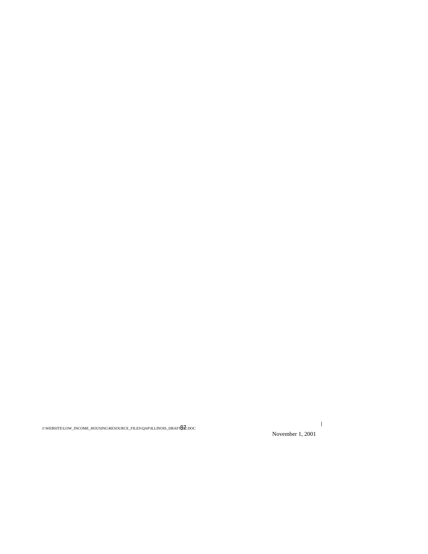November 1, 2001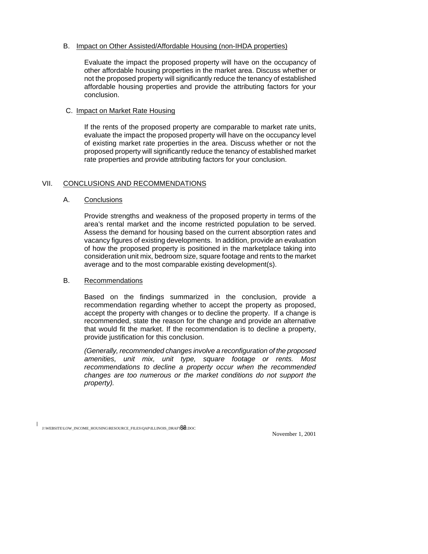## B. Impact on Other Assisted/Affordable Housing (non-IHDA properties)

Evaluate the impact the proposed property will have on the occupancy of other affordable housing properties in the market area. Discuss whether or not the proposed property will significantly reduce the tenancy of established affordable housing properties and provide the attributing factors for your conclusion.

## C. Impact on Market Rate Housing

If the rents of the proposed property are comparable to market rate units, evaluate the impact the proposed property will have on the occupancy level of existing market rate properties in the area. Discuss whether or not the proposed property will significantly reduce the tenancy of established market rate properties and provide attributing factors for your conclusion.

## VII. CONCLUSIONS AND RECOMMENDATIONS

## A. Conclusions

Provide strengths and weakness of the proposed property in terms of the area's rental market and the income restricted population to be served. Assess the demand for housing based on the current absorption rates and vacancy figures of existing developments. In addition, provide an evaluation of how the proposed property is positioned in the marketplace taking into consideration unit mix, bedroom size, square footage and rents to the market average and to the most comparable existing development(s).

## B. Recommendations

Based on the findings summarized in the conclusion, provide a recommendation regarding whether to accept the property as proposed, accept the property with changes or to decline the property. If a change is recommended, state the reason for the change and provide an alternative that would fit the market. If the recommendation is to decline a property, provide justification for this conclusion.

*(Generally, recommended changes involve a reconfiguration of the proposed amenities, unit mix, unit type, square footage or rents. Most recommendations to decline a property occur when the recommended changes are too numerous or the market conditions do not support the property).*

J:\WEBSITE\LOW\_INCOME\_HOUSING\RESOURCE\_FILES\QAP\ILLINOIS\_DRAFT\_02.DOC 88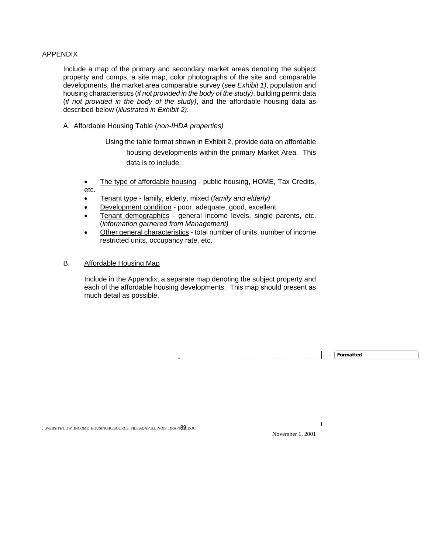## APPENDIX

Include a map of the primary and secondary market areas denoting the subject property and comps, a site map, color photographs of the site and comparable developments, the market area comparable survey (*see Exhibit 1)*, population and housing characteristics (*if not provided in the body of the study)*, building permit data (*if not provided in the body of the study)*, and the affordable housing data as described below (*illustrated in Exhibit 2)*.

A. Affordable Housing Table (*non-IHDA properties)*

 Using the table format shown in Exhibit 2, provide data on affordable housing developments within the primary Market Area. This data is to include:

- The type of affordable housing public housing, HOME, Tax Credits, etc.
- Tenant type family, elderly, mixed (*family and elderly)*
- Development condition poor, adequate, good, excellent
- Tenant demographics general income levels, single parents, etc. (*information garnered from Management)*
- Other general characteristics total number of units, number of income restricted units, occupancy rate, etc.

## B. Affordable Housing Map

 Include in the Appendix, a separate map denoting the subject property and each of the affordable housing developments. This map should present as much detail as possible.

**Formatted**

J:\WEBSITE\LOW\_INCOME\_HOUSING\RESOURCE\_FILES\QAP\ILLINOIS\_DRAFT\_02.DOC 89

November 1, 2001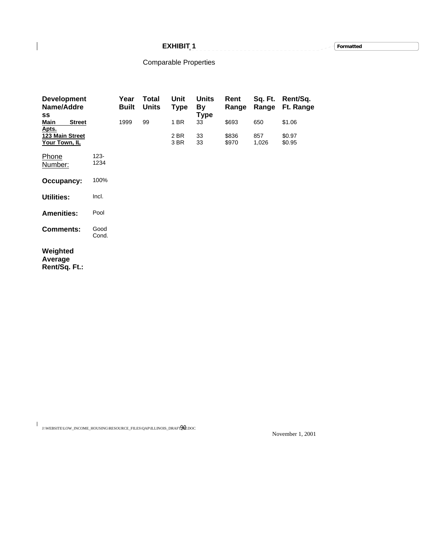# **EXHIBIT 1** *CONTREMENTAL <b>EXHIBIT*

 $\overline{\phantom{a}}$ 

**Formatted**

## Comparable Properties

| <b>Development</b><br>Name/Addre<br>SS |                 | Year<br><b>Built</b> | Total<br><b>Units</b> | Unit<br><b>Type</b> | <b>Units</b><br>By<br><b>Type</b> | Rent<br>Range  | Sq. Ft.<br>Range | Rent/Sq.<br>Ft. Range |
|----------------------------------------|-----------------|----------------------|-----------------------|---------------------|-----------------------------------|----------------|------------------|-----------------------|
| Main<br><b>Street</b><br><u>Apts.</u>  |                 | 1999                 | 99                    | 1 BR                | 33                                | \$693          | 650              | \$1.06                |
| 123 Main Street<br>Your Town, IL       |                 |                      |                       | 2 BR<br>3 BR        | 33<br>33                          | \$836<br>\$970 | 857<br>1,026     | \$0.97<br>\$0.95      |
| <b>Phone</b><br>Number:                | $123 -$<br>1234 |                      |                       |                     |                                   |                |                  |                       |
| Occupancy:                             | 100%            |                      |                       |                     |                                   |                |                  |                       |
| <b>Utilities:</b>                      | Incl.           |                      |                       |                     |                                   |                |                  |                       |
| <b>Amenities:</b>                      | Pool            |                      |                       |                     |                                   |                |                  |                       |
| <b>Comments:</b>                       | Good<br>Cond.   |                      |                       |                     |                                   |                |                  |                       |
| Weighted<br>Average<br>Rent/Sq. Ft.:   |                 |                      |                       |                     |                                   |                |                  |                       |

J:\WEBSITE\LOW\_INCOME\_HOUSING\RESOURCE\_FILES\QAP\ILLINOIS\_DRAFT\_02.DOC 90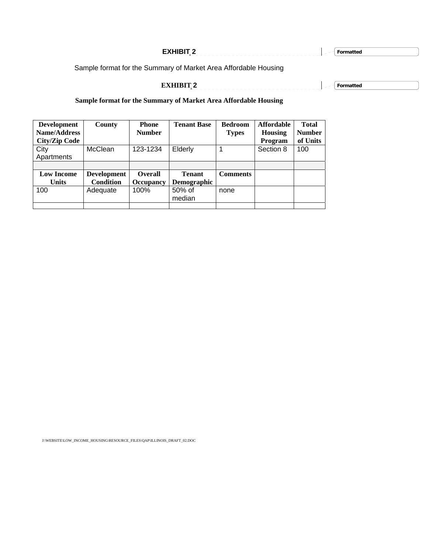**EXHIBIT,2 EXHIBIT,2 EXHIBIT,2 EXHIBIT,2 EXHIBIT,2 EXHIBIT,2 EXHIBIT,2 EXHIBIT,2 EXHIBIT,2 EXHIBIT,2 EXHIBIT,2 EXHIBIT,2 EXHIBIT,2 EXHIBIT,2 EXHIBIT,2 EXHIBIT,2 EXHIBIT,2 EXHIBIT,2 EXHIB** 

**Formatted**

 $\mathsf{L}$ 

Sample format for the Summary of Market Area Affordable Housing

#### **EXHIBIT 2 Formatted**

## **Sample format for the Summary of Market Area Affordable Housing**

| <b>Development</b>   | County             | <b>Phone</b>     | <b>Tenant Base</b> | <b>Bedroom</b>  | <b>Affordable</b> | <b>Total</b>  |
|----------------------|--------------------|------------------|--------------------|-----------------|-------------------|---------------|
| Name/Address         |                    | <b>Number</b>    |                    | <b>Types</b>    | <b>Housing</b>    | <b>Number</b> |
| <b>City/Zip Code</b> |                    |                  |                    |                 | Program           | of Units      |
| City                 | McClean            | 123-1234         | Elderly            |                 | Section 8         | 100           |
| Apartments           |                    |                  |                    |                 |                   |               |
|                      |                    |                  |                    |                 |                   |               |
| <b>Low Income</b>    | <b>Development</b> | <b>Overall</b>   | <b>Tenant</b>      | <b>Comments</b> |                   |               |
| <b>Units</b>         | <b>Condition</b>   | <b>Occupancy</b> | Demographic        |                 |                   |               |
| 100                  | Adequate           | 100%             | 50% of             | none            |                   |               |
|                      |                    |                  | median             |                 |                   |               |
|                      |                    |                  |                    |                 |                   |               |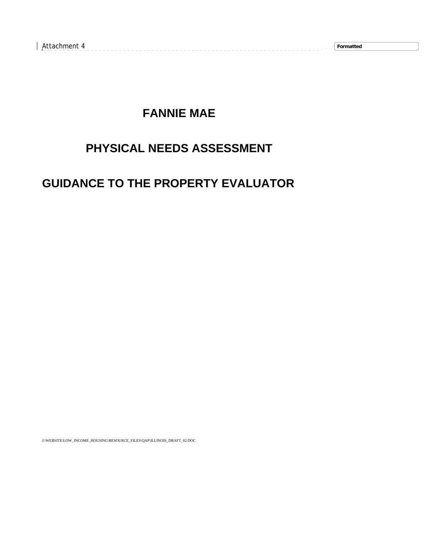| ttachment<br>– Д <del>† †</del>                                                            | Formatted<br>. |
|--------------------------------------------------------------------------------------------|----------------|
| ___<br>__<br>__<br>.<br>$\sim$<br>$\sim$<br>-<br>$\sim$<br>$\sim$<br>-<br>$\sim$<br>$\sim$ |                |

# **FANNIE MAE**

# **PHYSICAL NEEDS ASSESSMENT**

# **GUIDANCE TO THE PROPERTY EVALUATOR**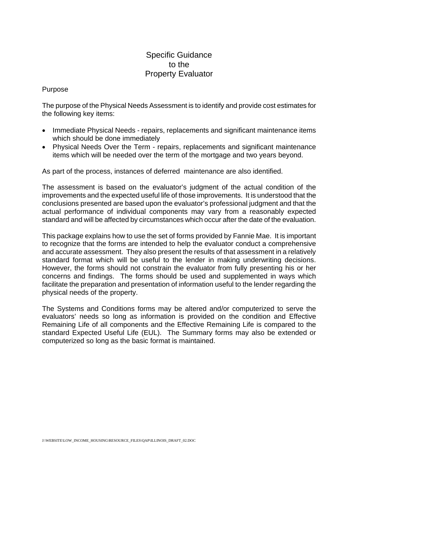## Specific Guidance to the Property Evaluator

## Purpose

The purpose of the Physical Needs Assessment is to identify and provide cost estimates for the following key items:

- Immediate Physical Needs repairs, replacements and significant maintenance items which should be done immediately
- Physical Needs Over the Term repairs, replacements and significant maintenance items which will be needed over the term of the mortgage and two years beyond.

As part of the process, instances of deferred maintenance are also identified.

The assessment is based on the evaluator's judgment of the actual condition of the improvements and the expected useful life of those improvements. It is understood that the conclusions presented are based upon the evaluator's professional judgment and that the actual performance of individual components may vary from a reasonably expected standard and will be affected by circumstances which occur after the date of the evaluation.

This package explains how to use the set of forms provided by Fannie Mae. It is important to recognize that the forms are intended to help the evaluator conduct a comprehensive and accurate assessment. They also present the results of that assessment in a relatively standard format which will be useful to the lender in making underwriting decisions. However, the forms should not constrain the evaluator from fully presenting his or her concerns and findings. The forms should be used and supplemented in ways which facilitate the preparation and presentation of information useful to the lender regarding the physical needs of the property.

The Systems and Conditions forms may be altered and/or computerized to serve the evaluators' needs so long as information is provided on the condition and Effective Remaining Life of all components and the Effective Remaining Life is compared to the standard Expected Useful Life (EUL). The Summary forms may also be extended or computerized so long as the basic format is maintained.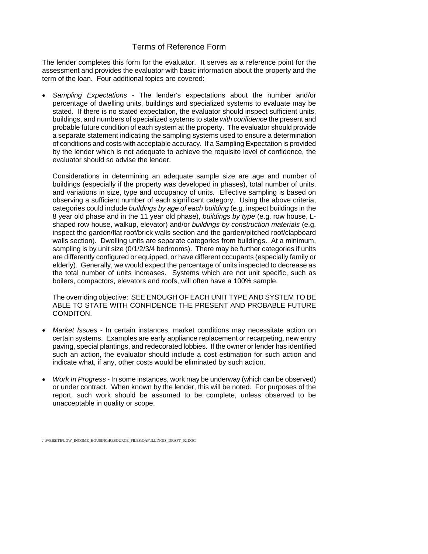## Terms of Reference Form

The lender completes this form for the evaluator. It serves as a reference point for the assessment and provides the evaluator with basic information about the property and the term of the loan. Four additional topics are covered:

• *Sampling Expectations* - The lender's expectations about the number and/or percentage of dwelling units, buildings and specialized systems to evaluate may be stated. If there is no stated expectation, the evaluator should inspect sufficient units, buildings, and numbers of specialized systems to state *with confidence* the present and probable future condition of each system at the property. The evaluator should provide a separate statement indicating the sampling systems used to ensure a determination of conditions and costs with acceptable accuracy. If a Sampling Expectation is provided by the lender which is not adequate to achieve the requisite level of confidence, the evaluator should so advise the lender.

Considerations in determining an adequate sample size are age and number of buildings (especially if the property was developed in phases), total number of units, and variations in size, type and occupancy of units. Effective sampling is based on observing a sufficient number of each significant category. Using the above criteria, categories could include *buildings by age of each building* (e.g. inspect buildings in the 8 year old phase and in the 11 year old phase), *buildings by type* (e.g. row house, Lshaped row house, walkup, elevator) and/or *buildings by construction materials* (e.g. inspect the garden/flat roof/brick walls section and the garden/pitched roof/clapboard walls section). Dwelling units are separate categories from buildings. At a minimum, sampling is by unit size (0/1/2/3/4 bedrooms). There may be further categories if units are differently configured or equipped, or have different occupants (especially family or elderly). Generally, we would expect the percentage of units inspected to decrease as the total number of units increases. Systems which are not unit specific, such as boilers, compactors, elevators and roofs, will often have a 100% sample.

The overriding objective: SEE ENOUGH OF EACH UNIT TYPE AND SYSTEM TO BE ABLE TO STATE WITH CONFIDENCE THE PRESENT AND PROBABLE FUTURE CONDITON.

- *Market Issues* In certain instances, market conditions may necessitate action on certain systems. Examples are early appliance replacement or recarpeting, new entry paving, special plantings, and redecorated lobbies. If the owner or lender has identified such an action, the evaluator should include a cost estimation for such action and indicate what, if any, other costs would be eliminated by such action.
- *Work In Progress* In some instances, work may be underway (which can be observed) or under contract. When known by the lender, this will be noted. For purposes of the report, such work should be assumed to be complete, unless observed to be unacceptable in quality or scope.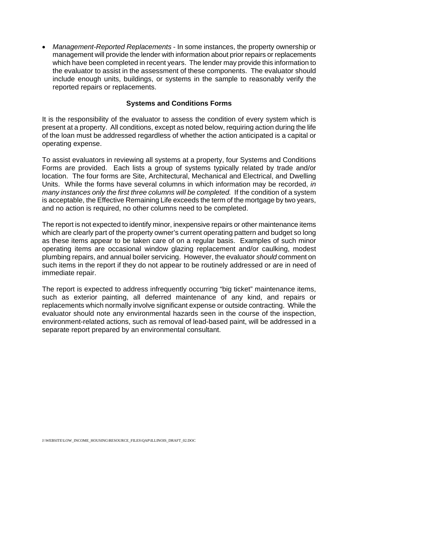• *Management-Reported Replacements* - In some instances, the property ownership or management will provide the lender with information about prior repairs or replacements which have been completed in recent years. The lender may provide this information to the evaluator to assist in the assessment of these components. The evaluator should include enough units, buildings, or systems in the sample to reasonably verify the reported repairs or replacements.

## **Systems and Conditions Forms**

It is the responsibility of the evaluator to assess the condition of every system which is present at a property. All conditions, except as noted below, requiring action during the life of the loan must be addressed regardless of whether the action anticipated is a capital or operating expense.

To assist evaluators in reviewing all systems at a property, four Systems and Conditions Forms are provided. Each lists a group of systems typically related by trade and/or location. The four forms are Site, Architectural, Mechanical and Electrical, and Dwelling Units. While the forms have several columns in which information may be recorded, *in many instances only the first three columns will be completed.* If the condition of a system is acceptable, the Effective Remaining Life exceeds the term of the mortgage by two years, and no action is required, no other columns need to be completed.

The report is not expected to identify minor, inexpensive repairs or other maintenance items which are clearly part of the property owner's current operating pattern and budget so long as these items appear to be taken care of on a regular basis. Examples of such minor operating items are occasional window glazing replacement and/or caulking, modest plumbing repairs, and annual boiler servicing. However, the evaluator *should* comment on such items in the report if they do not appear to be routinely addressed or are in need of immediate repair.

The report is expected to address infrequently occurring "big ticket" maintenance items, such as exterior painting, all deferred maintenance of any kind, and repairs or replacements which normally involve significant expense or outside contracting. While the evaluator should note any environmental hazards seen in the course of the inspection, environment-related actions, such as removal of lead-based paint, will be addressed in a separate report prepared by an environmental consultant.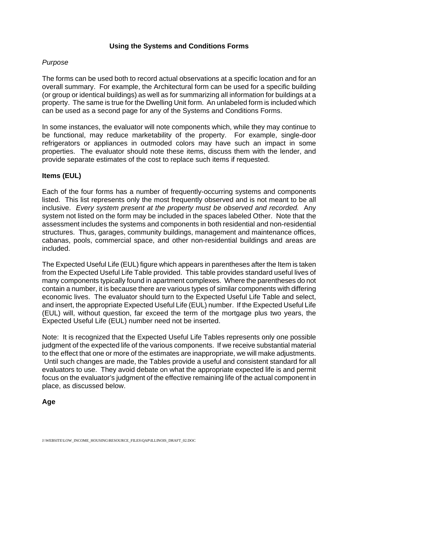## **Using the Systems and Conditions Forms**

## *Purpose*

The forms can be used both to record actual observations at a specific location and for an overall summary. For example, the Architectural form can be used for a specific building (or group or identical buildings) as well as for summarizing all information for buildings at a property. The same is true for the Dwelling Unit form. An unlabeled form is included which can be used as a second page for any of the Systems and Conditions Forms.

In some instances, the evaluator will note components which, while they may continue to be functional, may reduce marketability of the property. For example, single-door refrigerators or appliances in outmoded colors may have such an impact in some properties. The evaluator should note these items, discuss them with the lender, and provide separate estimates of the cost to replace such items if requested.

## **Items (EUL)**

Each of the four forms has a number of frequently-occurring systems and components listed. This list represents only the most frequently observed and is not meant to be all inclusive. *Every system present at the property must be observed and recorded.* Any system not listed on the form may be included in the spaces labeled Other. Note that the assessment includes the systems and components in both residential and non-residential structures. Thus, garages, community buildings, management and maintenance offices, cabanas, pools, commercial space, and other non-residential buildings and areas are included.

The Expected Useful Life (EUL) figure which appears in parentheses after the Item is taken from the Expected Useful Life Table provided. This table provides standard useful lives of many components typically found in apartment complexes. Where the parentheses do not contain a number, it is because there are various types of similar components with differing economic lives. The evaluator should turn to the Expected Useful Life Table and select, and insert, the appropriate Expected Useful Life (EUL) number. If the Expected Useful Life (EUL) will, without question, far exceed the term of the mortgage plus two years, the Expected Useful Life (EUL) number need not be inserted.

Note: It is recognized that the Expected Useful Life Tables represents only one possible judgment of the expected life of the various components. If we receive substantial material to the effect that one or more of the estimates are inappropriate, we will make adjustments. Until such changes are made, the Tables provide a useful and consistent standard for all evaluators to use. They avoid debate on what the appropriate expected life is and permit focus on the evaluator's judgment of the effective remaining life of the actual component in place, as discussed below.

**Age**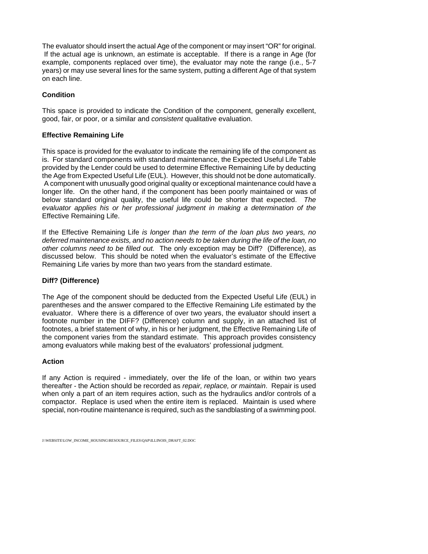The evaluator should insert the actual Age of the component or may insert "OR" for original. If the actual age is unknown, an estimate is acceptable. If there is a range in Age (for example, components replaced over time), the evaluator may note the range (i.e., 5-7 years) or may use several lines for the same system, putting a different Age of that system on each line.

## **Condition**

This space is provided to indicate the Condition of the component, generally excellent, good, fair, or poor, or a similar and *consistent* qualitative evaluation.

## **Effective Remaining Life**

This space is provided for the evaluator to indicate the remaining life of the component as is. For standard components with standard maintenance, the Expected Useful Life Table provided by the Lender could be used to determine Effective Remaining Life by deducting the Age from Expected Useful Life (EUL). However, this should not be done automatically. A component with unusually good original quality or exceptional maintenance could have a longer life. On the other hand, if the component has been poorly maintained or was of below standard original quality, the useful life could be shorter that expected. *The evaluator applies his or her professional judgment in making a determination of the*  Effective Remaining Life.

If the Effective Remaining Life *is longer than the term of the loan plus two years, no deferred maintenance exists, and no action needs to be taken during the life of the loan, no other columns need to be filled out.* The only exception may be Diff? (Difference), as discussed below. This should be noted when the evaluator's estimate of the Effective Remaining Life varies by more than two years from the standard estimate.

## **Diff? (Difference)**

The Age of the component should be deducted from the Expected Useful Life (EUL) in parentheses and the answer compared to the Effective Remaining Life estimated by the evaluator. Where there is a difference of over two years, the evaluator should insert a footnote number in the DIFF? (Difference) column and supply, in an attached list of footnotes, a brief statement of why, in his or her judgment, the Effective Remaining Life of the component varies from the standard estimate. This approach provides consistency among evaluators while making best of the evaluators' professional judgment.

## **Action**

If any Action is required - immediately, over the life of the loan, or within two years thereafter - the Action should be recorded as *repair, replace, or maintain*. Repair is used when only a part of an item requires action, such as the hydraulics and/or controls of a compactor. Replace is used when the entire item is replaced. Maintain is used where special, non-routine maintenance is required, such as the sandblasting of a swimming pool.

J:\WEBSITE\LOW\_INCOME\_HOUSING\RESOURCE\_FILES\QAP\ILLINOIS\_DRAFT\_02.DOC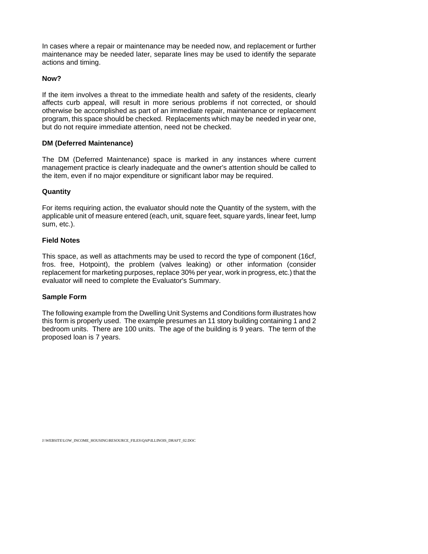In cases where a repair or maintenance may be needed now, and replacement or further maintenance may be needed later, separate lines may be used to identify the separate actions and timing.

## **Now?**

If the item involves a threat to the immediate health and safety of the residents, clearly affects curb appeal, will result in more serious problems if not corrected, or should otherwise be accomplished as part of an immediate repair, maintenance or replacement program, this space should be checked. Replacements which may be needed in year one, but do not require immediate attention, need not be checked.

## **DM (Deferred Maintenance)**

The DM (Deferred Maintenance) space is marked in any instances where current management practice is clearly inadequate and the owner's attention should be called to the item, even if no major expenditure or significant labor may be required.

## **Quantity**

For items requiring action, the evaluator should note the Quantity of the system, with the applicable unit of measure entered (each, unit, square feet, square yards, linear feet, lump sum, etc.).

## **Field Notes**

This space, as well as attachments may be used to record the type of component (16cf, fros. free, Hotpoint), the problem (valves leaking) or other information (consider replacement for marketing purposes, replace 30% per year, work in progress, etc.) that the evaluator will need to complete the Evaluator's Summary.

## **Sample Form**

The following example from the Dwelling Unit Systems and Conditions form illustrates how this form is properly used. The example presumes an 11 story building containing 1 and 2 bedroom units. There are 100 units. The age of the building is 9 years. The term of the proposed loan is 7 years.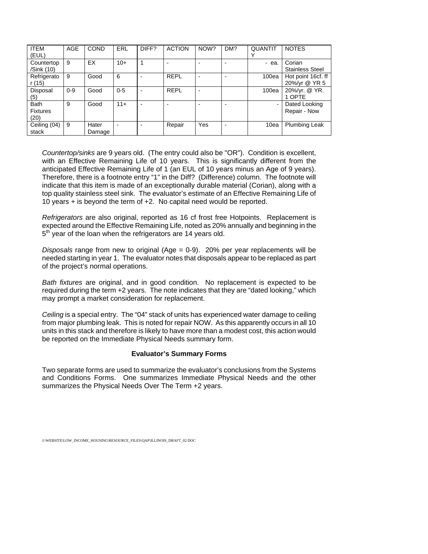| <b>ITEM</b>     | <b>AGE</b> | <b>COND</b> | ERL     | DIFF? | <b>ACTION</b> | NOW? | DM? | <b>QUANTIT</b><br>v | <b>NOTES</b>           |
|-----------------|------------|-------------|---------|-------|---------------|------|-----|---------------------|------------------------|
| (EUL)           |            |             |         |       |               |      |     |                     |                        |
| Countertop      | 9          | EX          | $10+$   |       | -             | ۰    |     | - еа.               | Corian                 |
| /Sink (10)      |            |             |         |       |               |      |     |                     | <b>Stainless Steel</b> |
| Refrigerato     | 9          | Good        | 6       |       | <b>REPL</b>   |      |     | 100ea               | Hot point 16cf. ff     |
| r(15)           |            |             |         |       |               |      |     |                     | 20%/yr @ YR 5          |
| Disposal        | $0 - 9$    | Good        | $0 - 5$ |       | <b>REPL</b>   |      |     | 100ea               | 20%/yr. @ YR.          |
| (5)             |            |             |         |       |               |      |     |                     | 1 OPTE                 |
| <b>Bath</b>     | 9          | Good        | $11+$   |       | ۰             | ۰    |     | $\blacksquare$      | Dated Looking          |
| <b>Fixtures</b> |            |             |         |       |               |      |     |                     | Repair - Now           |
| (20)            |            |             |         |       |               |      |     |                     |                        |
| Ceiling (04)    | 9          | Hater       | ۰       |       | Repair        | Yes  | ۰   | 10ea                | <b>Plumbing Leak</b>   |
| stack           |            | Damage      |         |       |               |      |     |                     |                        |

*Countertop/sinks* are 9 years old. (The entry could also be "OR"). Condition is excellent, with an Effective Remaining Life of 10 years. This is significantly different from the anticipated Effective Remaining Life of 1 (an EUL of 10 years minus an Age of 9 years). Therefore, there is a footnote entry "1" in the Diff? (Difference) column. The footnote will indicate that this item is made of an exceptionally durable material (Corian), along with a top quality stainless steel sink. The evaluator's estimate of an Effective Remaining Life of 10 years + is beyond the term of +2. No capital need would be reported.

*Refrigerators* are also original, reported as 16 cf frost free Hotpoints. Replacement is expected around the Effective Remaining Life, noted as 20% annually and beginning in the  $5<sup>th</sup>$  year of the loan when the refrigerators are 14 years old.

*Disposals* range from new to original (Age = 0-9). 20% per year replacements will be needed starting in year 1. The evaluator notes that disposals appear to be replaced as part of the project's normal operations.

*Bath fixtures* are original, and in good condition. No replacement is expected to be required during the term +2 years. The note indicates that they are "dated looking," which may prompt a market consideration for replacement.

*Ceiling* is a special entry. The "04" stack of units has experienced water damage to ceiling from major plumbing leak. This is noted for repair NOW. As this apparently occurs in all 10 units in this stack and therefore is likely to have more than a modest cost, this action would be reported on the Immediate Physical Needs summary form.

## **Evaluator's Summary Forms**

Two separate forms are used to summarize the evaluator's conclusions from the Systems and Conditions Forms. One summarizes Immediate Physical Needs and the other summarizes the Physical Needs Over The Term +2 years.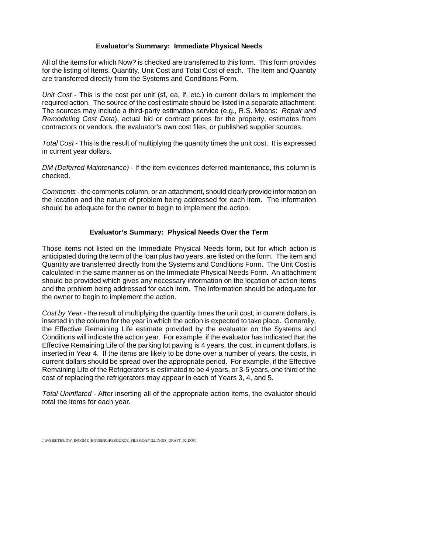## **Evaluator's Summary: Immediate Physical Needs**

All of the items for which Now? is checked are transferred to this form. This form provides for the listing of Items, Quantity, Unit Cost and Total Cost of each. The Item and Quantity are transferred directly from the Systems and Conditions Form.

*Unit Cost* - This is the cost per unit (sf, ea, lf, etc.) in current dollars to implement the required action. The source of the cost estimate should be listed in a separate attachment. The sources may include a third-party estimation service (e.g., R.S. Means: *Repair and Remodeling Cost Data*), actual bid or contract prices for the property, estimates from contractors or vendors, the evaluator's own cost files, or published supplier sources.

*Total Cost* - This is the result of multiplying the quantity times the unit cost. It is expressed in current year dollars.

*DM (Deferred Maintenance)* - If the item evidences deferred maintenance, this column is checked.

*Comments* - the comments column, or an attachment, should clearly provide information on the location and the nature of problem being addressed for each item. The information should be adequate for the owner to begin to implement the action.

## **Evaluator's Summary: Physical Needs Over the Term**

Those items not listed on the Immediate Physical Needs form, but for which action is anticipated during the term of the loan plus two years, are listed on the form. The item and Quantity are transferred directly from the Systems and Conditions Form. The Unit Cost is calculated in the same manner as on the Immediate Physical Needs Form. An attachment should be provided which gives any necessary information on the location of action items and the problem being addressed for each item. The information should be adequate for the owner to begin to implement the action.

*Cost by Year* - the result of multiplying the quantity times the unit cost, in current dollars, is inserted in the column for the year in which the action is expected to take place. Generally, the Effective Remaining Life estimate provided by the evaluator on the Systems and Conditions will indicate the action year. For example, if the evaluator has indicated that the Effective Remaining Life of the parking lot paving is 4 years, the cost, in current dollars, is inserted in Year 4. If the items are likely to be done over a number of years, the costs, in current dollars should be spread over the appropriate period. For example, if the Effective Remaining Life of the Refrigerators is estimated to be 4 years, or 3-5 years, one third of the cost of replacing the refrigerators may appear in each of Years 3, 4, and 5.

*Total Uninflated* - After inserting all of the appropriate action items, the evaluator should total the items for each year.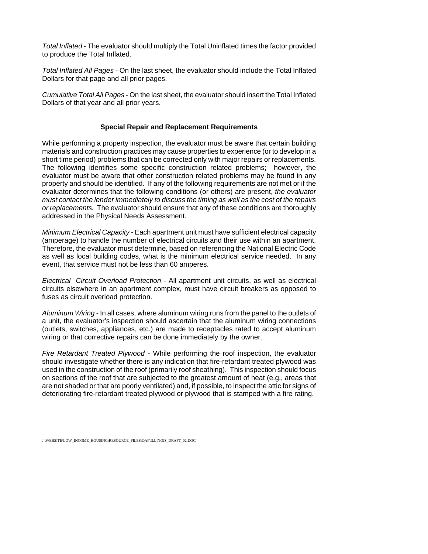*Total Inflated* - The evaluator should multiply the Total Uninflated times the factor provided to produce the Total Inflated.

*Total Inflated All Pages* - On the last sheet, the evaluator should include the Total Inflated Dollars for that page and all prior pages.

*Cumulative Total All Pages* - On the last sheet, the evaluator should insert the Total Inflated Dollars of that year and all prior years.

## **Special Repair and Replacement Requirements**

While performing a property inspection, the evaluator must be aware that certain building materials and construction practices may cause properties to experience (or to develop in a short time period) problems that can be corrected only with major repairs or replacements. The following identifies some specific construction related problems; however, the evaluator must be aware that other construction related problems may be found in any property and should be identified. If any of the following requirements are not met or if the evaluator determines that the following conditions (or others) are present, *the evaluator must contact the lender immediately to discuss the timing as well as the cost of the repairs or replacements.* The evaluator should ensure that any of these conditions are thoroughly addressed in the Physical Needs Assessment.

*Minimum Electrical Capacity* - Each apartment unit must have sufficient electrical capacity (amperage) to handle the number of electrical circuits and their use within an apartment. Therefore, the evaluator must determine, based on referencing the National Electric Code as well as local building codes, what is the minimum electrical service needed. In any event, that service must not be less than 60 amperes.

*Electrical Circuit Overload Protection* - All apartment unit circuits, as well as electrical circuits elsewhere in an apartment complex, must have circuit breakers as opposed to fuses as circuit overload protection.

*Aluminum Wiring* - In all cases, where aluminum wiring runs from the panel to the outlets of a unit, the evaluator's inspection should ascertain that the aluminum wiring connections (outlets, switches, appliances, etc.) are made to receptacles rated to accept aluminum wiring or that corrective repairs can be done immediately by the owner.

*Fire Retardant Treated Plywood* - While performing the roof inspection, the evaluator should investigate whether there is any indication that fire-retardant treated plywood was used in the construction of the roof (primarily roof sheathing). This inspection should focus on sections of the roof that are subjected to the greatest amount of heat (e.g., areas that are not shaded or that are poorly ventilated) and, if possible, to inspect the attic for signs of deteriorating fire-retardant treated plywood or plywood that is stamped with a fire rating.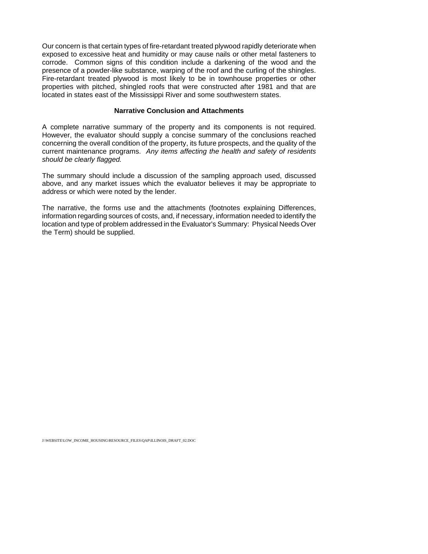Our concern is that certain types of fire-retardant treated plywood rapidly deteriorate when exposed to excessive heat and humidity or may cause nails or other metal fasteners to corrode. Common signs of this condition include a darkening of the wood and the presence of a powder-like substance, warping of the roof and the curling of the shingles. Fire-retardant treated plywood is most likely to be in townhouse properties or other properties with pitched, shingled roofs that were constructed after 1981 and that are located in states east of the Mississippi River and some southwestern states.

### **Narrative Conclusion and Attachments**

A complete narrative summary of the property and its components is not required. However, the evaluator should supply a concise summary of the conclusions reached concerning the overall condition of the property, its future prospects, and the quality of the current maintenance programs. *Any items affecting the health and safety of residents should be clearly flagged.* 

The summary should include a discussion of the sampling approach used, discussed above, and any market issues which the evaluator believes it may be appropriate to address or which were noted by the lender.

The narrative, the forms use and the attachments (footnotes explaining Differences, information regarding sources of costs, and, if necessary, information needed to identify the location and type of problem addressed in the Evaluator's Summary: Physical Needs Over the Term) should be supplied.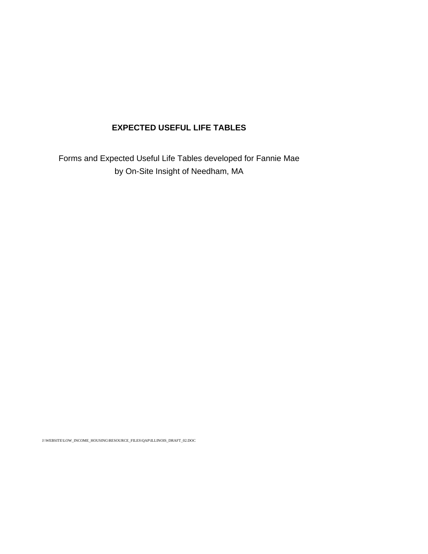## **EXPECTED USEFUL LIFE TABLES**

Forms and Expected Useful Life Tables developed for Fannie Mae by On-Site Insight of Needham, MA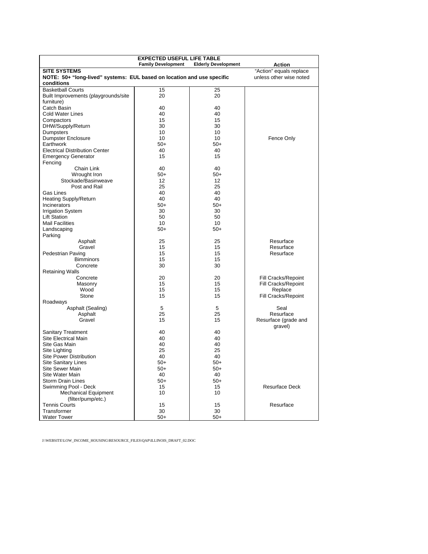|                                                                        | <b>EXPECTED USEFUL LIFE TABLE</b> |                            |                                          |  |  |  |  |
|------------------------------------------------------------------------|-----------------------------------|----------------------------|------------------------------------------|--|--|--|--|
| <b>SITE SYSTEMS</b>                                                    | <b>Family Development</b>         | <b>Elderly Development</b> | <b>Action</b><br>"Action" equals replace |  |  |  |  |
| NOTE: 50+ "long-lived" systems: EUL based on location and use specific |                                   |                            | unless other wise noted                  |  |  |  |  |
| conditions                                                             |                                   |                            |                                          |  |  |  |  |
| <b>Basketball Courts</b>                                               | 15                                | 25                         |                                          |  |  |  |  |
| Built Improvements (playgrounds/site                                   | 20                                | 20                         |                                          |  |  |  |  |
| furniture)                                                             |                                   |                            |                                          |  |  |  |  |
| Catch Basin                                                            | 40                                | 40                         |                                          |  |  |  |  |
| <b>Cold Water Lines</b>                                                | 40                                | 40                         |                                          |  |  |  |  |
| Compactors                                                             | 15                                | 15                         |                                          |  |  |  |  |
| DHW/Supply/Return                                                      | 30                                | 30                         |                                          |  |  |  |  |
| Dumpsters                                                              | 10                                | 10                         |                                          |  |  |  |  |
| <b>Dumpster Enclosure</b>                                              | 10                                | 10                         | Fence Only                               |  |  |  |  |
| Earthwork                                                              | 50+                               | 50+                        |                                          |  |  |  |  |
| <b>Electrical Distribution Center</b>                                  | 40                                | 40                         |                                          |  |  |  |  |
| <b>Emergency Generator</b>                                             | 15                                | 15                         |                                          |  |  |  |  |
| Fencing                                                                |                                   |                            |                                          |  |  |  |  |
| Chain Link                                                             | 40                                | 40                         |                                          |  |  |  |  |
| Wrought Iron                                                           | $50+$                             | $50+$                      |                                          |  |  |  |  |
| Stockade/Basinweave                                                    | 12                                | 12                         |                                          |  |  |  |  |
| Post and Rail                                                          | 25                                | 25                         |                                          |  |  |  |  |
| Gas Lines                                                              | 40                                | 40                         |                                          |  |  |  |  |
| Heating Supply/Return                                                  | 40                                | 40                         |                                          |  |  |  |  |
| Incinerators                                                           | $50+$                             | $50+$                      |                                          |  |  |  |  |
| <b>Irrigation System</b>                                               | 30                                | 30                         |                                          |  |  |  |  |
| <b>Lift Station</b>                                                    | 50                                | 50                         |                                          |  |  |  |  |
| <b>Mail Facilities</b>                                                 | 10                                | 10                         |                                          |  |  |  |  |
| Landscaping                                                            | $50+$                             | $50+$                      |                                          |  |  |  |  |
| Parking                                                                |                                   |                            |                                          |  |  |  |  |
| Asphalt                                                                | 25                                | 25                         | Resurface                                |  |  |  |  |
| Gravel                                                                 | 15                                | 15                         | Resurface                                |  |  |  |  |
| Pedestrian Paving                                                      | 15                                | 15                         | Resurface                                |  |  |  |  |
| <b>Bimminors</b>                                                       | 15                                | 15                         |                                          |  |  |  |  |
| Concrete                                                               | 30                                | 30                         |                                          |  |  |  |  |
| <b>Retaining Walls</b>                                                 |                                   |                            |                                          |  |  |  |  |
| Concrete                                                               | 20                                | 20                         | <b>Fill Cracks/Repoint</b>               |  |  |  |  |
| Masonry                                                                | 15                                | 15                         | Fill Cracks/Repoint                      |  |  |  |  |
| Wood                                                                   | 15                                | 15                         | Replace                                  |  |  |  |  |
| Stone                                                                  | 15                                | 15                         | Fill Cracks/Repoint                      |  |  |  |  |
| Roadways                                                               | 5                                 | 5                          | Seal                                     |  |  |  |  |
| Asphalt (Sealing)                                                      | 25                                | 25                         | Resurface                                |  |  |  |  |
| Asphalt<br>Gravel                                                      | 15                                | 15                         |                                          |  |  |  |  |
|                                                                        |                                   |                            | Resurface (grade and                     |  |  |  |  |
| <b>Sanitary Treatment</b>                                              | 40                                | 40                         | gravel)                                  |  |  |  |  |
| <b>Site Electrical Main</b>                                            | 40                                | 40                         |                                          |  |  |  |  |
| Site Gas Main                                                          | 40                                | 40                         |                                          |  |  |  |  |
| Site Lighting                                                          | 25                                | 25                         |                                          |  |  |  |  |
| Site Power Distribution                                                | 40                                | 40                         |                                          |  |  |  |  |
| <b>Site Sanitary Lines</b>                                             | $50+$                             | $50+$                      |                                          |  |  |  |  |
| Site Sewer Main                                                        | 50+                               | 50+                        |                                          |  |  |  |  |
| Site Water Main                                                        | 40                                | 40                         |                                          |  |  |  |  |
| <b>Storm Drain Lines</b>                                               | $50+$                             | $50+$                      |                                          |  |  |  |  |
| Swimming Pool - Deck                                                   | 15                                | 15                         | <b>Resurface Deck</b>                    |  |  |  |  |
| <b>Mechanical Equipment</b>                                            | 10                                | 10                         |                                          |  |  |  |  |
| (filter/pump/etc.)                                                     |                                   |                            |                                          |  |  |  |  |
| <b>Tennis Courts</b>                                                   | 15                                | 15                         | Resurface                                |  |  |  |  |
| Transformer                                                            | 30                                | 30                         |                                          |  |  |  |  |
| <b>Water Tower</b>                                                     | $50+$                             | $50+$                      |                                          |  |  |  |  |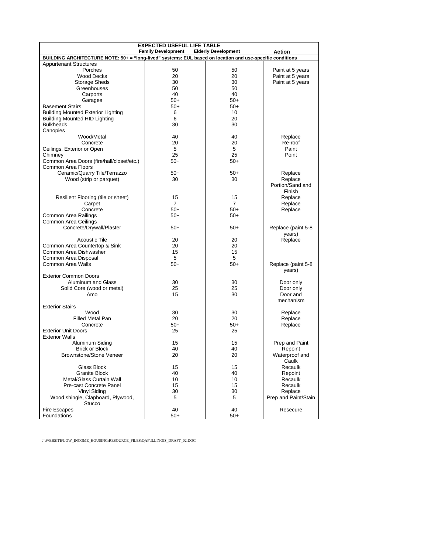|                                                                                                           | <b>EXPECTED USEFUL LIFE TABLE</b><br><b>Family Development</b> | <b>Elderly Development</b> | <b>Action</b>        |
|-----------------------------------------------------------------------------------------------------------|----------------------------------------------------------------|----------------------------|----------------------|
| BUILDING ARCHITECTURE NOTE: 50+ = "long-lived" systems: EUL based on location and use-specific conditions |                                                                |                            |                      |
| <b>Appurtenant Structures</b>                                                                             |                                                                |                            |                      |
| Porches                                                                                                   | 50                                                             | 50                         | Paint at 5 years     |
| <b>Wood Decks</b>                                                                                         | 20                                                             | 20                         | Paint at 5 years     |
| <b>Storage Sheds</b>                                                                                      | 30                                                             | 30                         | Paint at 5 years     |
| Greenhouses                                                                                               | 50                                                             | 50                         |                      |
| Carports                                                                                                  | 40                                                             | 40                         |                      |
| Garages                                                                                                   | $50+$                                                          | $50+$                      |                      |
| <b>Basement Stairs</b>                                                                                    | $50+$                                                          | $50+$                      |                      |
| <b>Building Mounted Exterior Lighting</b>                                                                 | 6                                                              | 10                         |                      |
| <b>Building Mounted HID Lighting</b>                                                                      | 6                                                              | 20                         |                      |
| <b>Bulkheads</b>                                                                                          | 30                                                             | 30                         |                      |
| Canopies                                                                                                  |                                                                |                            |                      |
| Wood/Metal                                                                                                | 40                                                             | 40                         | Replace              |
| Concrete                                                                                                  | 20                                                             | 20                         | Re-roof              |
| Ceilings, Exterior or Open                                                                                | 5                                                              | 5                          | Paint                |
| Chimney                                                                                                   | 25                                                             | 25                         | Point                |
| Common Area Doors (fire/hall/closet/etc.)                                                                 | $50+$                                                          | $50+$                      |                      |
| Common Area Floors                                                                                        |                                                                |                            |                      |
| Ceramic/Quarry Tile/Terrazzo                                                                              | $50+$                                                          | $50+$                      | Replace              |
| Wood (strip or parquet)                                                                                   | 30                                                             | 30                         | Replace              |
|                                                                                                           |                                                                |                            | Portion/Sand and     |
|                                                                                                           |                                                                |                            | Finish               |
| Resilient Flooring (tile or sheet)                                                                        | 15                                                             | 15                         | Replace              |
| Carpet                                                                                                    | $\overline{7}$                                                 | $\overline{7}$             | Replace              |
| Concrete                                                                                                  | $50+$                                                          | $50+$                      | Replace              |
| Common Area Railings                                                                                      | $50+$                                                          | $50+$                      |                      |
| Common Area Ceilings                                                                                      |                                                                |                            |                      |
| Concrete/Drywall/Plaster                                                                                  | 50+                                                            | $50+$                      | Replace (paint 5-8   |
|                                                                                                           |                                                                |                            | years)               |
| <b>Acoustic Tile</b>                                                                                      | 20                                                             | 20                         | Replace              |
| Common Area Countertop & Sink                                                                             | 20                                                             | 20                         |                      |
| Common Area Dishwasher                                                                                    | 15                                                             | 15                         |                      |
| Common Area Disposal                                                                                      | 5                                                              | 5                          |                      |
| Common Area Walls                                                                                         | $50+$                                                          | $50+$                      | Replace (paint 5-8   |
|                                                                                                           |                                                                |                            | years)               |
| <b>Exterior Common Doors</b>                                                                              |                                                                |                            |                      |
| Aluminum and Glass                                                                                        | 30                                                             | 30                         | Door only            |
| Solid Core (wood or metal)                                                                                | 25                                                             | 25                         | Door only            |
| Amo                                                                                                       | 15                                                             | 30                         | Door and             |
|                                                                                                           |                                                                |                            | mechanism            |
| <b>Exterior Stairs</b>                                                                                    |                                                                |                            |                      |
| Wood                                                                                                      | 30                                                             | 30                         | Replace              |
| <b>Filled Metal Pan</b>                                                                                   | 20                                                             | 20                         | Replace              |
| Concrete                                                                                                  | $50+$                                                          | $50+$                      | Replace              |
| <b>Exterior Unit Doors</b>                                                                                | 25                                                             | 25                         |                      |
| <b>Exterior Walls</b>                                                                                     |                                                                |                            |                      |
| Aluminum Siding                                                                                           | 15                                                             | 15                         | Prep and Paint       |
| <b>Brick or Block</b>                                                                                     | 40                                                             | 40                         | Repoint              |
| Brownstone/Stone Veneer                                                                                   | 20                                                             | 20                         | Waterproof and       |
| Glass Block                                                                                               | 15                                                             |                            | Caulk<br>Recaulk     |
| Granite Block                                                                                             | 40                                                             | 15<br>40                   | Repoint              |
| Metal/Glass Curtain Wall                                                                                  | 10                                                             | 10                         | Recaulk              |
| Pre-cast Concrete Panel                                                                                   | 15                                                             | 15                         | Recaulk              |
| Vinyl Siding                                                                                              | 30                                                             | 30                         | Replace              |
| Wood shingle, Clapboard, Plywood,                                                                         | 5                                                              | 5                          | Prep and Paint/Stain |
| Stucco                                                                                                    |                                                                |                            |                      |
| <b>Fire Escapes</b>                                                                                       | 40                                                             | 40                         | Resecure             |
| Foundations                                                                                               | $50+$                                                          | $50+$                      |                      |
|                                                                                                           |                                                                |                            |                      |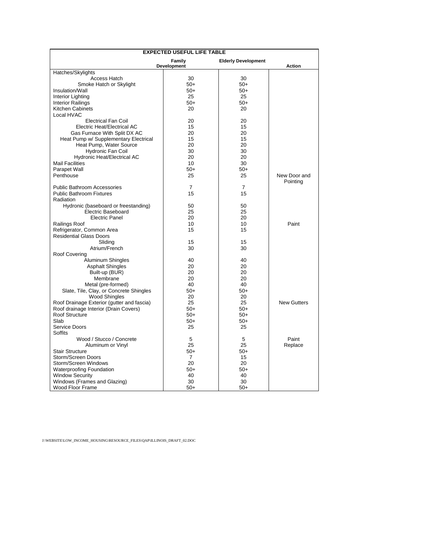| Family<br><b>Elderly Development</b><br>Development<br><b>Action</b><br>Hatches/Skylights<br>Access Hatch<br>30<br>30<br>$50+$<br>$50+$<br>Smoke Hatch or Skylight<br>Insulation/Wall<br>$50+$<br>$50+$<br>25<br>25<br>Interior Lighting<br><b>Interior Railings</b><br>$50+$<br>$50+$<br><b>Kitchen Cabinets</b><br>20<br>20<br>Local HVAC<br><b>Electrical Fan Coil</b><br>20<br>20<br>Electric Heat/Electrical AC<br>15<br>15<br>Gas Furnace With Split DX AC<br>20<br>20<br>Heat Pump w/ Supplementary Electrical<br>15<br>15<br>Heat Pump, Water Source<br>20<br>20<br>Hydronic Fan Coil<br>30<br>30<br>Hydronic Heat/Electrical AC<br>20<br>20<br><b>Mail Facilities</b><br>10<br>30<br>Parapet Wall<br>$50+$<br>$50+$<br>Penthouse<br>25<br>25<br>New Door and<br>Pointing<br><b>Public Bathroom Accessories</b><br>$\overline{7}$<br>$\overline{7}$<br><b>Public Bathroom Fixtures</b><br>15<br>15<br>Radiation<br>Hydronic (baseboard or freestanding)<br>50<br>50<br><b>Electric Baseboard</b><br>25<br>25<br><b>Electric Panel</b><br>20<br>20<br>Paint<br>Railings Roof<br>10<br>10<br>Refrigerator, Common Area<br>15<br>15<br><b>Residential Glass Doors</b><br>15<br>Sliding<br>15<br>Atrium/French<br>30<br>30<br>Roof Covering<br>40<br>40<br>Aluminum Shingles<br><b>Asphalt Shingles</b><br>20<br>20<br>Built-up (BUR)<br>20<br>20<br>Membrane<br>20<br>20<br>Metal (pre-formed)<br>40<br>40<br>Slate, Tile, Clay, or Concrete Shingles<br>$50+$<br>$50+$<br><b>Wood Shingles</b><br>20<br>20<br>Roof Drainage Exterior (gutter and fascia)<br>25<br>25<br><b>New Gutters</b><br>Roof drainage Interior (Drain Covers)<br>$50+$<br>$50+$<br>Roof Structure<br>$50+$<br>$50+$<br>Slab<br>$50+$<br>$50+$<br>Service Doors<br>25<br>25<br>Soffits<br>Wood / Stucco / Concrete<br>5<br>5<br>Paint<br>25<br>25<br>Aluminum or Vinyl<br>Replace<br><b>Stair Structure</b><br>$50+$<br>$50+$<br>Storm/Screen Doors<br>7<br>15<br>Storm/Screen Windows<br>20<br>20<br><b>Waterproofing Foundation</b><br>$50+$<br>$50+$<br><b>Window Security</b><br>40<br>40<br>Windows (Frames and Glazing)<br>30<br>30<br>Wood Floor Frame<br>$50+$<br>$50+$ | <b>EXPECTED USEFUL LIFE TABLE</b> |  |  |  |  |  |  |
|------------------------------------------------------------------------------------------------------------------------------------------------------------------------------------------------------------------------------------------------------------------------------------------------------------------------------------------------------------------------------------------------------------------------------------------------------------------------------------------------------------------------------------------------------------------------------------------------------------------------------------------------------------------------------------------------------------------------------------------------------------------------------------------------------------------------------------------------------------------------------------------------------------------------------------------------------------------------------------------------------------------------------------------------------------------------------------------------------------------------------------------------------------------------------------------------------------------------------------------------------------------------------------------------------------------------------------------------------------------------------------------------------------------------------------------------------------------------------------------------------------------------------------------------------------------------------------------------------------------------------------------------------------------------------------------------------------------------------------------------------------------------------------------------------------------------------------------------------------------------------------------------------------------------------------------------------------------------------------------------------------------------------------------------------------------------------------------------------------------------------------------------------------|-----------------------------------|--|--|--|--|--|--|
|                                                                                                                                                                                                                                                                                                                                                                                                                                                                                                                                                                                                                                                                                                                                                                                                                                                                                                                                                                                                                                                                                                                                                                                                                                                                                                                                                                                                                                                                                                                                                                                                                                                                                                                                                                                                                                                                                                                                                                                                                                                                                                                                                            |                                   |  |  |  |  |  |  |
|                                                                                                                                                                                                                                                                                                                                                                                                                                                                                                                                                                                                                                                                                                                                                                                                                                                                                                                                                                                                                                                                                                                                                                                                                                                                                                                                                                                                                                                                                                                                                                                                                                                                                                                                                                                                                                                                                                                                                                                                                                                                                                                                                            |                                   |  |  |  |  |  |  |
|                                                                                                                                                                                                                                                                                                                                                                                                                                                                                                                                                                                                                                                                                                                                                                                                                                                                                                                                                                                                                                                                                                                                                                                                                                                                                                                                                                                                                                                                                                                                                                                                                                                                                                                                                                                                                                                                                                                                                                                                                                                                                                                                                            |                                   |  |  |  |  |  |  |
|                                                                                                                                                                                                                                                                                                                                                                                                                                                                                                                                                                                                                                                                                                                                                                                                                                                                                                                                                                                                                                                                                                                                                                                                                                                                                                                                                                                                                                                                                                                                                                                                                                                                                                                                                                                                                                                                                                                                                                                                                                                                                                                                                            |                                   |  |  |  |  |  |  |
|                                                                                                                                                                                                                                                                                                                                                                                                                                                                                                                                                                                                                                                                                                                                                                                                                                                                                                                                                                                                                                                                                                                                                                                                                                                                                                                                                                                                                                                                                                                                                                                                                                                                                                                                                                                                                                                                                                                                                                                                                                                                                                                                                            |                                   |  |  |  |  |  |  |
|                                                                                                                                                                                                                                                                                                                                                                                                                                                                                                                                                                                                                                                                                                                                                                                                                                                                                                                                                                                                                                                                                                                                                                                                                                                                                                                                                                                                                                                                                                                                                                                                                                                                                                                                                                                                                                                                                                                                                                                                                                                                                                                                                            |                                   |  |  |  |  |  |  |
|                                                                                                                                                                                                                                                                                                                                                                                                                                                                                                                                                                                                                                                                                                                                                                                                                                                                                                                                                                                                                                                                                                                                                                                                                                                                                                                                                                                                                                                                                                                                                                                                                                                                                                                                                                                                                                                                                                                                                                                                                                                                                                                                                            |                                   |  |  |  |  |  |  |
|                                                                                                                                                                                                                                                                                                                                                                                                                                                                                                                                                                                                                                                                                                                                                                                                                                                                                                                                                                                                                                                                                                                                                                                                                                                                                                                                                                                                                                                                                                                                                                                                                                                                                                                                                                                                                                                                                                                                                                                                                                                                                                                                                            |                                   |  |  |  |  |  |  |
|                                                                                                                                                                                                                                                                                                                                                                                                                                                                                                                                                                                                                                                                                                                                                                                                                                                                                                                                                                                                                                                                                                                                                                                                                                                                                                                                                                                                                                                                                                                                                                                                                                                                                                                                                                                                                                                                                                                                                                                                                                                                                                                                                            |                                   |  |  |  |  |  |  |
|                                                                                                                                                                                                                                                                                                                                                                                                                                                                                                                                                                                                                                                                                                                                                                                                                                                                                                                                                                                                                                                                                                                                                                                                                                                                                                                                                                                                                                                                                                                                                                                                                                                                                                                                                                                                                                                                                                                                                                                                                                                                                                                                                            |                                   |  |  |  |  |  |  |
|                                                                                                                                                                                                                                                                                                                                                                                                                                                                                                                                                                                                                                                                                                                                                                                                                                                                                                                                                                                                                                                                                                                                                                                                                                                                                                                                                                                                                                                                                                                                                                                                                                                                                                                                                                                                                                                                                                                                                                                                                                                                                                                                                            |                                   |  |  |  |  |  |  |
|                                                                                                                                                                                                                                                                                                                                                                                                                                                                                                                                                                                                                                                                                                                                                                                                                                                                                                                                                                                                                                                                                                                                                                                                                                                                                                                                                                                                                                                                                                                                                                                                                                                                                                                                                                                                                                                                                                                                                                                                                                                                                                                                                            |                                   |  |  |  |  |  |  |
|                                                                                                                                                                                                                                                                                                                                                                                                                                                                                                                                                                                                                                                                                                                                                                                                                                                                                                                                                                                                                                                                                                                                                                                                                                                                                                                                                                                                                                                                                                                                                                                                                                                                                                                                                                                                                                                                                                                                                                                                                                                                                                                                                            |                                   |  |  |  |  |  |  |
|                                                                                                                                                                                                                                                                                                                                                                                                                                                                                                                                                                                                                                                                                                                                                                                                                                                                                                                                                                                                                                                                                                                                                                                                                                                                                                                                                                                                                                                                                                                                                                                                                                                                                                                                                                                                                                                                                                                                                                                                                                                                                                                                                            |                                   |  |  |  |  |  |  |
|                                                                                                                                                                                                                                                                                                                                                                                                                                                                                                                                                                                                                                                                                                                                                                                                                                                                                                                                                                                                                                                                                                                                                                                                                                                                                                                                                                                                                                                                                                                                                                                                                                                                                                                                                                                                                                                                                                                                                                                                                                                                                                                                                            |                                   |  |  |  |  |  |  |
|                                                                                                                                                                                                                                                                                                                                                                                                                                                                                                                                                                                                                                                                                                                                                                                                                                                                                                                                                                                                                                                                                                                                                                                                                                                                                                                                                                                                                                                                                                                                                                                                                                                                                                                                                                                                                                                                                                                                                                                                                                                                                                                                                            |                                   |  |  |  |  |  |  |
|                                                                                                                                                                                                                                                                                                                                                                                                                                                                                                                                                                                                                                                                                                                                                                                                                                                                                                                                                                                                                                                                                                                                                                                                                                                                                                                                                                                                                                                                                                                                                                                                                                                                                                                                                                                                                                                                                                                                                                                                                                                                                                                                                            |                                   |  |  |  |  |  |  |
|                                                                                                                                                                                                                                                                                                                                                                                                                                                                                                                                                                                                                                                                                                                                                                                                                                                                                                                                                                                                                                                                                                                                                                                                                                                                                                                                                                                                                                                                                                                                                                                                                                                                                                                                                                                                                                                                                                                                                                                                                                                                                                                                                            |                                   |  |  |  |  |  |  |
|                                                                                                                                                                                                                                                                                                                                                                                                                                                                                                                                                                                                                                                                                                                                                                                                                                                                                                                                                                                                                                                                                                                                                                                                                                                                                                                                                                                                                                                                                                                                                                                                                                                                                                                                                                                                                                                                                                                                                                                                                                                                                                                                                            |                                   |  |  |  |  |  |  |
|                                                                                                                                                                                                                                                                                                                                                                                                                                                                                                                                                                                                                                                                                                                                                                                                                                                                                                                                                                                                                                                                                                                                                                                                                                                                                                                                                                                                                                                                                                                                                                                                                                                                                                                                                                                                                                                                                                                                                                                                                                                                                                                                                            |                                   |  |  |  |  |  |  |
|                                                                                                                                                                                                                                                                                                                                                                                                                                                                                                                                                                                                                                                                                                                                                                                                                                                                                                                                                                                                                                                                                                                                                                                                                                                                                                                                                                                                                                                                                                                                                                                                                                                                                                                                                                                                                                                                                                                                                                                                                                                                                                                                                            |                                   |  |  |  |  |  |  |
|                                                                                                                                                                                                                                                                                                                                                                                                                                                                                                                                                                                                                                                                                                                                                                                                                                                                                                                                                                                                                                                                                                                                                                                                                                                                                                                                                                                                                                                                                                                                                                                                                                                                                                                                                                                                                                                                                                                                                                                                                                                                                                                                                            |                                   |  |  |  |  |  |  |
|                                                                                                                                                                                                                                                                                                                                                                                                                                                                                                                                                                                                                                                                                                                                                                                                                                                                                                                                                                                                                                                                                                                                                                                                                                                                                                                                                                                                                                                                                                                                                                                                                                                                                                                                                                                                                                                                                                                                                                                                                                                                                                                                                            |                                   |  |  |  |  |  |  |
|                                                                                                                                                                                                                                                                                                                                                                                                                                                                                                                                                                                                                                                                                                                                                                                                                                                                                                                                                                                                                                                                                                                                                                                                                                                                                                                                                                                                                                                                                                                                                                                                                                                                                                                                                                                                                                                                                                                                                                                                                                                                                                                                                            |                                   |  |  |  |  |  |  |
|                                                                                                                                                                                                                                                                                                                                                                                                                                                                                                                                                                                                                                                                                                                                                                                                                                                                                                                                                                                                                                                                                                                                                                                                                                                                                                                                                                                                                                                                                                                                                                                                                                                                                                                                                                                                                                                                                                                                                                                                                                                                                                                                                            |                                   |  |  |  |  |  |  |
|                                                                                                                                                                                                                                                                                                                                                                                                                                                                                                                                                                                                                                                                                                                                                                                                                                                                                                                                                                                                                                                                                                                                                                                                                                                                                                                                                                                                                                                                                                                                                                                                                                                                                                                                                                                                                                                                                                                                                                                                                                                                                                                                                            |                                   |  |  |  |  |  |  |
|                                                                                                                                                                                                                                                                                                                                                                                                                                                                                                                                                                                                                                                                                                                                                                                                                                                                                                                                                                                                                                                                                                                                                                                                                                                                                                                                                                                                                                                                                                                                                                                                                                                                                                                                                                                                                                                                                                                                                                                                                                                                                                                                                            |                                   |  |  |  |  |  |  |
|                                                                                                                                                                                                                                                                                                                                                                                                                                                                                                                                                                                                                                                                                                                                                                                                                                                                                                                                                                                                                                                                                                                                                                                                                                                                                                                                                                                                                                                                                                                                                                                                                                                                                                                                                                                                                                                                                                                                                                                                                                                                                                                                                            |                                   |  |  |  |  |  |  |
|                                                                                                                                                                                                                                                                                                                                                                                                                                                                                                                                                                                                                                                                                                                                                                                                                                                                                                                                                                                                                                                                                                                                                                                                                                                                                                                                                                                                                                                                                                                                                                                                                                                                                                                                                                                                                                                                                                                                                                                                                                                                                                                                                            |                                   |  |  |  |  |  |  |
|                                                                                                                                                                                                                                                                                                                                                                                                                                                                                                                                                                                                                                                                                                                                                                                                                                                                                                                                                                                                                                                                                                                                                                                                                                                                                                                                                                                                                                                                                                                                                                                                                                                                                                                                                                                                                                                                                                                                                                                                                                                                                                                                                            |                                   |  |  |  |  |  |  |
|                                                                                                                                                                                                                                                                                                                                                                                                                                                                                                                                                                                                                                                                                                                                                                                                                                                                                                                                                                                                                                                                                                                                                                                                                                                                                                                                                                                                                                                                                                                                                                                                                                                                                                                                                                                                                                                                                                                                                                                                                                                                                                                                                            |                                   |  |  |  |  |  |  |
|                                                                                                                                                                                                                                                                                                                                                                                                                                                                                                                                                                                                                                                                                                                                                                                                                                                                                                                                                                                                                                                                                                                                                                                                                                                                                                                                                                                                                                                                                                                                                                                                                                                                                                                                                                                                                                                                                                                                                                                                                                                                                                                                                            |                                   |  |  |  |  |  |  |
|                                                                                                                                                                                                                                                                                                                                                                                                                                                                                                                                                                                                                                                                                                                                                                                                                                                                                                                                                                                                                                                                                                                                                                                                                                                                                                                                                                                                                                                                                                                                                                                                                                                                                                                                                                                                                                                                                                                                                                                                                                                                                                                                                            |                                   |  |  |  |  |  |  |
|                                                                                                                                                                                                                                                                                                                                                                                                                                                                                                                                                                                                                                                                                                                                                                                                                                                                                                                                                                                                                                                                                                                                                                                                                                                                                                                                                                                                                                                                                                                                                                                                                                                                                                                                                                                                                                                                                                                                                                                                                                                                                                                                                            |                                   |  |  |  |  |  |  |
|                                                                                                                                                                                                                                                                                                                                                                                                                                                                                                                                                                                                                                                                                                                                                                                                                                                                                                                                                                                                                                                                                                                                                                                                                                                                                                                                                                                                                                                                                                                                                                                                                                                                                                                                                                                                                                                                                                                                                                                                                                                                                                                                                            |                                   |  |  |  |  |  |  |
|                                                                                                                                                                                                                                                                                                                                                                                                                                                                                                                                                                                                                                                                                                                                                                                                                                                                                                                                                                                                                                                                                                                                                                                                                                                                                                                                                                                                                                                                                                                                                                                                                                                                                                                                                                                                                                                                                                                                                                                                                                                                                                                                                            |                                   |  |  |  |  |  |  |
|                                                                                                                                                                                                                                                                                                                                                                                                                                                                                                                                                                                                                                                                                                                                                                                                                                                                                                                                                                                                                                                                                                                                                                                                                                                                                                                                                                                                                                                                                                                                                                                                                                                                                                                                                                                                                                                                                                                                                                                                                                                                                                                                                            |                                   |  |  |  |  |  |  |
|                                                                                                                                                                                                                                                                                                                                                                                                                                                                                                                                                                                                                                                                                                                                                                                                                                                                                                                                                                                                                                                                                                                                                                                                                                                                                                                                                                                                                                                                                                                                                                                                                                                                                                                                                                                                                                                                                                                                                                                                                                                                                                                                                            |                                   |  |  |  |  |  |  |
|                                                                                                                                                                                                                                                                                                                                                                                                                                                                                                                                                                                                                                                                                                                                                                                                                                                                                                                                                                                                                                                                                                                                                                                                                                                                                                                                                                                                                                                                                                                                                                                                                                                                                                                                                                                                                                                                                                                                                                                                                                                                                                                                                            |                                   |  |  |  |  |  |  |
|                                                                                                                                                                                                                                                                                                                                                                                                                                                                                                                                                                                                                                                                                                                                                                                                                                                                                                                                                                                                                                                                                                                                                                                                                                                                                                                                                                                                                                                                                                                                                                                                                                                                                                                                                                                                                                                                                                                                                                                                                                                                                                                                                            |                                   |  |  |  |  |  |  |
|                                                                                                                                                                                                                                                                                                                                                                                                                                                                                                                                                                                                                                                                                                                                                                                                                                                                                                                                                                                                                                                                                                                                                                                                                                                                                                                                                                                                                                                                                                                                                                                                                                                                                                                                                                                                                                                                                                                                                                                                                                                                                                                                                            |                                   |  |  |  |  |  |  |
|                                                                                                                                                                                                                                                                                                                                                                                                                                                                                                                                                                                                                                                                                                                                                                                                                                                                                                                                                                                                                                                                                                                                                                                                                                                                                                                                                                                                                                                                                                                                                                                                                                                                                                                                                                                                                                                                                                                                                                                                                                                                                                                                                            |                                   |  |  |  |  |  |  |
|                                                                                                                                                                                                                                                                                                                                                                                                                                                                                                                                                                                                                                                                                                                                                                                                                                                                                                                                                                                                                                                                                                                                                                                                                                                                                                                                                                                                                                                                                                                                                                                                                                                                                                                                                                                                                                                                                                                                                                                                                                                                                                                                                            |                                   |  |  |  |  |  |  |
|                                                                                                                                                                                                                                                                                                                                                                                                                                                                                                                                                                                                                                                                                                                                                                                                                                                                                                                                                                                                                                                                                                                                                                                                                                                                                                                                                                                                                                                                                                                                                                                                                                                                                                                                                                                                                                                                                                                                                                                                                                                                                                                                                            |                                   |  |  |  |  |  |  |
|                                                                                                                                                                                                                                                                                                                                                                                                                                                                                                                                                                                                                                                                                                                                                                                                                                                                                                                                                                                                                                                                                                                                                                                                                                                                                                                                                                                                                                                                                                                                                                                                                                                                                                                                                                                                                                                                                                                                                                                                                                                                                                                                                            |                                   |  |  |  |  |  |  |
|                                                                                                                                                                                                                                                                                                                                                                                                                                                                                                                                                                                                                                                                                                                                                                                                                                                                                                                                                                                                                                                                                                                                                                                                                                                                                                                                                                                                                                                                                                                                                                                                                                                                                                                                                                                                                                                                                                                                                                                                                                                                                                                                                            |                                   |  |  |  |  |  |  |
|                                                                                                                                                                                                                                                                                                                                                                                                                                                                                                                                                                                                                                                                                                                                                                                                                                                                                                                                                                                                                                                                                                                                                                                                                                                                                                                                                                                                                                                                                                                                                                                                                                                                                                                                                                                                                                                                                                                                                                                                                                                                                                                                                            |                                   |  |  |  |  |  |  |
|                                                                                                                                                                                                                                                                                                                                                                                                                                                                                                                                                                                                                                                                                                                                                                                                                                                                                                                                                                                                                                                                                                                                                                                                                                                                                                                                                                                                                                                                                                                                                                                                                                                                                                                                                                                                                                                                                                                                                                                                                                                                                                                                                            |                                   |  |  |  |  |  |  |
|                                                                                                                                                                                                                                                                                                                                                                                                                                                                                                                                                                                                                                                                                                                                                                                                                                                                                                                                                                                                                                                                                                                                                                                                                                                                                                                                                                                                                                                                                                                                                                                                                                                                                                                                                                                                                                                                                                                                                                                                                                                                                                                                                            |                                   |  |  |  |  |  |  |
|                                                                                                                                                                                                                                                                                                                                                                                                                                                                                                                                                                                                                                                                                                                                                                                                                                                                                                                                                                                                                                                                                                                                                                                                                                                                                                                                                                                                                                                                                                                                                                                                                                                                                                                                                                                                                                                                                                                                                                                                                                                                                                                                                            |                                   |  |  |  |  |  |  |
|                                                                                                                                                                                                                                                                                                                                                                                                                                                                                                                                                                                                                                                                                                                                                                                                                                                                                                                                                                                                                                                                                                                                                                                                                                                                                                                                                                                                                                                                                                                                                                                                                                                                                                                                                                                                                                                                                                                                                                                                                                                                                                                                                            |                                   |  |  |  |  |  |  |
|                                                                                                                                                                                                                                                                                                                                                                                                                                                                                                                                                                                                                                                                                                                                                                                                                                                                                                                                                                                                                                                                                                                                                                                                                                                                                                                                                                                                                                                                                                                                                                                                                                                                                                                                                                                                                                                                                                                                                                                                                                                                                                                                                            |                                   |  |  |  |  |  |  |
|                                                                                                                                                                                                                                                                                                                                                                                                                                                                                                                                                                                                                                                                                                                                                                                                                                                                                                                                                                                                                                                                                                                                                                                                                                                                                                                                                                                                                                                                                                                                                                                                                                                                                                                                                                                                                                                                                                                                                                                                                                                                                                                                                            |                                   |  |  |  |  |  |  |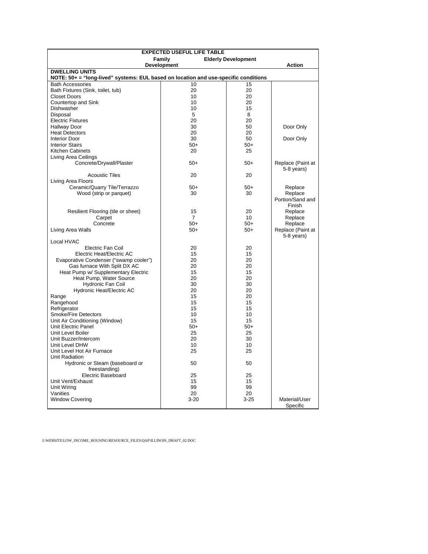| <b>EXPECTED USEFUL LIFE TABLE</b>                                                                              |                    |                            |                           |  |  |  |
|----------------------------------------------------------------------------------------------------------------|--------------------|----------------------------|---------------------------|--|--|--|
|                                                                                                                | Family             | <b>Elderly Development</b> |                           |  |  |  |
|                                                                                                                | <b>Development</b> |                            | <b>Action</b>             |  |  |  |
| <b>DWELLING UNITS</b>                                                                                          |                    |                            |                           |  |  |  |
| NOTE: 50+ = "long-lived" systems: EUL based on location and use-specific conditions<br><b>Bath Accessories</b> | 10                 | 15                         |                           |  |  |  |
| Bath Fixtures (Sink, toilet, tub)                                                                              | 20                 | 20                         |                           |  |  |  |
| <b>Closet Doors</b>                                                                                            | 10                 | 20                         |                           |  |  |  |
| Countertop and Sink                                                                                            | 10                 | 20                         |                           |  |  |  |
| Dishwasher                                                                                                     | 10                 | 15                         |                           |  |  |  |
| Disposal                                                                                                       | 5                  | 8                          |                           |  |  |  |
| <b>Electric Fixtures</b>                                                                                       | 20                 | 20                         |                           |  |  |  |
| <b>Hallway Door</b>                                                                                            | 30                 | 50                         | Door Only                 |  |  |  |
| <b>Heat Detectors</b>                                                                                          | 20                 | 20                         |                           |  |  |  |
| <b>Interior Door</b>                                                                                           | 30                 | 50                         | Door Only                 |  |  |  |
| <b>Interior Stairs</b>                                                                                         | $50+$              | $50+$                      |                           |  |  |  |
| Kitchen Cabinets                                                                                               | 20                 | 25                         |                           |  |  |  |
| Living Area Ceilings<br>Concrete/Drywall/Plaster                                                               | $50+$              | $50+$                      | Replace (Paint at         |  |  |  |
|                                                                                                                |                    |                            | 5-8 years)                |  |  |  |
| <b>Acoustic Tiles</b>                                                                                          | 20                 | 20                         |                           |  |  |  |
| Living Area Floors                                                                                             |                    |                            |                           |  |  |  |
| Ceramic/Quarry Tile/Terrazzo                                                                                   | $50+$              | $50+$                      | Replace                   |  |  |  |
| Wood (strip or parquet)                                                                                        | 30                 | 30                         | Replace                   |  |  |  |
|                                                                                                                |                    |                            | Portion/Sand and          |  |  |  |
|                                                                                                                |                    |                            | Finish                    |  |  |  |
| Resilient Flooring (tile or sheet)                                                                             | 15                 | 20                         | Replace                   |  |  |  |
| Carpet                                                                                                         | $\overline{7}$     | 10 <sup>1</sup>            | Replace                   |  |  |  |
| Concrete                                                                                                       | $50+$              | $50+$                      | Replace                   |  |  |  |
| Living Area Walls                                                                                              | $50+$              | $50+$                      | Replace (Paint at         |  |  |  |
|                                                                                                                |                    |                            | 5-8 years)                |  |  |  |
| Local HVAC<br><b>Electric Fan Coil</b>                                                                         | 20                 | 20                         |                           |  |  |  |
| Electric Heat/Electric AC                                                                                      | 15                 | 15                         |                           |  |  |  |
| Evaporative Condenser ("swamp cooler")                                                                         | 20                 | 20                         |                           |  |  |  |
| Gas furnace With Split DX AC                                                                                   | 20                 | 20                         |                           |  |  |  |
| Heat Pump w/ Supplementary Electric                                                                            | 15                 | 15                         |                           |  |  |  |
| Heat Pump, Water Source                                                                                        | 20                 | 20                         |                           |  |  |  |
| Hydronic Fan Coil                                                                                              | 30                 | 30                         |                           |  |  |  |
| Hydronic Heat/Electric AC                                                                                      | 20                 | 20                         |                           |  |  |  |
| Range                                                                                                          | 15                 | 20                         |                           |  |  |  |
| Rangehood                                                                                                      | 15                 | 15                         |                           |  |  |  |
| Refrigerator                                                                                                   | 15                 | 15                         |                           |  |  |  |
| Smoke/Fire Detectors                                                                                           | 10                 | 10                         |                           |  |  |  |
| Unit Air Conditioning (Window)                                                                                 | 15                 | 15                         |                           |  |  |  |
| Unit Electric Panel<br>Unit Level Boiler                                                                       | $50+$              | $50+$<br>25                |                           |  |  |  |
| Unit Buzzer/Intercom                                                                                           | 25<br>20           | 30                         |                           |  |  |  |
| Unit Level DHW                                                                                                 | 10                 | 10                         |                           |  |  |  |
| Unit Level Hot Air Furnace                                                                                     | 25                 | 25                         |                           |  |  |  |
| Unit Radiation                                                                                                 |                    |                            |                           |  |  |  |
| Hydronic or Steam (baseboard or                                                                                | 50                 | 50                         |                           |  |  |  |
| freestanding)                                                                                                  |                    |                            |                           |  |  |  |
| Electric Baseboard                                                                                             | 25                 | 25                         |                           |  |  |  |
| Unit Vent/Exhaust                                                                                              | 15                 | 15                         |                           |  |  |  |
| Unit Wiring                                                                                                    | 99                 | 99                         |                           |  |  |  |
| Vanities                                                                                                       | 20                 | 20                         |                           |  |  |  |
| <b>Window Covering</b>                                                                                         | $3 - 20$           | $3 - 25$                   | Material/User<br>Specific |  |  |  |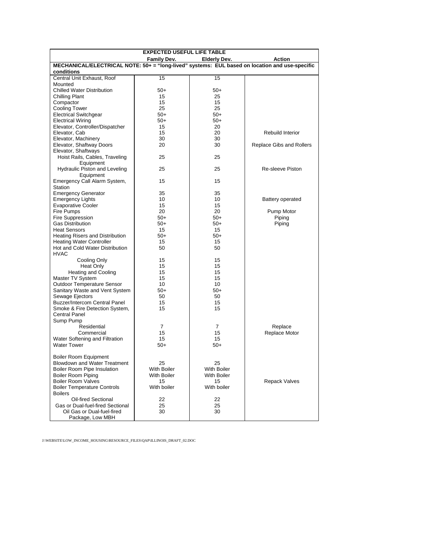| <b>EXPECTED USEFUL LIFE TABLE</b>                                                              |                |              |                                 |  |  |  |  |
|------------------------------------------------------------------------------------------------|----------------|--------------|---------------------------------|--|--|--|--|
|                                                                                                | Family Dev.    | Elderly Dev. | Action                          |  |  |  |  |
| MECHANICAL/ELECTRICAL NOTE: 50+ = "long-lived" systems: EUL based on location and use-specific |                |              |                                 |  |  |  |  |
| conditions                                                                                     |                |              |                                 |  |  |  |  |
| Central Unit Exhaust, Roof                                                                     | 15             | 15           |                                 |  |  |  |  |
| Mounted                                                                                        |                |              |                                 |  |  |  |  |
| <b>Chilled Water Distribution</b>                                                              | $50+$          | $50+$        |                                 |  |  |  |  |
| <b>Chilling Plant</b>                                                                          | 15             | 25           |                                 |  |  |  |  |
| Compactor                                                                                      | 15             | 15           |                                 |  |  |  |  |
| <b>Cooling Tower</b>                                                                           | 25             | 25           |                                 |  |  |  |  |
| <b>Electrical Switchgear</b>                                                                   | $50+$          | $50+$        |                                 |  |  |  |  |
| <b>Electrical Wiring</b>                                                                       | $50+$          | $50+$        |                                 |  |  |  |  |
| Elevator, Controller/Dispatcher                                                                | 15             | 20           |                                 |  |  |  |  |
| Elevator, Cab                                                                                  | 15             | 20           | Rebuild Interior                |  |  |  |  |
| Elevator, Machinery                                                                            | 30             | 30           |                                 |  |  |  |  |
| Elevator, Shaftway Doors<br>Elevator, Shaftways                                                | 20             | 30           | <b>Replace Gibs and Rollers</b> |  |  |  |  |
| Hoist Rails, Cables, Traveling<br>Equipment                                                    | 25             | 25           |                                 |  |  |  |  |
| Hydraulic Piston and Leveling<br>Equipment                                                     | 25             | 25           | Re-sleeve Piston                |  |  |  |  |
| Emergency Call Alarm System,<br>Station                                                        | 15             | 15           |                                 |  |  |  |  |
| <b>Emergency Generator</b>                                                                     | 35             | 35           |                                 |  |  |  |  |
| <b>Emergency Lights</b>                                                                        | 10             | 10           | Battery operated                |  |  |  |  |
| <b>Evaporative Cooler</b>                                                                      | 15             | 15           |                                 |  |  |  |  |
| Fire Pumps                                                                                     | 20             | 20           | Pump Motor                      |  |  |  |  |
| Fire Suppression                                                                               | $50+$          | $50+$        | Piping                          |  |  |  |  |
| <b>Gas Distribution</b>                                                                        | $50+$          | $50+$        | Piping                          |  |  |  |  |
| <b>Heat Sensors</b>                                                                            | 15             | 15           |                                 |  |  |  |  |
| Heating Risers and Distribution                                                                | $50+$          | $50+$        |                                 |  |  |  |  |
| <b>Heating Water Controller</b>                                                                | 15             | 15           |                                 |  |  |  |  |
| Hot and Cold Water Distribution                                                                | 50             | 50           |                                 |  |  |  |  |
| <b>HVAC</b>                                                                                    |                |              |                                 |  |  |  |  |
| Cooling Only                                                                                   | 15             | 15           |                                 |  |  |  |  |
| Heat Only                                                                                      | 15             | 15           |                                 |  |  |  |  |
| <b>Heating and Cooling</b>                                                                     | 15             | 15           |                                 |  |  |  |  |
| Master TV System                                                                               | 15             | 15           |                                 |  |  |  |  |
| <b>Outdoor Temperature Sensor</b>                                                              | 10             | 10           |                                 |  |  |  |  |
| Sanitary Waste and Vent System                                                                 | $50+$          | $50+$        |                                 |  |  |  |  |
| Sewage Ejectors                                                                                | 50             | 50           |                                 |  |  |  |  |
| Buzzer/Intercom Central Panel                                                                  | 15             | 15           |                                 |  |  |  |  |
| Smoke & Fire Detection System,                                                                 | 15             | 15           |                                 |  |  |  |  |
| <b>Central Panel</b>                                                                           |                |              |                                 |  |  |  |  |
| Sump Pump                                                                                      |                |              |                                 |  |  |  |  |
| Residential                                                                                    | $\overline{7}$ | 7            | Replace                         |  |  |  |  |
| Commercial                                                                                     | 15             | 15           | Replace Motor                   |  |  |  |  |
| Water Softening and Filtration                                                                 | 15             | 15           |                                 |  |  |  |  |
| <b>Water Tower</b>                                                                             | $50+$          | $50+$        |                                 |  |  |  |  |
|                                                                                                |                |              |                                 |  |  |  |  |
| Boiler Room Equipment                                                                          |                |              |                                 |  |  |  |  |
| Blowdown and Water Treatment                                                                   | 25             | 25           |                                 |  |  |  |  |
| Boiler Room Pipe Insulation                                                                    | With Boiler    | With Boiler  |                                 |  |  |  |  |
| Boiler Room Piping                                                                             | With Boiler    | With Boiler  |                                 |  |  |  |  |
| <b>Boiler Room Valves</b><br><b>Boiler Temperature Controls</b>                                | 15             | 15           | Repack Valves                   |  |  |  |  |
| <b>Boilers</b>                                                                                 | With boiler    | With boiler  |                                 |  |  |  |  |
| Oil-fired Sectional                                                                            | 22             | 22           |                                 |  |  |  |  |
| Gas or Dual-fuel-fired Sectional                                                               | 25             | 25           |                                 |  |  |  |  |
| Oil Gas or Dual-fuel-fired                                                                     | 30             | 30           |                                 |  |  |  |  |
| Package, Low MBH                                                                               |                |              |                                 |  |  |  |  |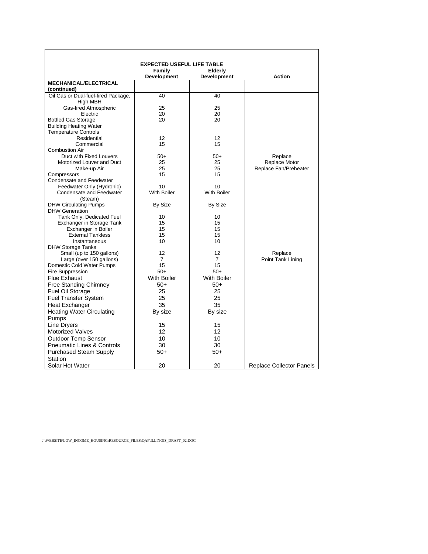|                                                       | <b>EXPECTED USEFUL LIFE TABLE</b> |                      |                                 |  |  |  |  |  |
|-------------------------------------------------------|-----------------------------------|----------------------|---------------------------------|--|--|--|--|--|
|                                                       | Family                            | Elderly              |                                 |  |  |  |  |  |
|                                                       | Development                       | <b>Development</b>   | <b>Action</b>                   |  |  |  |  |  |
| <b>MECHANICAL/ELECTRICAL</b><br>(continued)           |                                   |                      |                                 |  |  |  |  |  |
| Oil Gas or Dual-fuel-fired Package,                   | 40                                | 40                   |                                 |  |  |  |  |  |
| High MBH                                              |                                   |                      |                                 |  |  |  |  |  |
| Gas-fired Atmospheric                                 | 25                                | 25                   |                                 |  |  |  |  |  |
| Electric                                              | 20                                | 20                   |                                 |  |  |  |  |  |
| <b>Bottled Gas Storage</b>                            | 20                                | 20                   |                                 |  |  |  |  |  |
| <b>Building Heating Water</b>                         |                                   |                      |                                 |  |  |  |  |  |
| <b>Temperature Controls</b><br>Residential            | 12                                | 12                   |                                 |  |  |  |  |  |
| Commercial                                            | 15                                | 15                   |                                 |  |  |  |  |  |
| <b>Combustion Air</b>                                 |                                   |                      |                                 |  |  |  |  |  |
| Duct with Fixed Louvers                               | $50+$                             | $50+$                | Replace                         |  |  |  |  |  |
| Motorized Louver and Duct                             | 25                                | 25                   | Replace Motor                   |  |  |  |  |  |
| Make-up Air                                           | 25                                | 25                   | Replace Fan/Preheater           |  |  |  |  |  |
| Compressors                                           | 15                                | 15                   |                                 |  |  |  |  |  |
| <b>Condensate and Feedwater</b>                       |                                   |                      |                                 |  |  |  |  |  |
| Feedwater Only (Hydronic)                             | 10                                | 10                   |                                 |  |  |  |  |  |
| Condensate and Feedwater                              | <b>With Boiler</b>                | <b>With Boiler</b>   |                                 |  |  |  |  |  |
| (Steam)<br><b>DHW Circulating Pumps</b>               | By Size                           | By Size              |                                 |  |  |  |  |  |
| <b>DHW Generation</b>                                 |                                   |                      |                                 |  |  |  |  |  |
| Tank Only, Dedicated Fuel                             | 10                                | 10                   |                                 |  |  |  |  |  |
| Exchanger in Storage Tank                             | 15                                | 15                   |                                 |  |  |  |  |  |
| Exchanger in Boiler                                   | 15                                | 15                   |                                 |  |  |  |  |  |
| <b>External Tankless</b>                              | 15                                | 15                   |                                 |  |  |  |  |  |
| Instantaneous                                         | 10                                | 10                   |                                 |  |  |  |  |  |
| <b>DHW Storage Tanks</b>                              |                                   |                      |                                 |  |  |  |  |  |
| Small (up to 150 gallons)                             | 12                                | 12                   | Replace                         |  |  |  |  |  |
| Large (over 150 gallons)<br>Domestic Cold Water Pumps | 7<br>15                           | $\overline{7}$<br>15 | Point Tank Lining               |  |  |  |  |  |
| Fire Suppression                                      | $50+$                             | $50+$                |                                 |  |  |  |  |  |
| <b>Flue Exhaust</b>                                   | <b>With Boiler</b>                | <b>With Boiler</b>   |                                 |  |  |  |  |  |
| <b>Free Standing Chimney</b>                          | 50+                               | $50+$                |                                 |  |  |  |  |  |
| Fuel Oil Storage                                      | 25                                | 25                   |                                 |  |  |  |  |  |
| Fuel Transfer System                                  | 25                                | 25                   |                                 |  |  |  |  |  |
| Heat Exchanger                                        | 35                                | 35                   |                                 |  |  |  |  |  |
| <b>Heating Water Circulating</b>                      | By size                           | By size              |                                 |  |  |  |  |  |
| Pumps                                                 |                                   |                      |                                 |  |  |  |  |  |
| Line Dryers                                           | 15                                | 15                   |                                 |  |  |  |  |  |
| <b>Motorized Valves</b>                               | 12                                | 12                   |                                 |  |  |  |  |  |
| Outdoor Temp Sensor                                   | 10                                | 10                   |                                 |  |  |  |  |  |
| <b>Pneumatic Lines &amp; Controls</b>                 | 30                                | 30                   |                                 |  |  |  |  |  |
| <b>Purchased Steam Supply</b>                         | 50+                               | $50+$                |                                 |  |  |  |  |  |
| Station                                               |                                   |                      |                                 |  |  |  |  |  |
| Solar Hot Water                                       | 20                                | 20                   | <b>Replace Collector Panels</b> |  |  |  |  |  |
|                                                       |                                   |                      |                                 |  |  |  |  |  |

J:\WEBSITE\LOW\_INCOME\_HOUSING\RESOURCE\_FILES\QAP\ILLINOIS\_DRAFT\_02.DOC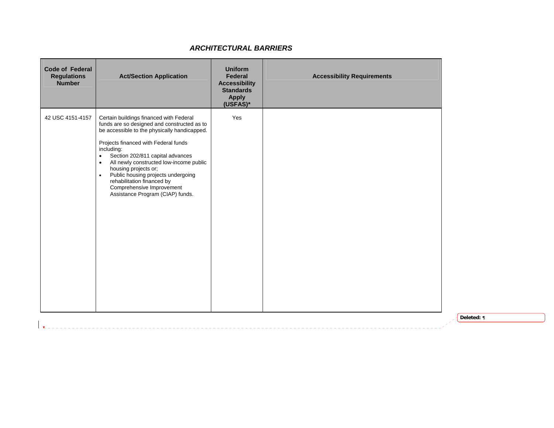#### *ARCHITECTURAL BARRIERS*

| <b>Code of Federal</b><br><b>Regulations</b><br><b>Number</b> | <b>Act/Section Application</b>                                                                                                                                                                                                                                                                                                                                                                                                                                                  | <b>Uniform</b><br>Federal<br><b>Accessibility</b><br><b>Standards</b><br><b>Apply</b><br>(USFAS)* | <b>Accessibility Requirements</b> |
|---------------------------------------------------------------|---------------------------------------------------------------------------------------------------------------------------------------------------------------------------------------------------------------------------------------------------------------------------------------------------------------------------------------------------------------------------------------------------------------------------------------------------------------------------------|---------------------------------------------------------------------------------------------------|-----------------------------------|
| 42 USC 4151-4157                                              | Certain buildings financed with Federal<br>funds are so designed and constructed as to<br>be accessible to the physically handicapped.<br>Projects financed with Federal funds<br>including:<br>Section 202/811 capital advances<br>$\bullet$<br>All newly constructed low-income public<br>$\bullet$<br>housing projects or;<br>Public housing projects undergoing<br>$\bullet$<br>rehabilitation financed by<br>Comprehensive Improvement<br>Assistance Program (CIAP) funds. | Yes                                                                                               |                                   |

**Deleted:** ¶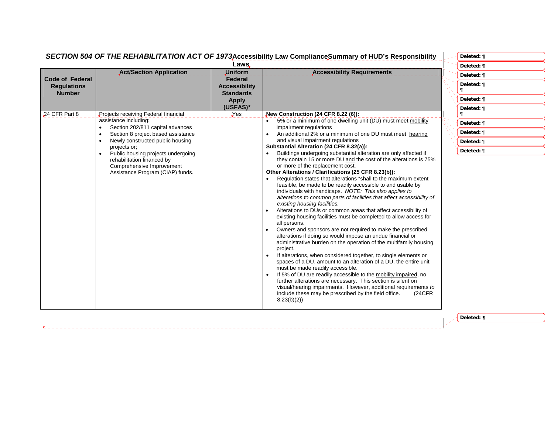| <b>Accessibility Requirements</b><br>New Construction (24 CFR 8.22 (6)):                                                                                                                                                                                                                                                                  | Deleted: ¶<br>Deleted: ¶<br>Deleted: ¶<br>Deleted: ¶<br>Deleted: ¶                                                                                                                                 |  |
|-------------------------------------------------------------------------------------------------------------------------------------------------------------------------------------------------------------------------------------------------------------------------------------------------------------------------------------------|----------------------------------------------------------------------------------------------------------------------------------------------------------------------------------------------------|--|
|                                                                                                                                                                                                                                                                                                                                           |                                                                                                                                                                                                    |  |
|                                                                                                                                                                                                                                                                                                                                           |                                                                                                                                                                                                    |  |
|                                                                                                                                                                                                                                                                                                                                           |                                                                                                                                                                                                    |  |
|                                                                                                                                                                                                                                                                                                                                           |                                                                                                                                                                                                    |  |
|                                                                                                                                                                                                                                                                                                                                           |                                                                                                                                                                                                    |  |
|                                                                                                                                                                                                                                                                                                                                           |                                                                                                                                                                                                    |  |
|                                                                                                                                                                                                                                                                                                                                           | Deleted: ¶                                                                                                                                                                                         |  |
| An additional 2% or a minimum of one DU must meet hearing                                                                                                                                                                                                                                                                                 | Deleted: ¶                                                                                                                                                                                         |  |
| Substantial Alteration (24 CFR 8.32(a)):                                                                                                                                                                                                                                                                                                  | Deleted: ¶                                                                                                                                                                                         |  |
| Buildings undergoing substantial alteration are only affected if                                                                                                                                                                                                                                                                          | Deleted: ¶                                                                                                                                                                                         |  |
| they contain 15 or more DU and the cost of the alterations is 75%                                                                                                                                                                                                                                                                         |                                                                                                                                                                                                    |  |
| Other Alterations / Clarifications (25 CFR 8.23(b)):                                                                                                                                                                                                                                                                                      |                                                                                                                                                                                                    |  |
| Regulation states that alterations "shall to the maximum extent<br>feasible, be made to be readily accessible to and usable by<br>individuals with handicaps. NOTE: This also applies to<br>alterations to common parts of facilities that affect accessibility of                                                                        |                                                                                                                                                                                                    |  |
| existing housing facilities must be completed to allow access for                                                                                                                                                                                                                                                                         |                                                                                                                                                                                                    |  |
| Owners and sponsors are not required to make the prescribed<br>alterations if doing so would impose an undue financial or<br>administrative burden on the operation of the multifamily housing                                                                                                                                            |                                                                                                                                                                                                    |  |
| spaces of a DU, amount to an alteration of a DU, the entire unit<br>If 5% of DU are readily accessible to the mobility impaired, no<br>further alterations are necessary. This section is silent on<br>visual/hearing impairments. However, additional requirements to<br>include these may be prescribed by the field office.<br>(24CFR) |                                                                                                                                                                                                    |  |
|                                                                                                                                                                                                                                                                                                                                           | 5% or a minimum of one dwelling unit (DU) must meet mobility<br>Alterations to DUs or common areas that affect accessibility of<br>If alterations, when considered together, to single elements or |  |

*SECTION 504 OF THE REHABILITATION ACT OF 1973***Accessibility Law ComplianceSummary of HUD's Responsibility Deleted:** *¶*

**Deleted:** ¶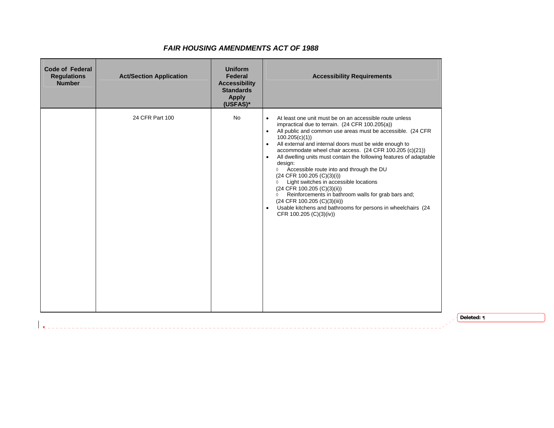| <b>Code of Federal</b><br><b>Regulations</b><br><b>Number</b> | <b>Act/Section Application</b> | <b>Uniform</b><br><b>Federal</b><br><b>Accessibility</b><br><b>Standards</b><br><b>Apply</b><br>(USFAS)* | <b>Accessibility Requirements</b>                                                                                                                                                                                                                                                                                                                                                                                                                                                                                                                                                                                                                                                                                                                                                                                            |
|---------------------------------------------------------------|--------------------------------|----------------------------------------------------------------------------------------------------------|------------------------------------------------------------------------------------------------------------------------------------------------------------------------------------------------------------------------------------------------------------------------------------------------------------------------------------------------------------------------------------------------------------------------------------------------------------------------------------------------------------------------------------------------------------------------------------------------------------------------------------------------------------------------------------------------------------------------------------------------------------------------------------------------------------------------------|
|                                                               | 24 CFR Part 100                | No                                                                                                       | At least one unit must be on an accessible route unless<br>$\bullet$<br>impractical due to terrain. (24 CFR 100.205(a))<br>All public and common use areas must be accessible. (24 CFR<br>$\bullet$<br>100.205(c)(1)<br>All external and internal doors must be wide enough to<br>$\bullet$<br>accommodate wheel chair access. (24 CFR 100.205 (c)(21))<br>All dwelling units must contain the following features of adaptable<br>$\bullet$<br>design:<br>Accessible route into and through the DU<br>$\Diamond$<br>$(24$ CFR 100.205 $(C)(3)(i))$<br>Light switches in accessible locations<br>♦<br>$(24$ CFR 100.205 $(C)(3)(ii)$<br>Reinforcements in bathroom walls for grab bars and;<br>♦<br>(24 CFR 100.205 (C)(3)(iii))<br>• Usable kitchens and bathrooms for persons in wheelchairs (24<br>CFR 100.205 (C)(3)(iv)) |

#### *FAIR HOUSING AMENDMENTS ACT OF 1988*

**Deleted:** ¶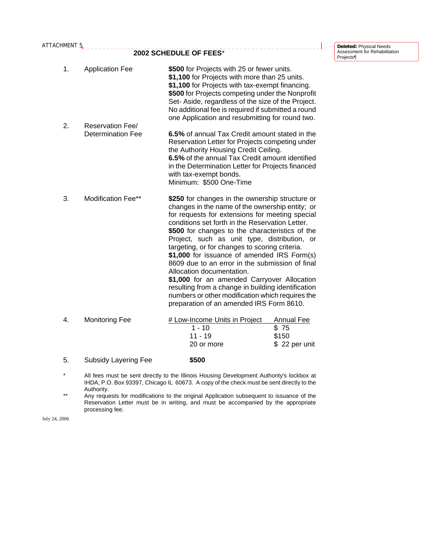# **2002 SCHEDULE OF FEES**\*

**Deleted:** Physical Needs Assessment for Rehabilitation Projects¶

- 1. Application Fee **\$500** for Projects with 25 or fewer units. **\$1,100** for Projects with more than 25 units. **\$1,100** for Projects with tax-exempt financing. **\$500** for Projects competing under the Nonprofit Set- Aside, regardless of the size of the Project. No additional fee is required if submitted a round one Application and resubmitting for round two. 2. Reservation Fee/ Determination Fee **6.5%** of annual Tax Credit amount stated in the Reservation Letter for Projects competing under the Authority Housing Credit Ceiling. **6.5%** of the annual Tax Credit amount identified in the Determination Letter for Projects financed with tax-exempt bonds. Minimum: \$500 One-Time
- 3. Modification Fee\*\* **\$250** for changes in the ownership structure or changes in the name of the ownership entity; or for requests for extensions for meeting special conditions set forth in the Reservation Letter. **\$500** for changes to the characteristics of the Project, such as unit type, distribution, or targeting, or for changes to scoring criteria. **\$1,000** for issuance of amended IRS Form(s) 8609 due to an error in the submission of final Allocation documentation. **\$1,000** for an amended Carryover Allocation resulting from a change in building identification numbers or other modification which requires the preparation of an amended IRS Form 8610.

| 4. | Monitoring Fee | # Low-Income Units in Project | Annual Fee     |
|----|----------------|-------------------------------|----------------|
|    |                | 1 - 10                        | \$75           |
|    |                | $11 - 19$                     | \$150          |
|    |                | 20 or more                    | \$ 22 per unit |

5. Subsidy Layering Fee **\$500**

All fees must be sent directly to the Illinois Housing Development Authority's lockbox at IHDA, P.O. Box 93397, Chicago IL 60673. A copy of the check must be sent directly to the Authority.

\*\* Any requests for modifications to the original Application subsequent to issuance of the Reservation Letter must be in writing, and must be accompanied by the appropriate processing fee.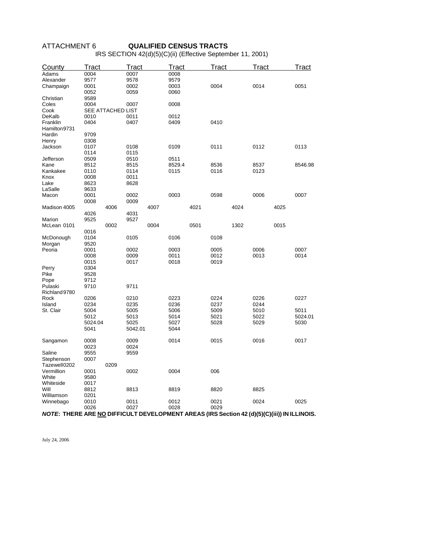| County                                                                                      | Tract   |                   | Tract   |      | Tract  |      | Tract |      | <u>Tract</u> |      | <u>Tract</u> |
|---------------------------------------------------------------------------------------------|---------|-------------------|---------|------|--------|------|-------|------|--------------|------|--------------|
| Adams                                                                                       | 0004    |                   | 0007    |      | 0008   |      |       |      |              |      |              |
| Alexander                                                                                   | 9577    |                   | 9578    |      | 9579   |      |       |      |              |      |              |
| Champaign                                                                                   | 0001    |                   | 0002    |      | 0003   |      | 0004  |      | 0014         |      | 0051         |
|                                                                                             | 0052    |                   | 0059    |      | 0060   |      |       |      |              |      |              |
| Christian                                                                                   | 9589    |                   |         |      |        |      |       |      |              |      |              |
| Coles                                                                                       | 0004    |                   | 0007    |      | 0008   |      |       |      |              |      |              |
| Cook                                                                                        |         | SEE ATTACHED LIST |         |      |        |      |       |      |              |      |              |
| DeKalb                                                                                      | 0010    |                   | 0011    |      | 0012   |      |       |      |              |      |              |
| Franklin                                                                                    | 0404    |                   | 0407    |      | 0409   |      | 0410  |      |              |      |              |
| Hamilton9731                                                                                |         |                   |         |      |        |      |       |      |              |      |              |
| Hardin                                                                                      | 9709    |                   |         |      |        |      |       |      |              |      |              |
| Henry                                                                                       | 0308    |                   |         |      |        |      |       |      |              |      |              |
| Jackson                                                                                     | 0107    |                   | 0108    |      | 0109   |      | 0111  |      | 0112         |      | 0113         |
|                                                                                             | 0114    |                   | 0115    |      |        |      |       |      |              |      |              |
| Jefferson                                                                                   | 0509    |                   | 0510    |      | 0511   |      |       |      |              |      |              |
| Kane                                                                                        | 8512    |                   | 8515    |      | 8529.4 |      | 8536  |      | 8537         |      | 8546.98      |
| Kankakee                                                                                    | 0110    |                   | 0114    |      | 0115   |      | 0116  |      | 0123         |      |              |
| Knox                                                                                        | 0008    |                   | 0011    |      |        |      |       |      |              |      |              |
| Lake                                                                                        | 8623    |                   | 8628    |      |        |      |       |      |              |      |              |
| LaSalle                                                                                     | 9633    |                   |         |      |        |      |       |      |              |      |              |
|                                                                                             |         |                   |         |      |        |      |       |      |              |      | 0007         |
| Macon                                                                                       | 0001    |                   | 0002    |      | 0003   |      | 0598  |      | 0006         |      |              |
|                                                                                             | 0008    |                   | 0009    |      |        |      |       |      |              |      |              |
| Madison 4005                                                                                |         | 4006              |         | 4007 |        | 4021 |       | 4024 |              | 4025 |              |
|                                                                                             | 4026    |                   | 4031    |      |        |      |       |      |              |      |              |
| Marion                                                                                      | 9525    |                   | 9527    |      |        |      |       |      |              |      |              |
| McLean 0101                                                                                 |         | 0002              |         | 0004 |        | 0501 |       | 1302 |              | 0015 |              |
|                                                                                             | 0016    |                   |         |      |        |      |       |      |              |      |              |
| McDonough                                                                                   | 0104    |                   | 0105    |      | 0106   |      | 0108  |      |              |      |              |
| Morgan                                                                                      | 9520    |                   |         |      |        |      |       |      |              |      |              |
| Peoria                                                                                      | 0001    |                   | 0002    |      | 0003   |      | 0005  |      | 0006         |      | 0007         |
|                                                                                             | 0008    |                   | 0009    |      | 0011   |      | 0012  |      | 0013         |      | 0014         |
|                                                                                             | 0015    |                   | 0017    |      | 0018   |      | 0019  |      |              |      |              |
| Perry                                                                                       | 0304    |                   |         |      |        |      |       |      |              |      |              |
| Pike                                                                                        | 9528    |                   |         |      |        |      |       |      |              |      |              |
| Pope                                                                                        | 9712    |                   |         |      |        |      |       |      |              |      |              |
| Pulaski                                                                                     | 9710    |                   | 9711    |      |        |      |       |      |              |      |              |
| Richland 9780                                                                               |         |                   |         |      |        |      |       |      |              |      |              |
| Rock                                                                                        | 0206    |                   | 0210    |      | 0223   |      | 0224  |      | 0226         |      | 0227         |
| Island                                                                                      | 0234    |                   | 0235    |      | 0236   |      | 0237  |      | 0244         |      |              |
| St. Clair                                                                                   | 5004    |                   | 5005    |      | 5006   |      | 5009  |      | 5010         |      | 5011         |
|                                                                                             | 5012    |                   | 5013    |      | 5014   |      | 5021  |      | 5022         |      | 5024.01      |
|                                                                                             | 5024.04 |                   | 5025    |      | 5027   |      | 5028  |      | 5029         |      | 5030         |
|                                                                                             | 5041    |                   | 5042.01 |      | 5044   |      |       |      |              |      |              |
|                                                                                             |         |                   |         |      |        |      |       |      |              |      |              |
| Sangamon                                                                                    | 0008    |                   | 0009    |      | 0014   |      | 0015  |      | 0016         |      | 0017         |
|                                                                                             | 0023    |                   | 0024    |      |        |      |       |      |              |      |              |
| Saline                                                                                      | 9555    |                   | 9559    |      |        |      |       |      |              |      |              |
| Stephenson                                                                                  | 0007    |                   |         |      |        |      |       |      |              |      |              |
| Tazewell0202                                                                                |         | 0209              |         |      |        |      |       |      |              |      |              |
| Vermillion                                                                                  | 0001    |                   | 0002    |      | 0004   |      | 006   |      |              |      |              |
| White                                                                                       | 9580    |                   |         |      |        |      |       |      |              |      |              |
| Whiteside                                                                                   | 0017    |                   |         |      |        |      |       |      |              |      |              |
| Will                                                                                        | 8812    |                   | 8813    |      | 8819   |      | 8820  |      | 8825         |      |              |
| Williamson                                                                                  | 0201    |                   |         |      |        |      |       |      |              |      |              |
| Winnebago                                                                                   | 0010    |                   | 0011    |      | 0012   |      | 0021  |      | 0024         |      | 0025         |
|                                                                                             | 0026    |                   | 0027    |      | 0028   |      | 0029  |      |              |      |              |
| NOTE: THERE ARE NO DIFFICULT DEVELOPMENT AREAS (IRS Section 42 (d)(5)(C)(iii)) IN ILLINOIS. |         |                   |         |      |        |      |       |      |              |      |              |
|                                                                                             |         |                   |         |      |        |      |       |      |              |      |              |

### ATTACHMENT 6 **QUALIFIED CENSUS TRACTS** IRS SECTION 42(d)(5)(C)(ii) (Effective September 11, 2001)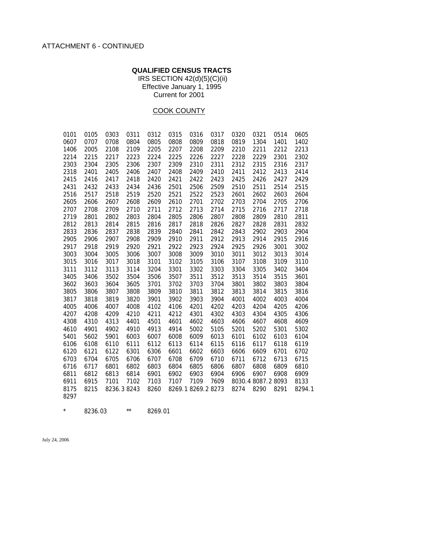## ATTACHMENT 6 - CONTINUED

### **QUALIFIED CENSUS TRACTS**

IRS SECTION  $42(d)(5)(C)(ii)$ Effective January 1, 1995 Current for 2001

# COOK COUNTY

| 0101<br>0607<br>1406<br>2214<br>2303<br>2318<br>2415<br>2431<br>2516<br>2605<br>2707<br>2719<br>2812<br>2833<br>2905<br>2917<br>3003<br>3015<br>3111<br>3405<br>3602<br>3805<br>3817<br>4005<br>4207<br>4308<br>4610<br>5401<br>6106<br>6120<br>6703<br>6716<br>6811 | 0105<br>0707<br>2005<br>2215<br>2304<br>2401<br>2416<br>2432<br>2517<br>2606<br>2708<br>2801<br>2813<br>2836<br>2906<br>2918<br>3004<br>3016<br>3112<br>3406<br>3603<br>3806<br>3818<br>4006<br>4208<br>4310<br>4901<br>5602<br>6108<br>6121<br>6704<br>6717<br>6812 | 0303<br>0708<br>2108<br>2217<br>2305<br>2405<br>2417<br>2433<br>2518<br>2607<br>2709<br>2802<br>2814<br>2837<br>2907<br>2919<br>3005<br>3017<br>3113<br>3502<br>3604<br>3807<br>3819<br>4007<br>4209<br>4313<br>4902<br>5901<br>6110<br>6122<br>6705<br>6801<br>6813 | 0311<br>0804<br>2109<br>2223<br>2306<br>2406<br>2418<br>2434<br>2519<br>2608<br>2710<br>2803<br>2815<br>2838<br>2908<br>2920<br>3006<br>3018<br>3114<br>3504<br>3605<br>3808<br>3820<br>4008<br>4210<br>4401<br>4910<br>6003<br>6111<br>6301<br>6706<br>6802<br>6814 | 0312<br>0805<br>2205<br>2224<br>2307<br>2407<br>2420<br>2436<br>2520<br>2609<br>2711<br>2804<br>2816<br>2839<br>2909<br>2921<br>3007<br>3101<br>3204<br>3506<br>3701<br>3809<br>3901<br>4102<br>4211<br>4501<br>4913<br>6007<br>6112<br>6306<br>6707<br>6803<br>6901 | 0315<br>0808<br>2207<br>2225<br>2309<br>2408<br>2421<br>2501<br>2521<br>2610<br>2712<br>2805<br>2817<br>2840<br>2910<br>2922<br>3008<br>3102<br>3301<br>3507<br>3702<br>3810<br>3902<br>4106<br>4212<br>4601<br>4914<br>6008<br>6113<br>6601<br>6708<br>6804<br>6902 | 0316<br>0809<br>2208<br>2226<br>2310<br>2409<br>2422<br>2506<br>2522<br>2701<br>2713<br>2806<br>2818<br>2841<br>2911<br>2923<br>3009<br>3105<br>3302<br>3511<br>3703<br>3811<br>3903<br>4201<br>4301<br>4602<br>5002<br>6009<br>6114<br>6602<br>6709<br>6805<br>6903 | 0317<br>0818<br>2209<br>2227<br>2311<br>2410<br>2423<br>2509<br>2523<br>2702<br>2714<br>2807<br>2826<br>2842<br>2912<br>2924<br>3010<br>3106<br>3303<br>3512<br>3704<br>3812<br>3904<br>4202<br>4302<br>4603<br>5105<br>6013<br>6115<br>6603<br>6710<br>6806<br>6904 | 0320<br>0819<br>2210<br>2228<br>2312<br>2411<br>2425<br>2510<br>2601<br>2703<br>2715<br>2808<br>2827<br>2843<br>2913<br>2925<br>3011<br>3107<br>3304<br>3513<br>3801<br>3813<br>4001<br>4203<br>4303<br>4606<br>5201<br>6101<br>6116<br>6606<br>6711<br>6807<br>6906 | 0321<br>1304<br>2211<br>2229<br>2315<br>2412<br>2426<br>2511<br>2602<br>2704<br>2716<br>2809<br>2828<br>2902<br>2914<br>2926<br>3012<br>3108<br>3305<br>3514<br>3802<br>3814<br>4002<br>4204<br>4304<br>4607<br>5202<br>6102<br>6117<br>6609<br>6712<br>6808<br>6907 | 0514<br>1401<br>2212<br>2301<br>2316<br>2413<br>2427<br>2514<br>2603<br>2705<br>2717<br>2810<br>2831<br>2903<br>2915<br>3001<br>3013<br>3109<br>3402<br>3515<br>3803<br>3815<br>4003<br>4205<br>4305<br>4608<br>5301<br>6103<br>6118<br>6701<br>6713<br>6809<br>6908 | 0605<br>1402<br>2213<br>2302<br>2317<br>2414<br>2429<br>2515<br>2604<br>2706<br>2718<br>2811<br>2832<br>2904<br>2916<br>3002<br>3014<br>3110<br>3404<br>3601<br>3804<br>3816<br>4004<br>4206<br>4306<br>4609<br>5302<br>6104<br>6119<br>6702<br>6715<br>6810<br>6909 |
|----------------------------------------------------------------------------------------------------------------------------------------------------------------------------------------------------------------------------------------------------------------------|----------------------------------------------------------------------------------------------------------------------------------------------------------------------------------------------------------------------------------------------------------------------|----------------------------------------------------------------------------------------------------------------------------------------------------------------------------------------------------------------------------------------------------------------------|----------------------------------------------------------------------------------------------------------------------------------------------------------------------------------------------------------------------------------------------------------------------|----------------------------------------------------------------------------------------------------------------------------------------------------------------------------------------------------------------------------------------------------------------------|----------------------------------------------------------------------------------------------------------------------------------------------------------------------------------------------------------------------------------------------------------------------|----------------------------------------------------------------------------------------------------------------------------------------------------------------------------------------------------------------------------------------------------------------------|----------------------------------------------------------------------------------------------------------------------------------------------------------------------------------------------------------------------------------------------------------------------|----------------------------------------------------------------------------------------------------------------------------------------------------------------------------------------------------------------------------------------------------------------------|----------------------------------------------------------------------------------------------------------------------------------------------------------------------------------------------------------------------------------------------------------------------|----------------------------------------------------------------------------------------------------------------------------------------------------------------------------------------------------------------------------------------------------------------------|----------------------------------------------------------------------------------------------------------------------------------------------------------------------------------------------------------------------------------------------------------------------|
|                                                                                                                                                                                                                                                                      |                                                                                                                                                                                                                                                                      |                                                                                                                                                                                                                                                                      |                                                                                                                                                                                                                                                                      |                                                                                                                                                                                                                                                                      |                                                                                                                                                                                                                                                                      |                                                                                                                                                                                                                                                                      |                                                                                                                                                                                                                                                                      |                                                                                                                                                                                                                                                                      |                                                                                                                                                                                                                                                                      |                                                                                                                                                                                                                                                                      |                                                                                                                                                                                                                                                                      |
|                                                                                                                                                                                                                                                                      |                                                                                                                                                                                                                                                                      |                                                                                                                                                                                                                                                                      |                                                                                                                                                                                                                                                                      |                                                                                                                                                                                                                                                                      |                                                                                                                                                                                                                                                                      |                                                                                                                                                                                                                                                                      |                                                                                                                                                                                                                                                                      |                                                                                                                                                                                                                                                                      |                                                                                                                                                                                                                                                                      |                                                                                                                                                                                                                                                                      |                                                                                                                                                                                                                                                                      |
| 6911                                                                                                                                                                                                                                                                 | 6915                                                                                                                                                                                                                                                                 | 7101                                                                                                                                                                                                                                                                 | 7102                                                                                                                                                                                                                                                                 | 7103                                                                                                                                                                                                                                                                 | 7107                                                                                                                                                                                                                                                                 | 7109                                                                                                                                                                                                                                                                 | 7609                                                                                                                                                                                                                                                                 |                                                                                                                                                                                                                                                                      | 8030.4 8087.2 8093                                                                                                                                                                                                                                                   |                                                                                                                                                                                                                                                                      | 8133                                                                                                                                                                                                                                                                 |
| 8175<br>8297                                                                                                                                                                                                                                                         | 8215                                                                                                                                                                                                                                                                 | 8236.38243                                                                                                                                                                                                                                                           |                                                                                                                                                                                                                                                                      | 8260                                                                                                                                                                                                                                                                 |                                                                                                                                                                                                                                                                      | 8269.1 8269.2 8273                                                                                                                                                                                                                                                   |                                                                                                                                                                                                                                                                      | 8274                                                                                                                                                                                                                                                                 | 8290                                                                                                                                                                                                                                                                 | 8291                                                                                                                                                                                                                                                                 | 8294.1                                                                                                                                                                                                                                                               |

\* 8236.03 \*\* 8269.01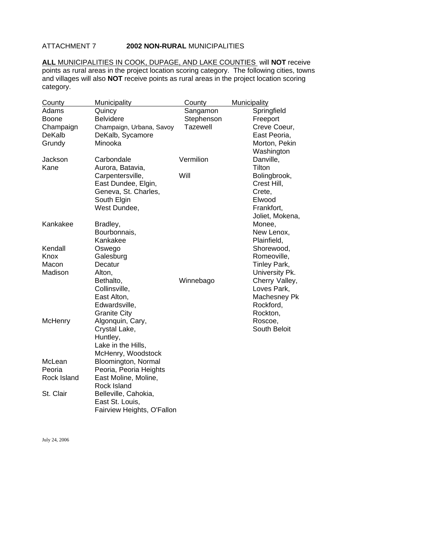## ATTACHMENT 7 **2002 NON-RURAL** MUNICIPALITIES

**ALL** MUNICIPALITIES IN COOK, DUPAGE, AND LAKE COUNTIES will **NOT** receive points as rural areas in the project location scoring category. The following cities, towns and villages will also **NOT** receive points as rural areas in the project location scoring category.

| <b>County</b>                                | <b>Municipality</b>                                                                                                                                           | County          | <b>Municipality</b> |
|----------------------------------------------|---------------------------------------------------------------------------------------------------------------------------------------------------------------|-----------------|---------------------|
| Adams                                        | Quincy                                                                                                                                                        | Sangamon        | Springfield         |
| <b>Boone</b>                                 | <b>Belvidere</b>                                                                                                                                              | Stephenson      | Freeport            |
| Champaign                                    | Champaign, Urbana, Savoy                                                                                                                                      | <b>Tazewell</b> | Creve Coeur,        |
| DeKalb                                       | DeKalb, Sycamore                                                                                                                                              |                 | East Peoria,        |
| Grundy                                       | Minooka                                                                                                                                                       |                 | Morton, Pekin       |
|                                              |                                                                                                                                                               |                 | Washington          |
| Jackson                                      | Carbondale                                                                                                                                                    | Vermilion       | Danville,           |
| Kane                                         | Aurora, Batavia,                                                                                                                                              |                 | Tilton              |
|                                              | Carpentersville,                                                                                                                                              | Will            | Bolingbrook,        |
|                                              | East Dundee, Elgin,                                                                                                                                           |                 | Crest Hill,         |
|                                              | Geneva, St. Charles,                                                                                                                                          |                 | Crete,              |
|                                              | South Elgin                                                                                                                                                   |                 | Elwood              |
|                                              | West Dundee,                                                                                                                                                  |                 | Frankfort,          |
|                                              |                                                                                                                                                               |                 | Joliet, Mokena,     |
| Kankakee                                     | Bradley,                                                                                                                                                      |                 | Monee,              |
|                                              | Bourbonnais,                                                                                                                                                  |                 | New Lenox,          |
|                                              | Kankakee                                                                                                                                                      |                 | Plainfield,         |
| Kendall                                      | Oswego                                                                                                                                                        |                 | Shorewood,          |
| Knox                                         | Galesburg                                                                                                                                                     |                 | Romeoville,         |
| Macon                                        | Decatur                                                                                                                                                       |                 | Tinley Park,        |
| Madison                                      | Alton,                                                                                                                                                        |                 | University Pk.      |
|                                              | Bethalto,                                                                                                                                                     | Winnebago       | Cherry Valley,      |
|                                              | Collinsville,                                                                                                                                                 |                 | Loves Park,         |
|                                              | East Alton,                                                                                                                                                   |                 | Machesney Pk        |
|                                              | Edwardsville,                                                                                                                                                 |                 | Rockford,           |
|                                              | <b>Granite City</b>                                                                                                                                           |                 | Rockton,            |
| McHenry                                      | Algonquin, Cary,                                                                                                                                              |                 | Roscoe,             |
|                                              | Crystal Lake,                                                                                                                                                 |                 | South Beloit        |
|                                              | Huntley,                                                                                                                                                      |                 |                     |
|                                              | Lake in the Hills,                                                                                                                                            |                 |                     |
|                                              | McHenry, Woodstock                                                                                                                                            |                 |                     |
|                                              |                                                                                                                                                               |                 |                     |
|                                              |                                                                                                                                                               |                 |                     |
|                                              |                                                                                                                                                               |                 |                     |
|                                              |                                                                                                                                                               |                 |                     |
|                                              |                                                                                                                                                               |                 |                     |
|                                              |                                                                                                                                                               |                 |                     |
|                                              |                                                                                                                                                               |                 |                     |
| McLean<br>Peoria<br>Rock Island<br>St. Clair | Bloomington, Normal<br>Peoria, Peoria Heights<br>East Moline, Moline,<br>Rock Island<br>Belleville, Cahokia,<br>East St. Louis,<br>Fairview Heights, O'Fallon |                 |                     |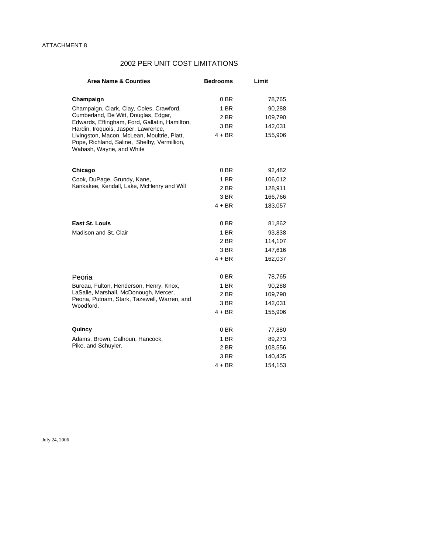## 2002 PER UNIT COST LIMITATIONS

| <b>Area Name &amp; Counties</b>                                                                                                                               | <b>Bedrooms</b> | Limit   |
|---------------------------------------------------------------------------------------------------------------------------------------------------------------|-----------------|---------|
| Champaign                                                                                                                                                     | 0 BR            | 78,765  |
| Champaign, Clark, Clay, Coles, Crawford,                                                                                                                      | 1 BR            | 90,288  |
| Cumberland, De Witt, Douglas, Edgar,                                                                                                                          | 2 BR            | 109,790 |
| Edwards, Effingham, Ford, Gallatin, Hamilton,                                                                                                                 | 3 BR            | 142,031 |
| Hardin, Iroquois, Jasper, Lawrence,<br>Livingston, Macon, McLean, Moultrie, Platt,<br>Pope, Richland, Saline, Shelby, Vermillion,<br>Wabash, Wayne, and White | $4 + BR$        | 155,906 |
| Chicago                                                                                                                                                       | 0 BR            | 92,482  |
| Cook, DuPage, Grundy, Kane,                                                                                                                                   | 1 BR            | 106,012 |
| Kankakee, Kendall, Lake, McHenry and Will                                                                                                                     | 2 BR            | 128,911 |
|                                                                                                                                                               | 3 BR            | 166,766 |
|                                                                                                                                                               | $4 + BR$        | 183,057 |
| East St. Louis                                                                                                                                                | 0 BR            | 81,862  |
| Madison and St. Clair                                                                                                                                         | 1 BR            | 93,838  |
|                                                                                                                                                               | 2 BR            | 114,107 |
|                                                                                                                                                               | 3 BR            | 147,616 |
|                                                                                                                                                               | $4 + BR$        | 162,037 |
| Peoria                                                                                                                                                        | 0 BR            | 78,765  |
| Bureau, Fulton, Henderson, Henry, Knox,                                                                                                                       | 1 BR            | 90,288  |
| LaSalle, Marshall, McDonough, Mercer,<br>Peoria, Putnam, Stark, Tazewell, Warren, and                                                                         | 2 BR            | 109,790 |
| Woodford.                                                                                                                                                     | 3 BR            | 142,031 |
|                                                                                                                                                               | $4 + BR$        | 155,906 |
| Quincy                                                                                                                                                        | 0 BR            | 77,880  |
| Adams, Brown, Calhoun, Hancock,                                                                                                                               | 1 BR            | 89,273  |
| Pike, and Schuyler.                                                                                                                                           | 2 BR            | 108,556 |
|                                                                                                                                                               | 3 BR            | 140,435 |
|                                                                                                                                                               | $4 + BR$        | 154,153 |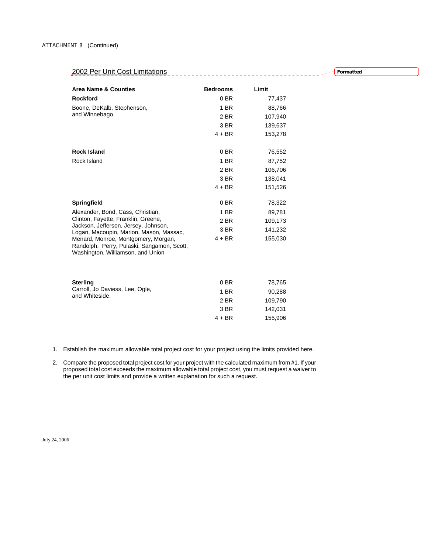### 2002 Per Unit Cost Limitations

**Formatted**

| Area Name & Counties                                                                                                   | <b>Bedrooms</b> | Limit   |
|------------------------------------------------------------------------------------------------------------------------|-----------------|---------|
| Rockford                                                                                                               | 0 BR            | 77,437  |
| Boone, DeKalb, Stephenson,                                                                                             | $1$ BR          | 88,766  |
| and Winnebago.                                                                                                         | 2 BR            | 107,940 |
|                                                                                                                        | 3 BR            | 139,637 |
|                                                                                                                        | $4 + BR$        | 153,278 |
| <b>Rock Island</b>                                                                                                     | 0 BR            | 76,552  |
| Rock Island                                                                                                            | 1 BR            | 87,752  |
|                                                                                                                        | 2 BR            | 106,706 |
|                                                                                                                        | 3 BR            | 138,041 |
|                                                                                                                        | $4 + BR$        | 151,526 |
| Springfield                                                                                                            | 0 BR            | 78,322  |
| Alexander, Bond, Cass, Christian,                                                                                      | 1 BR            | 89,781  |
| Clinton, Fayette, Franklin, Greene,                                                                                    | 2 BR            | 109,173 |
| Jackson, Jefferson, Jersey, Johnson,<br>Logan, Macoupin, Marion, Mason, Massac,                                        | 3 BR            | 141,232 |
| Menard, Monroe, Montgomery, Morgan,<br>Randolph, Perry, Pulaski, Sangamon, Scott,<br>Washington, Williamson, and Union | $4 + BR$        | 155,030 |
|                                                                                                                        |                 |         |
| Sterling                                                                                                               | 0 BR            | 78,765  |
| Carroll, Jo Daviess, Lee, Ogle,<br>and Whiteside.                                                                      | 1 BR            | 90,288  |
|                                                                                                                        | 2 BR            | 109,790 |
|                                                                                                                        | 3 BR            | 142.031 |

1. Establish the maximum allowable total project cost for your project using the limits provided here.

4 + BR 155,906

\_\_\_\_\_\_\_\_\_\_\_\_\_\_\_\_\_\_\_\_\_\_\_\_\_\_\_\_\_\_\_\_

2. Compare the proposed total project cost for your project with the calculated maximum from #1. If your proposed total cost exceeds the maximum allowable total project cost, you must request a waiver to the per unit cost limits and provide a written explanation for such a request.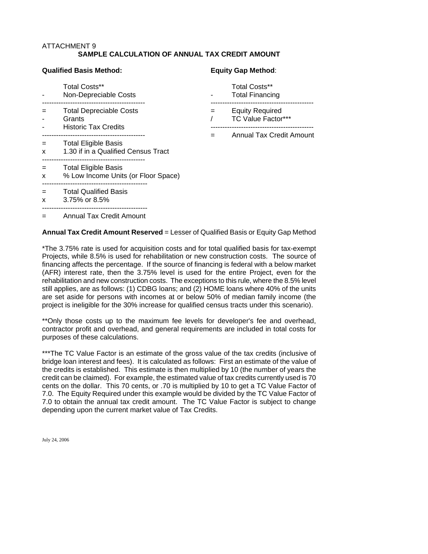### ATTACHMENT 9 **SAMPLE CALCULATION OF ANNUAL TAX CREDIT AMOUNT**

|          | <b>Qualified Basis Method:</b>                                          | <b>Equity Gap Method:</b> |                                                     |  |
|----------|-------------------------------------------------------------------------|---------------------------|-----------------------------------------------------|--|
|          | Total Costs**<br>Non-Depreciable Costs                                  |                           | Total Costs**<br><b>Total Financing</b>             |  |
|          | <b>Total Depreciable Costs</b><br>Grants<br><b>Historic Tax Credits</b> |                           | <b>Equity Required</b><br><b>TC Value Factor***</b> |  |
| $=$<br>x | <b>Total Eligible Basis</b><br>1.30 if in a Qualified Census Tract      |                           | Annual Tax Credit Amount                            |  |
| $=$<br>x | <b>Total Eligible Basis</b><br>% Low Income Units (or Floor Space)      |                           |                                                     |  |
| x        | <b>Total Qualified Basis</b><br>3.75% or 8.5%                           |                           |                                                     |  |
|          | Annual Tax Credit Amount                                                |                           |                                                     |  |

**Annual Tax Credit Amount Reserved** = Lesser of Qualified Basis or Equity Gap Method

\*The 3.75% rate is used for acquisition costs and for total qualified basis for tax-exempt Projects, while 8.5% is used for rehabilitation or new construction costs. The source of financing affects the percentage. If the source of financing is federal with a below market (AFR) interest rate, then the 3.75% level is used for the entire Project, even for the rehabilitation and new construction costs. The exceptions to this rule, where the 8.5% level still applies, are as follows: (1) CDBG loans; and (2) HOME loans where 40% of the units are set aside for persons with incomes at or below 50% of median family income (the project is ineligible for the 30% increase for qualified census tracts under this scenario).

\*\*Only those costs up to the maximum fee levels for developer's fee and overhead, contractor profit and overhead, and general requirements are included in total costs for purposes of these calculations.

\*\*\*The TC Value Factor is an estimate of the gross value of the tax credits (inclusive of bridge loan interest and fees). It is calculated as follows: First an estimate of the value of the credits is established. This estimate is then multiplied by 10 (the number of years the credit can be claimed). For example, the estimated value of tax credits currently used is 70 cents on the dollar. This 70 cents, or .70 is multiplied by 10 to get a TC Value Factor of 7.0. The Equity Required under this example would be divided by the TC Value Factor of 7.0 to obtain the annual tax credit amount. The TC Value Factor is subject to change depending upon the current market value of Tax Credits.